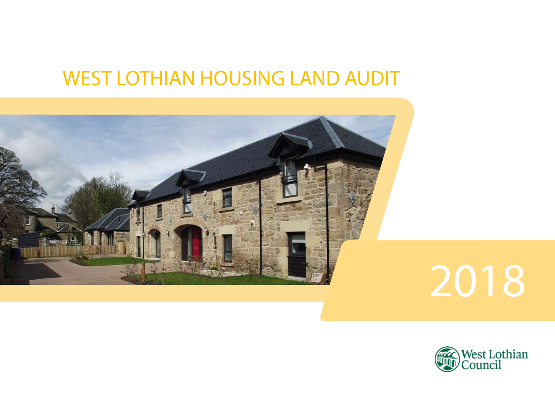# WEST LOTHIAN HOUSING LAND AUDIT





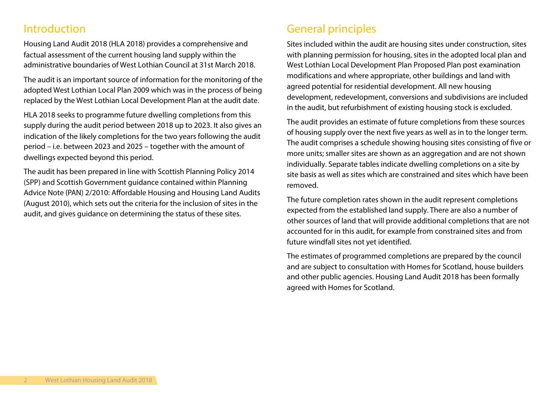## Introduction

Housing Land Audit 2018 (HLA 2018) provides a comprehensive and factual assessment of the current housing land supply within the administrative boundaries of West Lothian Council at 31st March 2018.

The audit is an important source of information for the monitoring of the adopted West Lothian Local Plan 2009 which was in the process of being replaced by the West Lothian Local Development Plan at the audit date.

HLA 2018 seeks to programme future dwelling completions from this supply during the audit period between 2018 up to 2023. It also gives an indication of the likely completions for the two years following the audit period – i.e. between 2023 and 2025 – together with the amount of dwellings expected beyond this period.

The audit has been prepared in line with Scottish Planning Policy 2014 (SPP) and Scottish Government guidance contained within Planning Advice Note (PAN) 2/2010: Affordable Housing and Housing Land Audits (August 2010), which sets out the criteria for the inclusion of sites in the audit, and gives guidance on determining the status of these sites.

## General principles

Sites included within the audit are housing sites under construction, sites with planning permission for housing, sites in the adopted local plan and West Lothian Local Development Plan Proposed Plan post examination modifications and where appropriate, other buildings and land with agreed potential for residential development. All new housing development, redevelopment, conversions and subdivisions are included in the audit, but refurbishment of existing housing stock is excluded.

The audit provides an estimate of future completions from these sources of housing supply over the next five years as well as in to the longer term. The audit comprises a schedule showing housing sites consisting of five or more units; smaller sites are shown as an aggregation and are not shown individually. Separate tables indicate dwelling completions on a site by site basis as well as sites which are constrained and sites which have been removed.

The future completion rates shown in the audit represent completions expected from the established land supply. There are also a number of other sources of land that will provide additional completions that are not accounted for in this audit, for example from constrained sites and from future windfall sites not yet identified.

The estimates of programmed completions are prepared by the council and are subject to consultation with Homes for Scotland, house builders and other public agencies. Housing Land Audit 2018 has been formally agreed with Homes for Scotland.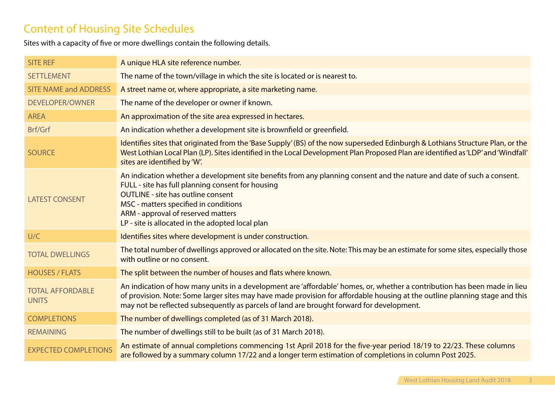# Content of Housing Site Schedules

Sites with a capacity of five or more dwellings contain the following details.

| <b>SITE REF</b>                         | A unique HLA site reference number.                                                                                                                                                                                                                                                                                                                         |
|-----------------------------------------|-------------------------------------------------------------------------------------------------------------------------------------------------------------------------------------------------------------------------------------------------------------------------------------------------------------------------------------------------------------|
| <b>SETTLEMENT</b>                       | The name of the town/village in which the site is located or is nearest to.                                                                                                                                                                                                                                                                                 |
| <b>SITE NAME and ADDRESS</b>            | A street name or, where appropriate, a site marketing name.                                                                                                                                                                                                                                                                                                 |
| <b>DEVELOPER/OWNER</b>                  | The name of the developer or owner if known.                                                                                                                                                                                                                                                                                                                |
| <b>AREA</b>                             | An approximation of the site area expressed in hectares.                                                                                                                                                                                                                                                                                                    |
| Brf/Grf                                 | An indication whether a development site is brownfield or greenfield.                                                                                                                                                                                                                                                                                       |
| <b>SOURCE</b>                           | Identifies sites that originated from the 'Base Supply' (BS) of the now superseded Edinburgh & Lothians Structure Plan, or the<br>West Lothian Local Plan (LP). Sites identified in the Local Development Plan Proposed Plan are identified as 'LDP' and 'Windfall'<br>sites are identified by 'W'.                                                         |
| <b>LATEST CONSENT</b>                   | An indication whether a development site benefits from any planning consent and the nature and date of such a consent.<br>FULL - site has full planning consent for housing<br><b>OUTLINE - site has outline consent</b><br>MSC - matters specified in conditions<br>ARM - approval of reserved matters<br>LP - site is allocated in the adopted local plan |
| U/C                                     | Identifies sites where development is under construction.                                                                                                                                                                                                                                                                                                   |
| <b>TOTAL DWELLINGS</b>                  | The total number of dwellings approved or allocated on the site. Note: This may be an estimate for some sites, especially those<br>with outline or no consent.                                                                                                                                                                                              |
| <b>HOUSES / FLATS</b>                   | The split between the number of houses and flats where known.                                                                                                                                                                                                                                                                                               |
| <b>TOTAL AFFORDABLE</b><br><b>UNITS</b> | An indication of how many units in a development are 'affordable' homes, or, whether a contribution has been made in lieu<br>of provision. Note: Some larger sites may have made provision for affordable housing at the outline planning stage and this<br>may not be reflected subsequently as parcels of land are brought forward for development.       |
| <b>COMPLETIONS</b>                      | The number of dwellings completed (as of 31 March 2018).                                                                                                                                                                                                                                                                                                    |
| <b>REMAINING</b>                        | The number of dwellings still to be built (as of 31 March 2018).                                                                                                                                                                                                                                                                                            |
| <b>EXPECTED COMPLETIONS</b>             | An estimate of annual completions commencing 1st April 2018 for the five-year period 18/19 to 22/23. These columns<br>are followed by a summary column 17/22 and a longer term estimation of completions in column Post 2025.                                                                                                                               |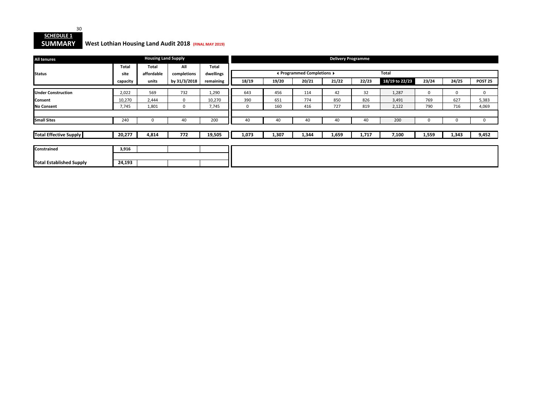

#### **SUMMARY West Lothian Housing Land Audit 2018 (FINAL MAY 2019)**

| <b>All tenures</b>              |              | <b>Housing Land Supply</b> |              |              |       |       |                            | <b>Delivery Programme</b> |       |                |       |             |                |
|---------------------------------|--------------|----------------------------|--------------|--------------|-------|-------|----------------------------|---------------------------|-------|----------------|-------|-------------|----------------|
|                                 | <b>Total</b> | Total                      | All          | <b>Total</b> |       |       |                            |                           |       |                |       |             |                |
| <b>Status</b>                   | site         | affordable                 | completions  | dwellings    |       |       | ◀ Programmed Completions ▶ |                           |       | <b>Total</b>   |       |             |                |
|                                 | capacity     | units                      | by 31/3/2018 | remaining    | 18/19 | 19/20 | 20/21                      | 21/22                     | 22/23 | 18/19 to 22/23 | 23/24 | 24/25       | <b>POST 25</b> |
| <b>Under Construction</b>       | 2,022        | 569                        | 732          | 1,290        | 643   | 456   | 114                        | 42                        | 32    | 1,287          | 0     | $\mathbf 0$ | $\mathbf 0$    |
| <b>Consent</b>                  | 10,270       | 2,444                      | $\mathbf{0}$ | 10,270       | 390   | 651   | 774                        | 850                       | 826   | 3,491          | 769   | 627         | 5,383          |
| <b>No Consent</b>               | 7,745        | 1,801                      | 0            | 7,745        | 0     | 160   | 416                        | 727                       | 819   | 2,122          | 790   | 716         | 4,069          |
|                                 |              |                            |              |              |       |       |                            |                           |       |                |       |             |                |
| <b>Small Sites</b>              | 240          | $\overline{0}$             | 40           | 200          | 40    | 40    | 40                         | 40                        | 40    | 200            | υ     | 0           | $\mathbf{0}$   |
|                                 |              |                            |              |              |       |       |                            |                           |       |                |       |             |                |
| <b>Total Effective Supply</b>   | 20,277       | 4,814                      | 772          | 19,505       | 1,073 | 1,307 | 1,344                      | 1,659                     | 1,717 | 7,100          | 1,559 | 1,343       | 9,452          |
|                                 |              |                            |              |              |       |       |                            |                           |       |                |       |             |                |
| Constrained                     | 3,916        |                            |              |              |       |       |                            |                           |       |                |       |             |                |
|                                 |              |                            |              |              |       |       |                            |                           |       |                |       |             |                |
| <b>Total Established Supply</b> | 24,193       |                            |              |              |       |       |                            |                           |       |                |       |             |                |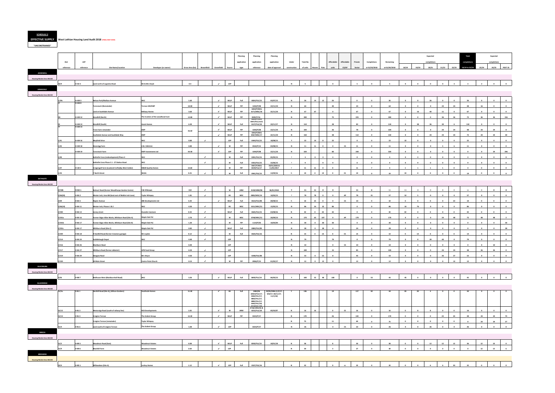**SCHEDULE 2 EFFECTIVE SUPPLY West Lothian Housing Land Audit 2018 (FINAL MAY 2019)**

**"UNCONSTRAINED"**

|                                  |            |                                  |                                                      |                                    |                 |                             |                             |              | Planning    | Planning                      | Planning                     |              |                          |                                                    |                         |                          |                         |                         |                         |                         |                         | Expected                |                         |                         | <b>Total</b>            |                         | Expected                |                         |
|----------------------------------|------------|----------------------------------|------------------------------------------------------|------------------------------------|-----------------|-----------------------------|-----------------------------|--------------|-------------|-------------------------------|------------------------------|--------------|--------------------------|----------------------------------------------------|-------------------------|--------------------------|-------------------------|-------------------------|-------------------------|-------------------------|-------------------------|-------------------------|-------------------------|-------------------------|-------------------------|-------------------------|-------------------------|-------------------------|
|                                  | <b>HLA</b> | LDP                              |                                                      |                                    |                 |                             |                             |              | application | application                   | application                  | Under        | <b>Total No</b>          |                                                    | Affordable              | Affordable               | Private                 | Completions             | Remaining               |                         |                         | completion              |                         |                         | completion              |                         | completion              |                         |
|                                  | reference  | reference                        | <b>Site Name/Location</b>                            | Developer (or owner)               | Gross Area (ha) | <b>Brownfield</b>           | Greenfield                  | Source       | type        | reference                     | date of approval             | construction | of units                 | Flats                                              | units                   | CS/AP                    | Sector                  | at 31/03/2018           | at 01/04/2018           | 18/19                   | 19/20                   | 20/21                   | 21/22                   | 22/23                   | 18/19 to 22/23          | 23/24                   | 24/25                   | <b>POST 25</b>          |
| <b>ADDIEWELL</b>                 |            |                                  |                                                      |                                    |                 |                             |                             |              |             |                               |                              |              |                          |                                                    |                         |                          |                         |                         |                         |                         |                         |                         |                         |                         |                         |                         |                         |                         |
| <b>Housing Market Area WLC02</b> |            |                                  |                                                      |                                    |                 |                             |                             |              |             |                               |                              |              |                          |                                                    |                         |                          |                         |                         |                         |                         |                         |                         |                         |                         |                         |                         |                         |                         |
|                                  | 26/9       | H-AD <sub>3</sub>                | Land north of Loganiea Road                          | Mr & Mrs Doyle                     | 0.4             |                             | $\sim$                      | LDP          |             |                               |                              | $\mathbf{N}$ | $\overline{\phantom{a}}$ |                                                    |                         |                          | $5^{\circ}$             |                         |                         | $\Omega$                |                         |                         |                         | $\mathbf{3}$            |                         | $\overline{2}$          | $\circ$                 | $\bullet$               |
| <b>ARMADALE</b>                  |            |                                  |                                                      |                                    |                 |                             |                             |              |             |                               |                              |              |                          |                                                    |                         |                          |                         |                         |                         |                         |                         |                         |                         |                         |                         |                         |                         |                         |
| <b>Housing Market Area WLC02</b> |            |                                  |                                                      |                                    |                 |                             |                             |              |             |                               |                              |              |                          |                                                    |                         |                          |                         |                         |                         |                         |                         |                         |                         |                         |                         |                         |                         |                         |
|                                  | 1/29c      | H-AM 3                           | <b>Nelson Park/Mallace Avenue</b>                    | WLC                                | 1.60            |                             | $\sim$                      | <b>WLLP</b>  | Full        | 0824/FUL/15                   | 03/07/15                     | $\mathbf N$  | 26                       | 14<br>12                                           | 26                      |                          | $\overline{\mathbf{0}}$ | $\circ$                 | 26                      | $\bullet$               | $\circ$                 | $26\phantom{.0}$        | $\Omega$                | $\bullet$               | 26                      | $\mathbf{0}$            | $\Omega$                | $\overline{\mathbf{0}}$ |
|                                  |            | 8 MA-H                           | <b>Tarrareoch (Remainder)</b>                        | errace Hill/EWP                    | 10.00           |                             | $\mathcal{A}$               | <b>WLLP</b>  | PiP         | 1044/P/08                     | 22/11/10                     | N            | 64                       |                                                    | 40                      |                          | 24                      | $\overline{\mathbf{0}}$ | 64                      | $\overline{\mathbf{0}}$ | $\bullet$               | $\overline{\mathbf{0}}$ | 24                      | 24                      | 48                      | 16                      | $\bullet$               | $\overline{\mathbf{0}}$ |
|                                  |            |                                  | Land at Southdale Avenue                             | ellway Homes                       | 3.60            |                             | $\mathcal{A}$               | <b>WLLP</b>  | PiP         | 1044/P/08 &<br>0171/MSC/18    | 22/11/10                     | $\mathbf N$  | 67                       | 67                                                 | $\bullet$               |                          | 67                      | $\bullet$               | 67                      | $\bullet$               | 16                      | 40                      | 11                      | $\bullet$               | 67                      | $\bullet$               | $\overline{\mathbf{0}}$ | $\bullet$               |
|                                  |            | <b>H-AM 12</b>                   | Standhill (North)                                    | The trustees of the woodhead trust | 12.80           |                             | $\mathcal{L}_{\mathcal{A}}$ | <b>WLLP</b>  | PiP         | 0020/P/16                     |                              | $\mathbf{N}$ | 300                      |                                                    | 75                      |                          | 225                     | $\mathbf{0}$            | 300                     | $\bullet$               | $\bullet$               | $\bullet$               | 36                      | 36                      | 72                      | 36                      | 36                      | 156                     |
|                                  |            |                                  |                                                      |                                    |                 |                             | $\sim$                      |              |             | 0020/P/16&<br>0047/FUL/16 &   |                              |              |                          |                                                    |                         |                          |                         |                         |                         |                         |                         |                         |                         |                         |                         | $\overline{0}$          |                         | $\bullet$               |
|                                  |            | <b>H-AM 13</b><br><b>H-AM 14</b> | <b>Standhill (South)</b>                             | vant Homes                         | 6.30            |                             |                             | <b>WLLP</b>  | Full        | 0127/FUL/18                   | 23/11/17                     | $\mathbf N$  | 110                      |                                                    | 28                      |                          | 82                      | $\overline{\mathbf{0}}$ | 110                     | $\overline{\mathbf{0}}$ | 38                      | 36                      | 30                      | $6\overline{6}$         | 110                     |                         | $\bullet$               |                         |
|                                  |            |                                  | <b>Trees Farm remainder</b>                          |                                    | 26.60           |                             | $\mathcal{A}$               | <b>WLLP</b>  | PiP         | 1044/P/08<br>1044/P/08&       | 22/11/10                     | $\mathbf{N}$ | 104                      |                                                    | 26                      |                          | 78                      | $\bullet$               | 104                     | $\mathbf{0}$            | $\circ$                 | $\overline{\mathbf{0}}$ | 24                      | 24                      | 48                      | 24                      | 24                      | 8 <sup>1</sup>          |
|                                  |            |                                  | Southdale Avenue and Southdale Way                   | <b>EWP</b>                         |                 |                             | $\checkmark$                | <b>WLLP</b>  | PiP         | 0467/MSC/17                   | 22/11/10                     | $\mathbf N$  | 150                      |                                                    | 38                      |                          | 112                     | $\mathbf{0}$            | 150                     | $\mathbf{0}$            | $\overline{\mathbf{0}}$ | 24                      | 24                      | 24                      | 72                      | 24                      | 24                      | 30                      |
|                                  | 1/41       | <b>H-AM 16</b>                   | <b>Mayfield Drive</b>                                | <b>WLC</b>                         | 0.80            | $\sim$                      |                             | <b>LDP</b>   | Full        | 0444/FUL/15                   | 18/08/15                     | Y            | 22                       | 14<br>$\mathbf{R}$                                 | 22                      |                          | $\circ$                 | $\mathbf{0}$            | 22                      | 22                      | $\mathbf{0}$            | $\mathbf{0}$            |                         | $\overline{\mathbf{0}}$ | 22                      | $\Omega$                | $\Omega$                | $\mathbf{0}$            |
|                                  | 1/42       | <b>H-AM 18</b>                   | <b>Stonerigg Farm</b>                                | A & J Gilchrist                    | 0.80            |                             | $\mathcal{L}$               | W            | PiP         | 0542/P/12                     | 03/08/15                     | N            | 11                       | 11<br>$\overline{\mathbf{0}}$                      | $\overline{0}$          | $\mathsf{cs}$            | 11                      | $\overline{\mathbf{0}}$ | 11                      | $\overline{\mathbf{0}}$ | $\bullet$               | $\bullet$               | $-5$                    | 6                       | 11                      | $\overline{\mathbf{0}}$ | $\bullet$               | $\overline{\mathbf{0}}$ |
|                                  |            | <b>H-AM 19</b>                   | <b>Tarrareoch Farm</b>                               | <b>EWP Investments Ltd</b>         | 44.40           |                             | $\mathcal{L}$               | <b>LDP</b>   | PiP         | 1044/P/08                     | 22/11/10                     | $\mathbf N$  | 320                      |                                                    | 80                      |                          | 240                     | $\mathbf{0}$            | 320                     | $\bullet$               | $\bullet$               | $\bullet$               | $\mathbf{0}$            | $\bullet$               | $\Omega$                | $\bullet$               | 24                      | 296                     |
|                                  | 1/40       |                                  | <b>Bathville Cross (redevelopment) Phase 4</b>       | <b>WLC</b>                         |                 | $\mathcal{L}_{\mathcal{L}}$ |                             | w            | Full        | 0201/FUL/15                   | 05/05/15                     | Y            | $\overline{\mathbf{3}}$  | $\overline{\mathbf{0}}$<br>$\overline{\mathbf{3}}$ | $\overline{\mathbf{3}}$ |                          | $\bullet$               | $\overline{\mathbf{0}}$ | $\overline{\mathbf{3}}$ | $\mathbf{0}$            | $\overline{\mathbf{3}}$ | $\bullet$               | $\overline{\mathbf{0}}$ | $\bullet$               | $\overline{\mathbf{3}}$ | $\overline{\mathbf{0}}$ | $\overline{\mathbf{0}}$ | $\overline{\mathbf{0}}$ |
|                                  |            |                                  | Bathville Cross Phase 5 1 - 27 Station Road          | VLC                                |                 | $\checkmark$                |                             | W            | Full        | 0353/FUL/15<br>0447/P/98&     | 22/06/15<br>19/01/2005 &     | Y            |                          | 9                                                  |                         |                          | $\bullet$               | $\bullet$               | 9                       | $\bullet$               | 9                       | $\mathbf{0}$            |                         | $\bullet$               |                         | $\mathbf{0}$            |                         | $\bullet$               |
|                                  | 1/37       | H-LW <sub>2</sub>                | Craigengall Farm (Lowland Crofts)(by West Calder)    | <b>M&amp;M Quality Homes</b>       | 13.60           |                             | $\checkmark$                | W            | PiP         | 0229/FUL/17                   | 11/05/2017                   | $\mathbf{v}$ | 11                       | 11<br>$\overline{\mathbf{0}}$                      | $\bullet$               |                          | 11                      | $\overline{7}$          | $\overline{4}$          | $\mathbf{1}$            | $\mathbf{1}$            | $\mathbf{1}$            | $\overline{1}$          | $\bullet$               | $\overline{4}$          | $\overline{\mathbf{0}}$ | $\bullet$               | $\overline{\mathbf{0}}$ |
|                                  | 1/43       |                                  | 7 North Street                                       | WLDA                               | 0.25            | $\sim$                      |                             | $\mathbf w$  | Full        | 0941/FUL/15                   | 13/09/16                     | N            | 19                       | 19<br>$\bullet$                                    | $\bullet$               | cs                       | 19                      | $\Omega$                | 19                      | 19                      | $\bullet$               | $\bullet$               | $\overline{\mathbf{0}}$ | $\bullet$               | 19                      | $\bullet$               | $\overline{\mathbf{0}}$ | $\bullet$               |
| <b>BATHGATE</b>                  |            |                                  |                                                      |                                    |                 |                             |                             |              |             |                               |                              |              |                          |                                                    |                         |                          |                         |                         |                         |                         |                         |                         |                         |                         |                         |                         |                         |                         |
| <b>Housing Market Area WLC02</b> |            |                                  |                                                      |                                    |                 |                             |                             |              |             |                               |                              |              |                          |                                                    |                         |                          |                         |                         |                         |                         |                         |                         |                         |                         |                         |                         |                         |                         |
|                                  | 2/106      | <b>H-BA1</b>                     | Balmuir Road (former Woodthorpe Garden Centre)       | & H Brown                          | 0.8             | $\mathcal{L}_{\mathcal{A}}$ |                             | W            | ARM         | 0128/ARM/08                   | 06/01/2010                   | Y            | 11                       | 11<br>$\bullet$                                    | $\mathbf{0}$            |                          | 11                      | $\overline{\mathbf{0}}$ | 11                      | 11                      | $\mathbf{0}$            | $\mathbf{0}$            | $\overline{0}$          | $\overline{0}$          | $11\,$                  | $\mathbf{0}$            | $\bullet$               | $\mathbf{0}$            |
|                                  | 2/66(20)   | <b>H-BA2</b>                     | Wester Inch, Area BB (land east of Meikle Inch Lane) | <b>Taylor Wimpey</b>               | 1.81            | $\mathcal{L}_{\mathcal{A}}$ |                             | <b>BS</b>    | MSC         | 0803/MSC/14                   | 10/03/15                     | Y            | 78                       | 78<br>$\overline{\mathbf{0}}$                      | $\bf{0}$                | AP                       | 78                      | 21                      | 57                      | 52                      | $5 -$                   | $\bullet$               | $\bf{0}$                | $\bullet$               | 57                      | $\bullet$               | $\bullet$               | $\bullet$               |
|                                  | 2/69       | H-BA 5                           | <b>Napier Avenue</b>                                 | <b>BB Developments Ltd</b>         | 3.20            |                             | $\checkmark$                | <b>WLLP</b>  | Full        | 0614/FUL/08                   | 28/08/13                     | N            | 10                       | 10<br>$\bullet$                                    | $\circ$                 | $\mathsf{CS}\phantom{0}$ | 10                      | $\bullet$               | 10                      | $\overline{\mathbf{0}}$ | $\bullet$               | $\mathbf{0}$            | $\bullet$               | 10                      | 10                      | $\bf{0}$                | $\bullet$               | $\overline{\mathbf{0}}$ |
|                                  | 2/66(19)   | <b>H-BA11</b>                    | Wester Inch, Phases 1 & 2                            | MLC.                               | 4.30            | $\mathcal{L}$               |                             | <b>BS</b>    | MSC         | 0151/MSC/15                   | 15/05/15                     | $\mathbf N$  | 86                       | 54<br>32                                           | 86                      |                          | $\Omega$                | $\Omega$                | 86                      | 10                      | 76                      | $\bullet$               | $\Omega$                | $\overline{\mathbf{0}}$ | 86                      | $\Omega$                | $\Omega$                | $\bullet$               |
|                                  | 2/100      | <b>H-BA 13</b>                   | Jarvey street                                        | Junedin Canmore                    | 0.43            | $\checkmark$                |                             | <b>WLLP</b>  | Full        | 0645/FUL/15                   | 23/08/16                     | $\mathbb{N}$ | 42                       | $\bullet$<br>42                                    | 42                      |                          | $\bullet$               | $\overline{a}$          | 42                      | 42                      | $\bullet$               | $\bullet$               | $\Omega$                | $\bullet$               | 42                      | $\Omega$                | $\bullet$               | $\bullet$               |
|                                  | 2/101a     | <b>H-BA 16</b>                   | Former Edgar Allen Works, Whitburn Road (Site A)     | Maple Oak PLC                      | 2.70            | $\epsilon$                  |                             | W            | MSC         | 0748/MSC/12                   | 20/09/13                     | N            | 170                      | 107<br>63                                          | $\Omega$                | <b>AP</b>                | 170                     | $\Omega$                | 170                     | $\Omega$                | $\mathbf{0}$            | $\overline{\mathbf{0}}$ | 24                      | 48                      | 72                      | 48                      | 48                      | $\overline{2}$          |
|                                  | 2/101b     | <b>H-BA 17</b>                   | Former Edgar Allen Works, Whitburn Road (Site B)     | Maple Oak PLC                      | 1.20            | $\checkmark$                |                             | W            | PiP         | 1119/P/03                     | 10/03/04                     | $\mathbf N$  | 30                       | 30<br>$\overline{0}$                               | 30                      |                          | $\overline{\mathbf{0}}$ | $\bullet$               | 30 <sub>2</sub>         | $\bullet$               | $\bullet$               | $\bullet$               | $\circ$                 | $\overline{\mathbf{0}}$ | $\overline{0}$          | $\bullet$               | $\overline{0}$          | 30                      |
|                                  | 2/101c     | <b>H-BA 17</b>                   | Whitburn Road (Site C)                               | Aaple Oak PLC                      | 0.82            | $\sim$                      |                             | <b>WLLP</b>  | Full        | 0083/FUL/09                   |                              | $\mathbf N$  | 28                       | $\overline{\mathbf{0}}$<br>28                      | $\overline{a}$          |                          | 24                      | $\overline{\mathbf{0}}$ | 28                      | $\bullet$               | $\bullet$               | $\bullet$               | $\circ$                 | $\overline{\mathbf{0}}$ | $\mathbf{0}$            | $\bullet$               | $\overline{\mathbf{0}}$ | 28                      |
|                                  |            |                                  |                                                      |                                    |                 | $\mathcal{L}$               |                             |              | Full        |                               |                              | $\,$ N       | 14                       | $\overline{\mathbf{0}}$<br>14                      | $\bullet$               |                          |                         | $\overline{\mathbf{0}}$ |                         | $\bullet$               |                         | $\mathbf{0}$            | $\mathbf{0}$            | $\bullet$               |                         | $\mathbf{0}$            | $\circ$                 |                         |
|                                  | 2/109      | <b>H-BA 18</b>                   | 9 Hardhill Road (former Creamery garage)             | Mr Leyden                          | 0.12            | $\sim$                      |                             | W            |             | 0635/FUL/16                   |                              |              |                          |                                                    |                         | $\mathsf{cs}$            | 14                      |                         | 14                      |                         | 14                      |                         |                         |                         | 14                      |                         | $\sim$                  | $\overline{\mathbf{0}}$ |
|                                  | 2/114      | <b>H-BA 24</b>                   | Guildiehaugh Depot                                   |                                    | 4.40            |                             |                             | LDP          |             |                               |                              | $\mathbf N$  | 79                       |                                                    | 79                      |                          |                         | $\mathbf{0}$            | 79                      | $\mathbf{0}$            | $\mathbf{0}$            | 39                      | 40                      | $\overline{\mathbf{0}}$ | 79                      | $\Omega$                |                         | $\bullet$               |
|                                  | 2/116      | <b>H-BA 26</b>                   | <b>Blackburn Road</b>                                |                                    | 0.40            |                             |                             | <b>LDP</b>   |             |                               |                              | $\mathbf N$  | 10                       |                                                    | $\Omega$                | $\mathsf{CS}\phantom{0}$ | 10                      | $\circ$                 | 10                      | $\mathbf{0}$            | $\mathbf{0}$            | $\overline{\mathbf{0}}$ | $\mathbf{r}$            | $\mathbf{0}$            | $\Omega$                | $\mathbf{0}$            | 10                      | $\bullet$               |
|                                  | 2/117      | <b>H-BA 27</b>                   | Whitburn Road (former abbatoir)                      | <b>APB Food Group</b>              | 6.50            | $\overline{\phantom{a}}$    |                             | <b>LDP</b>   |             |                               |                              | $\mathbf N$  | 100                      |                                                    | 15                      |                          | 85                      | $\overline{\mathbf{0}}$ | 100                     | $\bullet$               | $\bullet$               | $\bullet$               | 24                      | 24                      | 48                      | 26                      | 26                      | $\bullet$               |
|                                  | 2/119      | <b>H-BA 29</b>                   | <b>Glasgow Road</b>                                  | Ar J Bryce                         | 0.50            | $\checkmark$                |                             | <b>LDP</b>   |             | 0248/FUL/08                   |                              | $\mathbf{N}$ | 53                       | $\overline{\mathbf{0}}$<br>53                      | 8                       |                          | 45                      | $\mathbf{0}$            | 53                      | $\mathbf{0}$            | $\bullet$               | $\circ$                 | 26                      | 27                      | 53                      | $\bullet$               | $\mathbf{0}$            | $\bullet$               |
|                                  | 2/120      |                                  | 30 Main Street                                       | Centre Point Church                | 0.13            | $\mathcal{L}_{\mathcal{L}}$ |                             | $\mathsf{w}$ | PiP         | 0906/P/15                     | 01/02/17                     |              | $12\,$                   | $\bullet$<br>12                                    |                         |                          | $12$                    |                         | 12                      |                         |                         |                         |                         | $12\,$                  | $12$                    | $\bullet$               | $\bullet$               | $\bullet$               |
| <b>BLACKBURN</b>                 |            |                                  |                                                      |                                    |                 |                             |                             |              |             |                               |                              |              |                          |                                                    |                         |                          |                         |                         |                         |                         |                         |                         |                         |                         |                         |                         |                         |                         |
| <b>Housing Market Area WLC02</b> |            |                                  |                                                      |                                    |                 |                             |                             |              |             |                               |                              |              |                          |                                                    |                         |                          |                         |                         |                         |                         |                         |                         |                         |                         |                         |                         |                         |                         |
|                                  | 3/26       | $H-BB7$                          | Redhouse West (Blackburnhall Road)                   | <b>WLC</b>                         | 3.26            |                             | $\mathcal{L}$               | <b>WLLP</b>  | Full        | 0695/FUL/14                   | 06/03/15                     | Y            | 100                      | 52<br>48                                           | 100                     |                          | $\bullet$               | 55                      | 45                      | 45                      | $\Omega$                | $\Omega$                | $\mathbf{r}$            | $\mathbf{0}$            | 45                      | $\bullet$               | $\bullet$               | $\bullet$               |
| <b>BLACKRIDGE</b>                |            |                                  |                                                      |                                    |                 |                             |                             |              |             |                               |                              |              |                          |                                                    |                         |                          |                         |                         |                         |                         |                         |                         |                         |                         |                         |                         |                         |                         |
| <b>Housing Market Area WLC02</b> | 31/5a      | $H-BL1$                          | Harthill Road (Site A), (Allison Gardens)            | Southvale Homes                    | 11.40           |                             |                             |              |             | 0484/06                       | 29/05/2006 (1/3/17;          |              | 136                      |                                                    | 19                      |                          | 117                     | 92                      | 44                      | 20                      | 20                      | -4                      |                         |                         | 44                      |                         |                         | $\mathbf{0}$            |
|                                  |            |                                  |                                                      |                                    |                 |                             |                             |              |             | (0023/FUL/17;<br>0402/FUL/17; | 9/8/17; 30/11/17;<br>11/1/18 |              |                          |                                                    |                         |                          |                         |                         |                         |                         |                         |                         |                         |                         |                         |                         |                         |                         |
|                                  |            |                                  |                                                      |                                    |                 |                             |                             |              |             | 0803/FUL/17;<br>0885/FUL/17;  |                              |              |                          |                                                    |                         |                          |                         |                         |                         |                         |                         |                         |                         |                         |                         |                         |                         |                         |
|                                  |            |                                  |                                                      |                                    |                 |                             |                             |              |             | 0442/FUL/18;<br>0718/ELIL/18) |                              |              |                          |                                                    |                         |                          |                         |                         |                         |                         |                         |                         |                         |                         |                         |                         |                         |                         |
|                                  | 31/12      | H-BL 3                           | <b>Westcraigs Road (south of railway line)</b>       | <b>RCK Developments</b>            | 1.05            |                             | $\mathcal{A}$               | W            | <b>ARM</b>  | 0738/ARM/06 &<br>0252/FUL/18  | 05/03/07                     | N            | 16                       | 16                                                 | $\bullet$               | $\mathsf{CS}^-$          | 16                      | $\mathbf{0}$            | 16                      | $\bullet$               | 8                       | 8                       | $\bullet$               | $\bullet$               | 16                      | $\mathbf{0}$            | $\circ$                 | $\overline{\mathbf{0}}$ |
|                                  | 31/13      | H-BL4                            | <b>Craiginn Terrace</b>                              | The Ardent Group                   | 13.30           |                             | $\mathcal{A}$               | <b>WLLP</b>  | PiP         | 0223/P/17                     |                              | N            | 170                      |                                                    | 26                      |                          | 144                     | $\overline{\mathbf{0}}$ | 170                     | $\overline{\mathbf{0}}$ | $\overline{\mathbf{0}}$ | $\overline{\mathbf{0}}$ | 24                      | 24                      | 48                      | 24                      | 24                      | 74                      |
|                                  |            |                                  | Craiginn Terrace (remainder)                         | aylor Wimpey                       |                 |                             |                             |              |             |                               |                              | $\,$ N       | 75                       |                                                    | $11\,$                  |                          | 64                      | $\overline{\mathbf{0}}$ | 75                      | $\overline{\mathbf{0}}$ | $\overline{\mathbf{0}}$ | $\bullet$               | $\mathbf{0}$            | $\bullet$               | $\mathbf{0}$            | 24                      | 24                      | 27                      |
|                                  | 31/4       | H-BL 6                           | Land south of Craiginn Terrace                       | The Ardent Group                   | 1.00            |                             | $\mathcal{L}_{\mathcal{A}}$ | LDP          |             | 0223/P/17                     |                              | $\mathbf{N}$ | 26                       |                                                    | $\mathbf{4}$            | $\mathsf{cs}$            | 22                      | $\sim$                  | 26                      | $\bullet$               | $\bullet$               | 26                      | $\Omega$                | $\overline{\mathbf{0}}$ | 26                      | $\mathbf{0}$            | $\bullet$               | $\bullet$               |
| <b>BREICH</b>                    |            |                                  |                                                      |                                    |                 |                             |                             |              |             |                               |                              |              |                          |                                                    |                         |                          |                         |                         |                         |                         |                         |                         |                         |                         |                         |                         |                         |                         |
| <b>Housing Market Area WLC02</b> |            |                                  |                                                      |                                    |                 |                             |                             |              |             |                               |                              |              |                          |                                                    |                         |                          |                         |                         |                         |                         |                         |                         |                         |                         |                         |                         |                         |                         |
|                                  | 21/5       | $H-BR3$                          | <b>Woodmuir Road (East)</b>                          | <b>Joodmuir Estates</b>            | 4.08            |                             | $\overline{\phantom{a}}$    | <b>WLLP</b>  | Full        | 0203/FUL/15                   | 18/01/18                     | N            | 58                       |                                                    | $\overline{\mathbf{8}}$ |                          | 50                      | $\Omega$                | 58                      | $\Omega$                | $\bullet$               | 12                      | 12                      | 12                      | 36                      | 12                      | 10                      | $\bullet$               |
|                                  | 21/9       | H-BR <sub>6</sub>                | <b>Blackhill Farm</b>                                | oodmuir Estates                    | 2.60            |                             | $\mathcal{A}$               | LDP          |             |                               |                              | N            | 30                       |                                                    | $\overline{\mathbf{3}}$ |                          | 27                      |                         | 30                      | $\bullet$               | $\overline{\mathbf{0}}$ | $\mathbf 0$             | $\overline{\mathbf{0}}$ | $\overline{\mathbf{0}}$ |                         | 12                      | 12                      | $6\overline{6}$         |
|                                  |            |                                  |                                                      |                                    |                 |                             |                             |              |             |                               |                              |              |                          |                                                    |                         |                          |                         |                         |                         |                         |                         |                         |                         |                         |                         |                         |                         |                         |
| <b>BRIDGEND</b>                  |            |                                  |                                                      |                                    |                 |                             |                             |              |             |                               |                              |              |                          |                                                    |                         |                          |                         |                         |                         |                         |                         |                         |                         |                         |                         |                         |                         |                         |
| <b>Housing Market Area WLC03</b> |            |                                  |                                                      |                                    |                 |                             |                             |              |             |                               |                              |              |                          |                                                    |                         |                          |                         |                         |                         |                         |                         |                         |                         |                         |                         |                         |                         |                         |
|                                  | 22/4       | <b>H-BD1</b>                     | Willowdean (Site A)                                  | <b>Lochay Homes</b>                | 1.12            |                             | $\mathcal{L}_{\mathcal{L}}$ | LDP          | Full        | 0537/FUL/16                   |                              | $\,$ N       | 32                       |                                                    | $\bullet$               | cs                       | 32                      |                         | 32                      | $\overline{\mathbf{0}}$ | $\Omega$                | 6                       |                         | 20                      | 32                      | $\bullet$               | $\overline{\mathbf{0}}$ | $\bullet$               |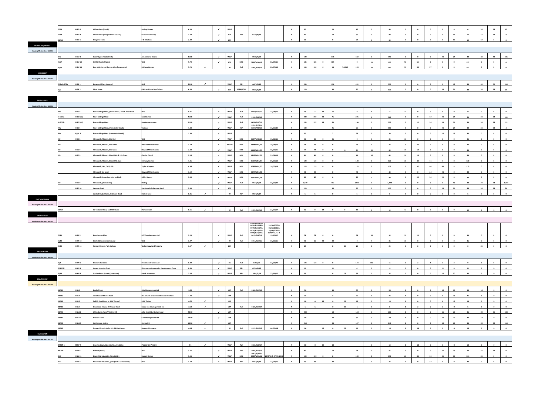|                                  | 22/8                     | H-BD 2                           | Willowdean (Site B)                                                                            | ochay Homes                             | 6.20             |                             | $\mathcal{L}$<br><b>WLLP</b>                            |                    |                                       |                                              | $\mathsf N$             | 90        |                               | 23                                                       |                          | 67                      | $\sim$                  | 90              |                         | $\Omega$                |                         | $\sim$                  |                         |           | 24                      | 24                      | 42                      |
|----------------------------------|--------------------------|----------------------------------|------------------------------------------------------------------------------------------------|-----------------------------------------|------------------|-----------------------------|---------------------------------------------------------|--------------------|---------------------------------------|----------------------------------------------|-------------------------|-----------|-------------------------------|----------------------------------------------------------|--------------------------|-------------------------|-------------------------|-----------------|-------------------------|-------------------------|-------------------------|-------------------------|-------------------------|-----------|-------------------------|-------------------------|-------------------------|
|                                  | 22/9                     | H-BD 3                           | Willowdean (Bridgend Golf Course)                                                              | <b>Graham Townsley</b>                  | 1.60             |                             | $\mathcal{L}$<br>LDP                                    | PiP                | 0739/P/16                             |                                              | $\mathbf N$             | 40        |                               | 10                                                       |                          | 30                      | $\Omega$                | 40              | $\bullet$               | $\overline{\mathbf{0}}$ | $\bullet$               | $\bullet$               | 12                      | 12        | 12                      | 12                      | $\overline{a}$          |
|                                  | 22/10                    | <b>H-BD 5</b>                    | <b>Bridgend Farm</b>                                                                           | T & B Wilson                            | 2.40             |                             | $\mathcal{L}$<br>LDP                                    |                    |                                       |                                              | $\overline{\mathsf{N}}$ | 30        |                               | 8                                                        |                          | 22                      | $\overline{\mathbf{0}}$ | 30              | $\mathbf{0}$            | $\overline{\mathbf{0}}$ | $\overline{\mathbf{0}}$ | $\mathbf{0}$            | 12                      | 12        | 12                      | $6\overline{6}$         | $\bullet$               |
| <b>BROXBURN/UPHALL</b>           |                          |                                  |                                                                                                |                                         |                  |                             |                                                         |                    |                                       |                                              |                         |           |                               |                                                          |                          |                         |                         |                 |                         |                         |                         |                         |                         |           |                         |                         |                         |
| <b>Housing Market Area WLC01</b> |                          |                                  |                                                                                                |                                         |                  |                             |                                                         |                    |                                       |                                              |                         |           |                               |                                                          |                          |                         |                         |                 |                         |                         |                         |                         |                         |           |                         |                         |                         |
|                                  |                          |                                  |                                                                                                |                                         |                  |                             |                                                         |                    |                                       |                                              |                         |           |                               |                                                          |                          |                         |                         |                 |                         |                         |                         |                         |                         |           |                         |                         |                         |
|                                  | GW                       | <b>H-BU 8</b>                    | Greendykes Road (West)                                                                         | shdale and Boland                       | 31.80            |                             | $\mathcal{A}$ .<br><b>WLLP</b>                          |                    | 0558/P/09                             |                                              | $\mathbf N$             | 590       |                               | 148                                                      |                          | 442                     | $\bullet$               | 590             | $\overline{\mathbf{0}}$ | $\overline{\mathbf{0}}$ | $\bullet$               | 24                      | 24                      | 48        | 48                      | 48                      | 446                     |
|                                  | 4/57                     | <b>H-BU 13</b>                   | Kirkhill North Phase 2                                                                         |                                         | 9.70             |                             | $\mathcal{L}$<br><b>LDP</b>                             | MSC                | 0259/MSC/15                           | 02/09/15                                     | $\mathbf{Y}$            | 185       | 185<br>$\sqrt{2}$             | 185                                                      |                          | $\bullet$               | 28                      | 157             | 92                      | 65                      | $\overline{\mathbf{0}}$ | $\Omega$                | $\bullet$               | 157       | $\bullet$               | $\overline{\mathbf{0}}$ | $\bullet$               |
|                                  | 4/60                     | <b>H-BU 14</b>                   | East Main Street (former Vion factory site)                                                    | <b>Bellway Homes</b>                    | 7.70             | $\sim$                      | $\mathsf{w}$                                            | Full               | 0489/FUL/15                           | 22/07/16                                     | <b>Y</b>                | 190       | 190<br>$\bullet$              | 14                                                       | <b>PLUS CS</b>           | 176                     | 48                      | 142             | 59                      | 56                      | 27                      | $\overline{\mathbf{0}}$ | $\overline{\mathbf{0}}$ | 142       | $\bullet$               | $\overline{\mathbf{0}}$ | $\overline{\mathbf{0}}$ |
| <b>DECHMONT</b>                  |                          |                                  |                                                                                                |                                         |                  |                             |                                                         |                    |                                       |                                              |                         |           |                               |                                                          |                          |                         |                         |                 |                         |                         |                         |                         |                         |           |                         |                         |                         |
| <b>Housing Market Area WLC01</b> |                          |                                  |                                                                                                |                                         |                  |                             |                                                         |                    |                                       |                                              |                         |           |                               |                                                          |                          |                         |                         |                 |                         |                         |                         |                         |                         |           |                         |                         |                         |
|                                  |                          | H-DE 1                           | <b>Bangour Village Hospital</b>                                                                |                                         | 69.10            | $\checkmark$                | <b>WLLP</b>                                             | PiP                | 0607/P/15                             |                                              | $\mathsf{N}$            | 550       |                               | 138                                                      |                          | 412                     |                         | 550             | $\overline{\mathbf{0}}$ | $\mathbf{0}$            | $\mathbf{0}$            | $\overline{\mathbf{0}}$ | 48                      | 48        | 48                      | 72                      | 334                     |
|                                  | 5/5a & 5/5b              |                                  |                                                                                                |                                         |                  |                             |                                                         |                    |                                       |                                              |                         |           |                               |                                                          |                          |                         |                         |                 |                         |                         |                         |                         |                         |           |                         |                         |                         |
|                                  | 5/6                      | $H-DE2$                          | <b>Main Street</b>                                                                             | <b>Colin and John Macfarlane</b>        | 6.20             |                             | $\mathcal{L}$<br><b>LDP</b>                             | 0586/P/14          | 0586/P/14                             |                                              | $\mathbf N$             | 120       |                               | 30                                                       |                          | 90                      | $\Omega$                | 120             |                         |                         |                         | 24                      | 24                      | 48        | 24                      | 24                      |                         |
|                                  |                          |                                  |                                                                                                |                                         |                  |                             |                                                         |                    |                                       |                                              |                         |           |                               |                                                          |                          |                         |                         |                 |                         |                         |                         |                         |                         |           |                         |                         |                         |
| <b>EAST CALDER</b>               |                          |                                  |                                                                                                |                                         |                  |                             |                                                         |                    |                                       |                                              |                         |           |                               |                                                          |                          |                         |                         |                 |                         |                         |                         |                         |                         |           |                         |                         |                         |
| <b>Housing Market Area WLC01</b> |                          |                                  |                                                                                                |                                         |                  |                             |                                                         |                    |                                       |                                              |                         |           |                               |                                                          |                          |                         |                         |                 |                         |                         |                         |                         |                         |           |                         |                         |                         |
|                                  | <b>RW</b>                | H-EC4                            | Raw Holdings West, (Seven Wells) Site B Affordable                                             | <b>WLC</b>                              | 0.41             |                             | $\mathcal{L}$<br><b>WLLP</b>                            | Full               | 0483/FUL/15                           | 21/08/15                                     | Y                       | 15        | $3^{\circ}$                   | 12<br>15                                                 |                          | $\overline{\mathbf{0}}$ | $\sim$                  | 11              | 11                      | $\overline{\mathbf{0}}$ | $\overline{\mathbf{0}}$ | $\bullet$               | $\overline{\mathbf{0}}$ | 11        | $\overline{\mathbf{0}}$ | $\overline{\mathbf{0}}$ | $\overline{\mathbf{0}}$ |
|                                  | H-EC 5a                  | $H-EC 5(a)$                      | <b>Raw Holdings West</b>                                                                       | Cala Homes                              | 21.00            |                             | $\sim$<br><b>WLLP</b>                                   | Full               | 0198/FUL/15                           |                                              | $\mathbb{N}$            | 300       | 272<br>28                     | 75                                                       |                          | 225                     | $\overline{\mathbf{0}}$ | 300             | $\overline{\mathbf{0}}$ | $\overline{\mathbf{0}}$ | 12                      | 24                      | 24                      | 60        | 24                      | 24                      | 192                     |
|                                  |                          |                                  |                                                                                                |                                         |                  |                             |                                                         |                    |                                       |                                              |                         |           |                               |                                                          |                          |                         |                         |                 |                         |                         |                         |                         |                         |           |                         |                         |                         |
|                                  | H-EC 5b                  | $H-ECS(b)$                       | <b>Raw Holdings West</b>                                                                       | Persimmon Homes                         | 21.00            |                             | $\mathcal{L}$<br><b>WLLP</b>                            | Full               | 0609/FUL/15<br>0524/P/09 &            |                                              | $\mathbf N$             | 253       | 237                           | 16<br>63                                                 |                          | 190                     | $\bullet$               | 253             | $\bullet$               | 12                      | 24                      | 24                      | 24                      | 84        | 24                      | 24                      | 121                     |
|                                  | RW                       | H-EC <sub>5</sub>                | Raw Holdings West, (Remainder South)                                                           | Various                                 | 4.40             |                             | $\sim$<br><b>WLLP</b>                                   | PiP                | 0717/PAC/18                           | 15/03/09                                     | N                       | 100       |                               | 25                                                       |                          | 75                      | $\overline{\mathbf{0}}$ | 100             | $\overline{\mathbf{0}}$ | $\bullet$               | $\overline{\mathbf{0}}$ | 24                      | 24                      | 48        | 24                      | 24                      | $\overline{a}$          |
|                                  | RW                       | LEC 5                            | <b>Raw Holdings West (Remainder North)</b>                                                     |                                         | 1.50             |                             | $\sim$<br><b>WLLP</b>                                   |                    |                                       |                                              | $\mathbf N$             | 30        |                               | $\overline{7}$                                           |                          | 23                      | $\bullet$               | 30              | $\bullet$               | $\mathbf 0$             | $\mathbf 0$             | 15                      | 15                      | 30        | $\mathbf{0}$            | $\mathbf{0}$            | $\overline{\mathbf{0}}$ |
|                                  | <b>AD</b>                | H-EC <sub>6</sub>                | Almondell, Phase 1, Site LKd                                                                   | <b>WIC</b>                              |                  |                             | $\mathcal{L}$<br><b>WLLP</b>                            | <b>MSC</b>         | 0527/MSC/15                           | 15/02/16                                     | $\mathbf N$             | 36        | 36<br>$\Omega$                | 36                                                       |                          | $\overline{\mathbf{0}}$ | $\bullet$               | 36              | 36                      | $\overline{\mathbf{0}}$ | $\overline{\mathbf{0}}$ | $\Omega$                | $\overline{\mathbf{0}}$ | 36        | $\bullet$               | $\bullet$               | $\overline{\mathbf{0}}$ |
|                                  |                          |                                  | Almondell, Phase 1, Site MWb                                                                   | <b>Stewart Milne Homes</b>              | 1.19             |                             | $\mathcal{L}_{\mathcal{A}}$<br><b>WLLDP</b>             | MSC                | 0848/MSC/15                           | 28/06/16                                     | Y                       | 26        | 26<br>$\bullet$               | $\bullet$                                                |                          | 26                      | $\bullet$               | 26              | $\bullet$               | 26                      | $\mathbf{0}$            | $\bullet$               | $\bullet$               | 26        | $\bullet$               | $\overline{\mathbf{0}}$ | $\bullet$               |
|                                  |                          | H-EC <sub>9</sub>                | Almondell, Phase 1, Site Mwa                                                                   | <b>Stewart Milne Homes</b>              | 3.33             | $\epsilon$                  | <b>WLLP</b>                                             | <b>MSC</b>         | 0663/MSC/15                           | 18/02/16                                     | Y                       | 74        | 74<br>$\Omega$                | $\bullet$                                                | $\bullet$                | 74                      | 30                      | 44              | 30 <sub>2</sub>         | 14                      | $\bullet$               | $\bullet$               | $\mathbf{0}$            | 44        | $\bullet$               | $\mathbf{0}$            | $\overline{\mathbf{0}}$ |
|                                  |                          |                                  |                                                                                                |                                         |                  |                             |                                                         |                    |                                       |                                              |                         |           |                               |                                                          |                          |                         |                         |                 |                         |                         |                         |                         |                         |           |                         |                         |                         |
|                                  |                          | H-EC 9                           | Almondell, Phase 1, Sites MWc & LKe (part)                                                     | <b>Charles Church</b>                   | 3.16             |                             | $\mathcal{L}$<br><b>WLLP</b>                            | MSC                | 0815/MSC/15                           | 31/08/16                                     | Y                       | 64        | 64<br>$\overline{\mathbf{0}}$ | $\bullet$                                                |                          | 64                      | 16                      | 48              | 30                      | 18                      | $\overline{\mathbf{0}}$ | $\overline{\mathbf{0}}$ | $\overline{\mathbf{0}}$ | 48        | $\bullet$               | $\bullet$               | $\overline{\mathbf{0}}$ |
|                                  |                          |                                  | Almondell, Phase 1, Sites LKf & Cwa                                                            | <b>Bellway Homes</b>                    | 4.45             | $\checkmark$                | WLLP                                                    | MSC                | 0337/MSC/17                           | 09/01/18                                     | $\mathsf N$             | 120       | 120<br>$\Omega$               | $\overline{\mathbf{0}}$                                  |                          | 120                     | $\bullet$               | 120             | 31                      | 44                      | 41                      | $\overline{4}$          | $\bullet$               | 120       | $\bullet$               | $\overline{\mathbf{0}}$ | $\overline{\mathbf{0}}$ |
|                                  |                          |                                  | Almondell, LKh, CWd, OSc                                                                       | aylor Wimpey                            | 4.86             |                             | $\mathcal{L}$<br><b>WLLP</b>                            | MSC                | 0785/MSC/17                           | 14/02/18                                     |                         | 125       | 125<br>$\overline{ }$         |                                                          |                          | 125                     | $\Omega$                | 125             | $\Omega$                | 37                      | 40                      | 40                      | $\mathbf{R}$            | 125       |                         | $\mathbf{0}$            | $\overline{\mathbf{0}}$ |
|                                  |                          |                                  | Almondell Lke (part)                                                                           | <b>itewart Milne Homes</b>              | 1.69             |                             | $\mathcal{L}$<br><b>WLLP</b>                            | <b>MSC</b>         | 0177/MSC/18                           |                                              | $\mathbf N$             | 48        | 48                            | $\overline{0}$                                           |                          | 48                      | $\Omega$                | 48              | $\Omega$                | $\bullet$               | 24                      | 24                      | $\overline{\mathbf{0}}$ | 48        | $\bullet$               | $\overline{\mathbf{0}}$ | $\overline{\mathbf{0}}$ |
|                                  |                          |                                  | Almondell, Areas Cwe, Osa and Osb                                                              | <b>Miller Homes</b>                     | 3.35             |                             | $\sim$<br><b>WLLP</b>                                   | MSC                | 0597/MSC/18                           |                                              | N                       | 80        | 80<br>$\Omega$                | $\mathbf{0}$                                             |                          | 80                      | $\Omega$                | 80              | $\circ$                 | 25                      | 30                      | 25                      | $\overline{0}$          | 80        | $\Omega$                | $\overline{\mathbf{0}}$ | $\overline{\mathbf{0}}$ |
|                                  |                          | H-EC <sub>9</sub>                | <b>Imondell, (Remainder)</b>                                                                   | tirling                                 |                  | $\checkmark$                | <b>WLLP</b>                                             | Full               | 0524/P/09                             | 15/03/09                                     | $\mathbf N$             | 1,479     |                               | 463                                                      |                          | 1,016                   | $\bullet$               | 1,479           | $\bullet$               | $\bullet$               | $\overline{\mathbf{0}}$ | $\bullet$               | 48                      | 48        | 73                      | 73                      | 1,285                   |
|                                  |                          |                                  |                                                                                                |                                         |                  |                             |                                                         |                    |                                       |                                              |                         |           |                               |                                                          |                          |                         |                         |                 |                         |                         |                         |                         |                         |           |                         |                         |                         |
|                                  |                          | <b>H-EC 10</b>                   | Langton Road                                                                                   | <b>Davidson &amp; Robertson Rural</b>   | 5.30             |                             | $\mathcal{A}$<br>LDP                                    |                    |                                       |                                              | $\mathbf N$             | 120       |                               | 30                                                       |                          | 90                      | $\overline{0}$          | 120             | $\overline{\mathbf{0}}$ | $\bullet$               | $\bullet$               | 24                      | 24                      | 48        | 24                      | 24                      | 24                      |
|                                  |                          |                                  |                                                                                                |                                         |                  |                             |                                                         |                    |                                       |                                              |                         | 6         |                               | $\Omega$                                                 |                          |                         |                         |                 | $\Omega$                |                         |                         |                         |                         |           | $\Omega$                | $\overline{\mathbf{0}}$ | $\bullet$               |
|                                  |                          |                                  | Land at Hoghill Farm, Oakbank Road                                                             | <b>Jallam Land</b>                      | 0.35             | $\checkmark$                | W                                                       | PiP                | 0587/P/17                             |                                              |                         |           |                               |                                                          |                          | 6                       | $\Omega$                |                 |                         |                         |                         | $\Omega$                |                         |           |                         |                         |                         |
| <b>EAST WHITBURN</b>             |                          |                                  |                                                                                                |                                         |                  |                             |                                                         |                    |                                       |                                              |                         |           |                               |                                                          |                          |                         |                         |                 |                         |                         |                         |                         |                         |           |                         |                         |                         |
| <b>Housing Market Area WLC02</b> |                          |                                  |                                                                                                |                                         |                  |                             |                                                         |                    |                                       |                                              |                         |           |                               |                                                          |                          |                         |                         |                 |                         |                         |                         |                         |                         |           |                         |                         |                         |
|                                  | 25/17                    |                                  | 56 Torbane Drive, East Whitburn                                                                | <b>Planview Ltd</b>                     | 0.15             | $\mathcal{L}_{\mathcal{A}}$ | W                                                       | Full               | 0557/FUL/16                           | 23/03/17                                     | $\mathbf N$             | 12        | $\overline{\mathbf{0}}$       | 12<br>$\mathbf{0}$                                       | $\circ$                  | 12                      | $\Omega$                | 12              | 12                      | $\circ$                 | $\overline{\mathbf{0}}$ | $\bullet$               | $\bullet$               | 12        | $\bullet$               | $\bullet$               | $\bullet$               |
| <b>FAULDHOUSE</b>                |                          |                                  |                                                                                                |                                         |                  |                             |                                                         |                    |                                       |                                              |                         |           |                               |                                                          |                          |                         |                         |                 |                         |                         |                         |                         |                         |           |                         |                         |                         |
|                                  |                          |                                  |                                                                                                |                                         |                  |                             |                                                         |                    |                                       |                                              |                         |           |                               |                                                          |                          |                         |                         |                 |                         |                         |                         |                         |                         |           |                         |                         |                         |
| <b>Housing Market Area WLC02</b> |                          |                                  |                                                                                                |                                         |                  |                             |                                                         |                    | <b>0306/FUL/07 8</b><br>0638/FUL/16 & | 31/10/2007 &                                 |                         |           |                               |                                                          |                          |                         |                         |                 |                         |                         |                         |                         |                         |           |                         |                         |                         |
|                                  |                          |                                  |                                                                                                |                                         |                  |                             |                                                         |                    | 0070/FUL/17 &                         | 02/12/2016 &                                 |                         |           |                               |                                                          |                          |                         |                         |                 |                         |                         |                         |                         |                         |           |                         |                         |                         |
|                                  |                          |                                  |                                                                                                |                                         |                  |                             |                                                         |                    | 0578/FUL/17 &<br>0898/FUL/17 &        | 24/06/2017 &<br>0578/FUL/17 &                |                         |           |                               |                                                          |                          |                         |                         |                 |                         |                         |                         |                         |                         |           |                         |                         |                         |
|                                  | 7/30                     | H-FA <sub>5</sub>                | <b>Breichwater Place</b>                                                                       | <b>RCK Developments Ltd</b>             | 3.28             |                             | $\mathcal{A}$ .<br><b>WLLP</b>                          | Full               | 0413/FUL/18                           | 19/12/17                                     | Y                       | 78        | 78<br>$\overline{\mathbf{0}}$ | $\bullet$                                                |                          | 78                      | 44                      | 34              | 20                      | 14                      | $\overline{\mathbf{0}}$ | $\overline{\mathbf{0}}$ | $\overline{\mathbf{0}}$ | 34        | $\bullet$               | $\bullet$               | $\overline{\mathbf{0}}$ |
|                                  | 7/40                     | <b>H-FA10</b>                    | <b>Eastfield Recreation Ground</b>                                                             |                                         | 1.27             |                             | $\mathcal{A}$ .<br>W                                    | Full               | 0214/FUL/15                           | 15/06/15                                     | Y                       | 40        | 16                            | 24<br>40                                                 |                          | $\mathbf{0}$            | 4                       | 36              | 36                      | $\mathbf{0}$            | $\bullet$               | $\bullet$               | $\bullet$               | 36        | $\overline{\mathbf{0}}$ | $\bullet$               | $\bullet$               |
|                                  | 7/42                     | <b>H-FA11</b>                    | <b>Former Victoria Park Colliery</b>                                                           | <b>Walter Crawford Property</b>         | 3.57             | $\mathcal{L}_{\mathcal{A}}$ | LDP                                                     |                    |                                       |                                              | N                       | 25        |                               | $\bullet$                                                | $\mathsf{cs}$            | 25                      | $\bullet$               | 25              | $\mathbf{0}$            | $\bullet$               | $\bullet$               | $\overline{\mathbf{0}}$ | $\bullet$               | $\bullet$ | 25                      | $\bullet$               | $\overline{\mathbf{0}}$ |
| <b>KIRKNEWTON</b>                |                          |                                  |                                                                                                |                                         |                  |                             |                                                         |                    |                                       |                                              |                         |           |                               |                                                          |                          |                         |                         |                 |                         |                         |                         |                         |                         |           |                         |                         |                         |
| <b>Housing Market Area WLC01</b> |                          |                                  |                                                                                                |                                         |                  |                             |                                                         |                    |                                       |                                              |                         |           |                               |                                                          |                          |                         |                         |                 |                         |                         |                         |                         |                         |           |                         |                         |                         |
|                                  | 9/2                      | <b>H-KN 1</b>                    | <b>Braekirk Gardens</b>                                                                        | <b>Drummond Homes Ltd</b>               | 5.49             |                             | $\mathcal{L}$<br><b>BS</b>                              | Full               | 0292/79                               | 12/06/79                                     | Y                       | 124       | 124                           | $\overline{\mathbf{0}}$<br>$\overline{\mathbf{0}}$       |                          | 124                     | 113                     | 11              | $\mathbf{1}$            | $\overline{2}$          | $\overline{2}$          | $\overline{2}$          | $\overline{2}$          | 9         | $\overline{2}$          | $\overline{\mathbf{0}}$ | $\overline{\mathbf{0}}$ |
|                                  | 9/12(2)                  | H-KN <sub>3</sub>                | <b>Camps Junction (East)</b>                                                                   | Kirknewton Community Development Trust  | 0.50             |                             | $\checkmark$<br><b>WLLP</b>                             | PiP                | 0578/P/15                             |                                              | $\mathsf{N}$            | 11        |                               | 11                                                       |                          | $\overline{\mathbf{0}}$ | $\overline{0}$          | 11              | $\bullet$               | $\bullet$               | $\overline{\mathbf{0}}$ | 11                      | $\overline{\mathbf{0}}$ | 11        | $\bullet$               | $\bullet$               | $\bullet$               |
|                                  | 9/14                     | H-KN4                            | <b>Station Road (South) (extension)</b>                                                        | <b>Derek Masterton</b>                  | 2.06             |                             | $\mathcal{L}_{\mathcal{A}}$<br><b>WLLP</b>              | PiP                | 0691/P/14                             | 27/10/17                                     | $\overline{\mathsf{N}}$ | 35        |                               | $\bullet$                                                | cs                       | 35                      | $\bullet$               | 35              | $\bullet$               | $\bullet$               | $\bullet$               | 15                      | 20                      | 35        | $\bullet$               | $\bullet$               | $\bullet$               |
|                                  |                          |                                  |                                                                                                |                                         |                  |                             |                                                         |                    |                                       |                                              |                         |           |                               |                                                          |                          |                         |                         |                 |                         |                         |                         |                         |                         |           |                         |                         |                         |
| <b>LINLITHGOW</b>                |                          |                                  |                                                                                                |                                         |                  |                             |                                                         |                    |                                       |                                              |                         |           |                               |                                                          |                          |                         |                         |                 |                         |                         |                         |                         |                         |           |                         |                         |                         |
| <b>Housing Market Area WLC03</b> |                          |                                  |                                                                                                |                                         |                  |                             |                                                         |                    |                                       |                                              |                         |           |                               |                                                          |                          |                         |                         |                 |                         |                         |                         |                         |                         |           |                         |                         |                         |
|                                  | 10/84                    | H-LL <sub>3</sub>                | <b>Boghall East</b>                                                                            | <b>Cala Management Ltd</b>              | 3.20             |                             | $\mathcal{L}$<br><b>LDP</b>                             | Full               | 0302/FUL/14                           |                                              | N                       | 50        |                               | 13                                                       |                          | 37                      | $\overline{\mathbf{0}}$ | 50              | $\bullet$               | $\bullet$               | $\bullet$               | 16                      | 20                      | 36        | 14                      | $\bullet$               | $\bullet$               |
|                                  | 10/85                    | H-LL 4                           | Land East of Manse Road                                                                        | The Church of Scotland General Trustees | 1.20             |                             | $\checkmark$<br>LDP                                     |                    |                                       |                                              | $\mathbf N$             | 25        |                               | 5                                                        |                          | 20                      | $\bullet$               | 25              | $\bullet$               | $\mathbf 0$             | $\bullet$               | $\mathbf{0}$            | 25                      | 25        | $\bullet$               | $\mathbf 0$             | $\overline{\mathbf{0}}$ |
|                                  | 10/86                    | H-LL 5                           | <b>Falkirk Road (land at BSW Timber)</b>                                                       | <b>BSW Timber</b>                       | 0.70             | $\mathcal{A}$ .             | <b>LDP</b>                                              |                    |                                       |                                              | N                       | 18        | $\overline{\mathbf{0}}$       | 18<br>$\overline{\mathbf{0}}$                            | $\mathsf{CS}\phantom{0}$ | 18                      | $\overline{0}$          | 18              | $\overline{\mathbf{0}}$ | $\overline{\mathbf{0}}$ | $\bullet$               | 6                       | 12                      | 18        | $\overline{0}$          | $\bullet$               | $\overline{\mathbf{0}}$ |
|                                  | 10/88                    | H-LL 7                           | Clarendon House, 30 Manse Road                                                                 | <b>Craigs Eco Developments Ltd</b>      | 2.60             | $\mathcal{L}_{\mathcal{A}}$ | <b>LDP</b>                                              | Full               | 0426/FUL/17                           |                                              | $\mathbf N$             | 6         | 6                             | $\mathbf{0}$                                             | $\mathsf{cs}$            | $6\overline{6}$         | $\bullet$               | $6\overline{6}$ | $\overline{\mathbf{0}}$ | $\overline{\mathbf{2}}$ | $\overline{2}$          |                         | $\bullet$               | 6         | $\overline{\mathbf{0}}$ | $\mathbf{0}$            | $\overline{\mathbf{0}}$ |
|                                  |                          |                                  |                                                                                                |                                         |                  | $\checkmark$                |                                                         |                    |                                       |                                              |                         |           |                               |                                                          |                          |                         |                         |                 |                         |                         | $\circ$                 |                         |                         |           |                         |                         |                         |
|                                  | 10/90                    | <b>H-LL 11</b>                   | <b>Wilcoxholm Farm/Pilgrims Hill</b>                                                           | John Kerr Ltd / Hallam Land             | 20.00            |                             | <b>LDP</b>                                              |                    |                                       |                                              | N                       | 200       |                               | 50                                                       |                          | 150                     | $\overline{\mathbf{0}}$ | 200             | $\overline{\mathbf{0}}$ | $\bullet$               |                         | 16                      | 20                      | 36        | 20                      | 36                      | 108                     |
|                                  | 10/91                    | <b>H-LL 12</b>                   | Preston Farm                                                                                   | Cala Management Ltd                     | 10.00            |                             | $\mathcal{L}$<br>LDP                                    |                    |                                       |                                              | N                       | 50        |                               | 13                                                       |                          | 37                      | $\bullet$               | 50              | $\mathbf{0}$            |                         |                         | 16                      | 20                      | 36        | 14                      | $\mathbf 0$             | $\overline{\mathbf{0}}$ |
|                                  | 10/92                    | <b>H-LL 13</b>                   | <b>Kettlestoun Mains</b>                                                                       | Cemex UK                                | 14.30            | $\checkmark$                | <b>LDP</b>                                              |                    |                                       |                                              | N                       | 210       |                               | 53                                                       |                          | 157                     | $\bullet$               | 210             | $\overline{\mathbf{0}}$ | $\bullet$               | $\bullet$               | 16                      | 20                      | 36        | 20                      | 36                      | 118                     |
|                                  | 10/93                    |                                  | Former Victoria Halls, 88 - 94 High Street                                                     | <b>Montreal Property</b>                | 0.14             | $\mathcal{L}_{\mathcal{L}}$ | w                                                       | Full               | 0513/FUL/16                           | 06/02/18                                     | N                       | 16        |                               | 16<br>$\bullet$                                          | $\mathsf{cs}$            | 16                      | $\bullet$               | 16              | $\bullet$               | 16                      | $\bullet$               | $\bullet$               | $\bullet$               | 16        | $\bullet$               | $\overline{\mathbf{0}}$ | $\bullet$               |
| <b>LIVINGSTON</b>                |                          |                                  |                                                                                                |                                         |                  |                             |                                                         |                    |                                       |                                              |                         |           |                               |                                                          |                          |                         |                         |                 |                         |                         |                         |                         |                         |           |                         |                         |                         |
| Housing Market Area WLC01        |                          |                                  |                                                                                                |                                         |                  |                             |                                                         |                    |                                       |                                              |                         |           |                               |                                                          |                          |                         |                         |                 |                         |                         |                         |                         |                         |           |                         |                         |                         |
|                                  |                          | <b>H-LV7</b>                     |                                                                                                |                                         | 0.4              | $\mathcal{L}$               | <b>WLLP</b>                                             | Full               |                                       |                                              | N                       | 18        | $\overline{\mathbf{0}}$<br>18 | 18                                                       |                          |                         | $\overline{0}$          | 18              | $\overline{\mathbf{0}}$ | 18                      | $\bullet$               | $\bullet$               | $\overline{\mathbf{0}}$ | 18        | $\bullet$               | $\overline{\mathbf{0}}$ | $\overline{\mathbf{0}}$ |
|                                  | <b>DDER 1</b>            |                                  | Quentin Court, Quentin Rise, Dedridge                                                          | <b>Places for People</b>                |                  |                             |                                                         |                    | 0838/FUL/17                           |                                              |                         |           |                               |                                                          |                          |                         |                         |                 |                         |                         |                         |                         |                         |           |                         |                         |                         |
|                                  | <b>KN10B</b>             | H-LV9                            | Kirkton (North)                                                                                |                                         | 3.22             |                             | $\mathcal{A}$<br><b>WLLP</b>                            | Full               | 0049/FUL/16<br>0487/P/10 &            |                                              |                         | 87        |                               | 13                                                       |                          | 74                      | $\mathbf{0}$            | 87              | $\mathbf{0}$            | $\mathbf{o}$            | $\mathbf 0$             | 25                      | 25                      | 50        | 25                      | 12                      | $\overline{\mathbf{0}}$ |
|                                  | <b>B17</b><br><b>B17</b> | <b>H-LV 11</b><br><b>H-LV 11</b> | <b>Brucefield Industrial, (Limefields)</b><br>Brucefield Industrial, (Limefields) (Affordable) | <b>Barratt Homes</b>                    | 9.66<br>$1.10\,$ |                             | $\sim$<br><b>WLLP</b><br>$\mathcal{A}$ .<br><b>WLLP</b> | ${\sf MSC}$<br>PiP | 0487/P/10                             | 0725/MSC/16 23/4/15 & 07/05/2017<br>23/04/15 | $\mathbf N$             | 190<br>33 | 190<br>33                     | $\overline{\mathbf{0}}$<br>$\overline{\mathbf{0}}$<br>33 |                          | 190                     | $\bullet$               | 190<br>33       | 20                      | 36                      | 36<br>33                | 36                      | 36                      | 164<br>33 | 26                      | $\bullet$               | $\bullet$               |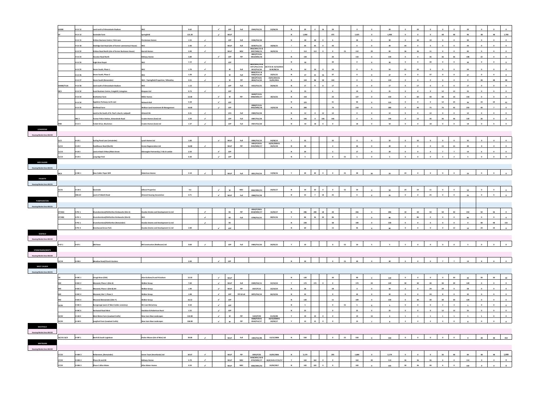|                                                                                                 | V008              | <b>H-LV 12</b>    | Land north of Almondvale Stadium                     | WLC                                              | 0.62         |                               | $\mathcal{L}$               | LDP                        | Full       | 0544/FUL/15                  | 23/06/16                           | N            | 20              | $\mathbf{A}$   | 16<br>20                                               |                          | $\overline{\mathbf{0}}$ |                         | 20           |                         | 20                      |                         |                               |                                                    | 20                      |                                     |                         | $\mathbf{0}$                         |
|-------------------------------------------------------------------------------------------------|-------------------|-------------------|------------------------------------------------------|--------------------------------------------------|--------------|-------------------------------|-----------------------------|----------------------------|------------|------------------------------|------------------------------------|--------------|-----------------|----------------|--------------------------------------------------------|--------------------------|-------------------------|-------------------------|--------------|-------------------------|-------------------------|-------------------------|-------------------------------|----------------------------------------------------|-------------------------|-------------------------------------|-------------------------|--------------------------------------|
|                                                                                                 |                   | <b>H-LV 13</b>    | Gavieside Farm                                       | Springfield                                      | 121.20       |                               | $\mathcal{L}_{\mathcal{A}}$ | <b>WLLP</b>                |            |                              |                                    | N            | 1,900           |                | 475                                                    |                          | 1,425                   | $\bullet$               | 1,900        | $\bullet$               | $\bullet$               | $\overline{\mathbf{0}}$ | 48                            | 48                                                 | 96                      | 48                                  | 48                      | 1,708                                |
|                                                                                                 |                   | <b>H-LV 15</b>    | Kirkton Business Centre / Kirk Lane                  | Persimmon Homes                                  | 1.55         | $\mathcal{L}_{\mathcal{L}}$   |                             | <b>LDP</b>                 | Full       | 0196/FUL/18                  |                                    | N            | 40              | 40             | 6                                                      |                          | 34                      | $\overline{0}$          | 40           | $\overline{\mathbf{0}}$ | 30                      | 10                      | $\bullet$                     | $\bullet$                                          | 40                      | $\bullet$                           | $\overline{\mathbf{0}}$ | $\mathbf{0}$                         |
|                                                                                                 |                   |                   |                                                      |                                                  |              |                               |                             |                            |            |                              |                                    |              |                 |                |                                                        |                          |                         |                         |              |                         |                         |                         |                               |                                                    |                         |                                     |                         |                                      |
|                                                                                                 |                   | <b>H-LV 18</b>    | Dedridge East Road (site of former Lammermuir House) |                                                  | 2.40         | $\mathcal{L}$                 |                             | <b>WLLP</b>                | Full       | 0239/FUL/15<br>0926/MSC/15 & | 18/06/15                           | $\mathbf{v}$ | 44              | 44             | 44                                                     |                          | $\mathbf{0}$            |                         | 44           | 44                      | $\mathbf 0$             | $\mathbf{o}$            | $\Omega$                      |                                                    | 44                      |                                     |                         | $\mathbf{0}$                         |
|                                                                                                 |                   | <b>H-LV 22</b>    | Kirkton Road North (site of former Buchanan House)   | <b>Barratt Homes</b>                             | 3.90         | $\checkmark$                  |                             | <b>WLLP</b>                | <b>MSC</b> | 0927/MSC/15<br>0822/P/13&    | 26/02/16                           | Y            | 112             | 112            | $\bullet$<br>$\mathbf{0}$                              | $\mathsf{cs}$            | 112                     | 29                      | 83           | 36                      | 36                      | 11                      | $\overline{\mathbf{0}}$       | $\overline{\mathbf{0}}$                            | 83                      | $\bullet$                           | $\overline{\mathbf{0}}$ | $\bullet$                            |
|                                                                                                 |                   | <b>H-LV 23</b>    | <b>Houston Road North</b>                            | <b>Bellway Homes</b>                             | 5.80         |                               | $\checkmark$                | LDP                        | PiP        | 0814/MSC/18                  |                                    | N            | 130             |                | 20                                                     |                          | 110                     | $\mathbf{0}$            | 130          | $\overline{0}$          | $\bf{0}$                | 36                      | 36                            | 36                                                 | 108                     | 22                                  | $\Omega$                | $\overline{\mathbf{0}}$              |
|                                                                                                 |                   | <b>H-LV 24</b>    | <b>Eagle Brae Depot</b>                              | WLC                                              | $1.12\,$     | $\checkmark$                  |                             | LDP                        |            |                              |                                    | N            | 30              |                | 30                                                     |                          | $\bullet$               |                         | 30           | $\mathbf{0}$            | $\circ$                 | 30                      | $\Omega$                      | $\Omega$                                           | 30                      | $\bullet$                           | $\Omega$                | $\overline{\mathbf{0}}$              |
|                                                                                                 |                   |                   |                                                      |                                                  |              |                               |                             |                            |            | 0625/MSC/15&                 | 0371/FUL/15 & 24/7/15 & 15/10/2015 |              |                 |                |                                                        |                          |                         |                         |              |                         |                         |                         |                               |                                                    |                         |                                     |                         |                                      |
|                                                                                                 |                   | <b>H-LV 25</b>    | Deans South, Phase 1                                 | <b>WLC</b>                                       | 1.70         | $\sim$                        |                             | W                          | Full       | 0413/FUL/16                  | & 09/08/16                         | N            | 54              | 54             | 54                                                     |                          | $\bullet$               | $\sim$                  | 54           | 21                      | 33                      | $\overline{\mathbf{0}}$ | $\bullet$                     | $\bullet$                                          | 54                      | $\bullet$                           | $\bullet$               | $\mathbf{0}$                         |
|                                                                                                 |                   | <b>H-LV 26</b>    | Deans South, Phase 2                                 | <b>WLC</b>                                       | 1.20         | $\checkmark$                  |                             | W                          | Full       | 0834/P/14 &<br>0182/FUL/18   | 23/01/15                           | N            | 37              | 21             | 37<br>16                                               |                          | $\bullet$               | $\Omega$                | 37           | $\overline{0}$          | $\bullet$               | 37                      | $\bullet$                     | $\bullet$                                          | 37                      | $\bullet$                           | $\Omega$                | $\overline{\mathbf{0}}$              |
|                                                                                                 |                   | <b>H-LV 27</b>    | <b>Deans South (Remainder)</b>                       | WLC / Springfield Properties / Wheatley          | 4.55         | $\checkmark$                  |                             | $\mathbf w$                | PiP        | 0053/P/16&<br>0826/FUL/18    | 23/01/2015 &<br>16/05/2016         | N            | 144             | 86             | 58<br>144                                              |                          | $\bullet$               | $\overline{\mathbf{0}}$ | 144          | $\bullet$               | $\bullet$               | $\overline{\mathbf{0}}$ | $\bullet$                     | $\bullet$                                          | $\overline{\mathbf{0}}$ | 48                                  | 48                      | 48                                   |
|                                                                                                 |                   |                   |                                                      |                                                  |              |                               |                             |                            |            |                              |                                    |              |                 |                |                                                        |                          |                         |                         |              |                         |                         |                         |                               |                                                    |                         |                                     |                         |                                      |
|                                                                                                 | <b>AV008/TCU6</b> | H-LV 30           | Land south of Almondvale Stadium                     | <b>WLC</b>                                       | 1.13         |                               | $\epsilon$                  | <b>LDP</b>                 | Full       | 0553/FUL/15                  | 20/06/16                           | N            | 17              | $\mathbf{q}$   | 17<br>$\mathbf{R}$                                     |                          | $\overline{\mathbf{0}}$ | $\Omega$                | 17           | $\bullet$               | 17                      | $\bullet$               | $\bullet$                     | $\overline{\mathbf{0}}$                            | 17                      | $\bullet$                           | $\Omega$                | $\mathbf{0}$                         |
|                                                                                                 | 99/1              | <b>H-LV32</b>     | <b>Eucal Business Centre, Craigshill, Livingston</b> | <b>Bizspace Ltd</b>                              | 0.73         | $\mathcal{L}$                 |                             | LDP                        |            |                              |                                    | $\mathbb N$  | 25              |                | 6                                                      |                          | 19                      |                         | 25           | $\mathbf{0}$            | $\mathbf{0}$            | $\overline{\mathbf{0}}$ | 12                            | 13                                                 | 25                      | $\mathbf{0}$                        | $\mathbf{0}$            | $\mathbf{0}$                         |
|                                                                                                 |                   | <b>H-LV33</b>     | <b>Brotherton Farm</b>                               | <b>Miller Homes</b>                              | 12.40        |                               | $\mathcal{A}$               | W                          | PiP        | 0648/P/14 &<br>0900/MSC/17   | 28/10/16                           | N            | 150             |                | 23                                                     |                          | 127                     | $\mathbf{0}$            | 150          | $\bullet$               | 60                      | 40                      | 40                            | 10                                                 | 150                     | $\overline{\mathbf{0}}$             | $\bullet$               | $\mathbf{0}$                         |
|                                                                                                 |                   | <b>H-LV 34</b>    | Appleton Parkway north east                          | <b>Network Rail</b>                              | 5.58         |                               | $\mathcal{A}$ .             | LDP                        |            |                              |                                    | N            | 125             |                | 31                                                     |                          | 94                      | $\Omega$                | 125          | $\overline{0}$          | $\bf{0}$                | $\overline{\mathbf{0}}$ | 12                            | 24                                                 | 36                      | 24                                  | 24                      | 41                                   |
|                                                                                                 |                   |                   |                                                      |                                                  |              |                               |                             |                            |            | 0908/P/15&                   |                                    |              |                 |                |                                                        |                          |                         |                         |              |                         |                         |                         |                               |                                                    |                         |                                     |                         |                                      |
|                                                                                                 |                   | <b>H-LV35</b>     | <b>Wellhead Farm</b>                                 | <b>Wallace Land Investment &amp; Management</b>  | 16.60        |                               | $\sim$                      | LDP                        |            | 0922/MSC/18                  | 14/02/18                           | N            | 280             |                | 70                                                     |                          | 210                     | $\bullet$               | 280          | $\bullet$               | 40                      | 75                      | 76                            | 42                                                 | 233                     | 40                                  | $\overline{7}$          | $\bullet$                            |
|                                                                                                 |                   |                   | Land to the South of St. Paul's church, Ladywell     | Almond HA                                        | 0.31         | $\mathcal{L}$                 |                             | <b>UCS</b>                 | Full       | 0584/FUL/18                  |                                    | N            | 12              | $\circ$        | 12<br>12                                               |                          | $\bullet$               | $\Omega$                | 12           | $\bullet$               | $\bullet$               | 12                      | $\bullet$                     | $\bullet$                                          | 12                      | $\bullet$                           | $\overline{\mathbf{0}}$ | $\bullet$                            |
|                                                                                                 |                   | MU <sub>3</sub>   | Former Police Station, Almondvale Road               | Cruden Homes (East) Ltd                          | 2.20         | $\checkmark$                  |                             | <b>LDP</b>                 | Full       | 0907/FUL/18                  |                                    | $\mathbb N$  | 146             | $\circ$        | 146<br>146                                             |                          | $\bullet$               | $\circ$                 | 146          | $\bullet$               | 12                      | 36                      | 36                            | 36                                                 | 120                     | 26                                  | $\overline{\mathbf{0}}$ | $\bullet$                            |
|                                                                                                 | MS8               | H-LV <sub>3</sub> | <b>Tarbet Drive, Murieston</b>                       | <b>Cruden Homes (East) Ltd</b>                   | 1.37         | $\mathcal{L}_{\mathcal{A}}$   |                             | LDP                        | Full       | 0927/FUL/18                  |                                    | N            | 18              | 18             | $\mathbf{0}$<br>$\mathbf{0}$                           |                          | 18                      | $\mathbf{0}$            | 18           | $\mathbf{0}$            | $\mathbf{0}$            | 18                      | $\bullet$                     | $\overline{\mathbf{0}}$                            | 18                      | $\bullet$                           | $\mathbf{0}$            | $\bullet$                            |
| <b>LONGRIDGE</b>                                                                                |                   |                   |                                                      |                                                  |              |                               |                             |                            |            |                              |                                    |              |                 |                |                                                        |                          |                         |                         |              |                         |                         |                         |                               |                                                    |                         |                                     |                         |                                      |
|                                                                                                 |                   |                   |                                                      |                                                  |              |                               |                             |                            |            |                              |                                    |              |                 |                |                                                        |                          |                         |                         |              |                         |                         |                         |                               |                                                    |                         |                                     |                         |                                      |
| <b>Housing Market Area WLC02</b>                                                                |                   |                   |                                                      |                                                  |              |                               |                             |                            |            |                              |                                    |              |                 |                |                                                        |                          |                         |                         |              |                         |                         |                         |                               |                                                    |                         |                                     |                         |                                      |
|                                                                                                 | 11/1              | H-LR 1            | <b>Curling Pond Lane (remainder)</b>                 | <b>Lynch Homes Ltd</b>                           | 1.00         |                               | $\checkmark$                | <b>WLLP</b>                | Full       | 0906/FUL/14                  | 04/08/14                           | <b>Y</b>     | 32              |                | 32                                                     |                          | $\bullet$               | $\Omega$                | 32           | $\overline{\mathbf{0}}$ | 32                      | $\overline{\mathbf{0}}$ | $\bullet$                     | $\overline{\mathbf{0}}$                            | 32                      | $\mathbf{0}$                        | $\Omega$                | $\bullet$                            |
|                                                                                                 | 11/11             | <b>H-LR 2</b>     | <b>Fauldhouse Road (North)</b>                       | <b>Ecosse Regeneration Ltd</b>                   | 16.80        | $\mathcal{L}_{\mathcal{A}}$   |                             | <b>WLLP</b>                | PiP        | 0493/P/02 &<br>0332/MSC/17   | 10/05/2006 &<br>26/01/18           | N            | 30              |                | $\overline{a}$                                         |                          | 26                      | $\Omega$                | 30           | $\bullet$               | $\bullet$               | $\overline{\mathbf{0}}$ | 15                            | 15                                                 | 30                      | $\mathbf{0}$                        | $\Omega$                | $\mathbf{0}$                         |
|                                                                                                 | 11/13             | $H-LR3$           | Land at Back O Moss/Main Street                      | Gleneagles Partnership / D & D Lambie            | 2.50         |                               | $\mathcal{L}_{\mathcal{L}}$ | <b>LDP</b>                 |            |                              |                                    | N            | 20              |                | $\overline{\mathbf{3}}$                                |                          | 17                      | $\bullet$               | 20           | $\overline{\mathbf{0}}$ | $\bullet$               | $\bullet$               | $\overline{7}$                | $\overline{7}$                                     | 14                      | 6                                   | $\overline{\mathbf{0}}$ | $\overline{\mathbf{0}}$              |
|                                                                                                 |                   | H-LR 4            | <b>Longridge Park</b>                                |                                                  | 0.30         |                               | $\checkmark$                | LDP                        |            |                              |                                    | $\mathbb N$  | $5\overline{5}$ |                | $\overline{\mathbf{0}}$                                | $\mathsf{cs}$            | 5 <sub>1</sub>          |                         |              | $\overline{\mathbf{0}}$ | $\bf{0}$                | $\overline{\mathbf{0}}$ | $\overline{\mathbf{3}}$       | $\overline{2}$                                     |                         | $\bullet$                           | $\mathbf{0}$            |                                      |
|                                                                                                 | 11/14             |                   |                                                      |                                                  |              |                               |                             |                            |            |                              |                                    |              |                 |                |                                                        |                          |                         |                         |              |                         |                         |                         |                               |                                                    |                         |                                     |                         |                                      |
| <b>MID CALDER</b>                                                                               |                   |                   |                                                      |                                                  |              |                               |                             |                            |            |                              |                                    |              |                 |                |                                                        |                          |                         |                         |              |                         |                         |                         |                               |                                                    |                         |                                     |                         |                                      |
| <b>Housing Market Area WLC01</b>                                                                |                   |                   |                                                      |                                                  |              |                               |                             |                            |            |                              |                                    |              |                 |                |                                                        |                          |                         |                         |              |                         |                         |                         |                               |                                                    |                         |                                     |                         |                                      |
|                                                                                                 | 99/4              | H-MC <sub>1</sub> | <b>New Calder Paper Mill</b>                         | <b>Robertson Homes</b>                           | 2.10         | $\mathcal{L}$                 |                             | <b>WLLP</b>                | Full       | 0811/FUL/14                  | 13/06/16                           | Y            | 49              | 49             | $\bullet$<br>$\bullet$                                 | $\mathsf{cs}$            | 49                      |                         | 23           | 23                      | $\overline{\mathbf{0}}$ | $\overline{\mathbf{0}}$ | $\overline{\mathbf{0}}$       | $\circ$                                            | 23                      | $\bullet$                           | $\overline{\mathbf{0}}$ |                                      |
| <b>POLBETH</b>                                                                                  |                   |                   |                                                      |                                                  |              |                               |                             |                            |            |                              |                                    |              |                 |                |                                                        |                          |                         |                         |              |                         |                         |                         |                               |                                                    |                         |                                     |                         |                                      |
|                                                                                                 |                   |                   |                                                      |                                                  |              |                               |                             |                            |            |                              |                                    |              |                 |                |                                                        |                          |                         |                         |              |                         |                         |                         |                               |                                                    |                         |                                     |                         |                                      |
| <b>Housing Market Area WLC01</b>                                                                |                   |                   |                                                      |                                                  |              |                               |                             |                            |            |                              |                                    |              |                 |                |                                                        |                          |                         |                         |              |                         |                         |                         |                               |                                                    |                         |                                     |                         |                                      |
|                                                                                                 | 15/41             | H-LW 1            | Gavieside                                            | <b>Gillean Properties</b>                        | 4.6          |                               | $\mathcal{A}$               | W                          | <b>MSC</b> | 0365/MSC/15                  | 29/05/17                           | N            | 59              | 59             | $\bullet$<br>$\Omega$                                  | $\mathsf{CS}\phantom{0}$ | 59                      | $\mathbf{0}$            | 59           | 24                      | 24                      | 11                      | $\bullet$                     | $\bullet$                                          | 59                      | $\overline{\mathbf{0}}$             | $\overline{0}$          | $\bullet$                            |
|                                                                                                 |                   | <b>HWc10</b>      | Land at Polbeth Road                                 | <b>Almond Housing Association</b>                | 0.71         |                               | $\mathcal{L}_{\mathcal{A}}$ | <b>WLLP</b>                |            | 0068/FUL/18                  |                                    | N            | 25              | 7 <sup>7</sup> | 18<br>25                                               |                          | $\bullet$               | $\sim$                  | 25           | $\mathbf{0}$            | $\mathbf{0}$            | 25                      | $\bullet$                     | $\bullet$                                          | 25                      | $\overline{\mathbf{0}}$             | $\bullet$               |                                      |
|                                                                                                 |                   |                   |                                                      |                                                  |              |                               |                             |                            | Full       |                              |                                    |              |                 |                |                                                        |                          |                         |                         |              |                         |                         |                         |                               |                                                    |                         |                                     |                         |                                      |
|                                                                                                 |                   |                   |                                                      |                                                  |              |                               |                             |                            |            |                              |                                    |              |                 |                |                                                        |                          |                         |                         |              |                         |                         |                         |                               |                                                    |                         |                                     |                         |                                      |
| <b>PUMPHERSTON</b>                                                                              |                   |                   |                                                      |                                                  |              |                               |                             |                            |            |                              |                                    |              |                 |                |                                                        |                          |                         |                         |              |                         |                         |                         |                               |                                                    |                         |                                     |                         |                                      |
| <b>Housing Market Area WLC01</b>                                                                |                   |                   |                                                      |                                                  |              |                               |                             |                            |            | 0050/P/08&                   |                                    |              |                 |                |                                                        |                          |                         |                         |              |                         |                         |                         |                               |                                                    |                         |                                     |                         |                                      |
|                                                                                                 | 27/3(A)           | H-PU <sub>1</sub> | Drumshoreland/Kirkforthar Brickworks (Site A)        | <b>Dundas Estates and Development Co Ltd</b>     |              | $\mathcal{L}$                 |                             | <b>BS</b>                  | PiP        | 0418/MSC/17                  | 31/05/17                           | N            | 286             | 248            | 18<br>20                                               |                          | 266                     | $\Omega$                | 286          | 10                      | 50                      | 50                      | 50                            | 50                                                 | 210                     | 50                                  | 26                      | $\bullet$                            |
|                                                                                                 | 27/3(B)           | H-PU <sub>1</sub> | Drumshoreland/Kirkforthar Brickworks (Site B)        | <b>WLC</b>                                       |              | $\mathcal{L}$                 |                             | <b>BS</b>                  | Full       | 0708/FUL/15                  | 08/01/16                           | Y            | 86              | 56             | 30 <sub>2</sub><br>86                                  |                          | $\overline{\mathbf{0}}$ | $\Omega$                | 86           | $\bullet$               | 86                      | $\overline{\mathbf{0}}$ | $\bullet$                     | $\overline{\mathbf{0}}$                            | 86                      | $\bullet$                           | $\overline{\mathbf{0}}$ | $\overline{\mathbf{0}}$              |
|                                                                                                 |                   | H-PU <sub>1</sub> | Drumshoreland/Kirkforthar (Remainder)                | <b>Dundas Estates and Development Co Ltd</b>     |              | $\checkmark$                  |                             | <b>BS</b>                  |            |                              |                                    | N            | 228             |                | 38                                                     |                          | 190                     | $\bullet$               | 228          | $\overline{0}$          | $\bullet$               | $\bullet$               | $\bullet$                     | $\overline{\mathbf{0}}$                            | $\bullet$               | 48                                  | 48                      | 132                                  |
|                                                                                                 |                   |                   |                                                      |                                                  |              |                               |                             |                            |            |                              |                                    |              |                 |                |                                                        |                          |                         |                         |              |                         |                         |                         |                               |                                                    |                         |                                     |                         |                                      |
|                                                                                                 |                   | H-PU 4            | <b>Beechwood Grove Park</b>                          | <b>Dundas Estates and Development Co Ltd</b>     | 2.89         |                               | $\checkmark$                | LDP                        |            |                              |                                    | N            | 60              |                | 15                                                     |                          | 45                      |                         | 60           | $\bullet$               | $\bullet$               | $\overline{\mathbf{0}}$ | $\bullet$                     | 12                                                 | 12                      | 24                                  | 24                      | $\bullet$                            |
| <b>SEAFIELD</b>                                                                                 |                   |                   |                                                      |                                                  |              |                               |                             |                            |            |                              |                                    |              |                 |                |                                                        |                          |                         |                         |              |                         |                         |                         |                               |                                                    |                         |                                     |                         |                                      |
|                                                                                                 |                   |                   |                                                      |                                                  |              |                               |                             |                            |            |                              |                                    |              |                 |                |                                                        |                          |                         |                         |              |                         |                         |                         |                               |                                                    |                         |                                     |                         |                                      |
|                                                                                                 | H-SF <sub>1</sub> | H-SF <sub>1</sub> | Old Rows                                             | <b>RB Construction (Redhouse) Ltd</b>            | 0.60         | $\mathcal{L}_{\mathcal{A}}$   |                             | <b>LDP</b>                 | Full       | 0460/FUL/10                  | 26/05/15                           | <b>Y</b>     | 10              |                | $\bullet$                                              | cs                       | 10                      |                         |              |                         | $\bf{0}$                | $\overline{\mathbf{0}}$ | $\bullet$                     |                                                    |                         |                                     |                         |                                      |
|                                                                                                 |                   |                   |                                                      |                                                  |              |                               |                             |                            |            |                              |                                    |              |                 |                |                                                        |                          |                         |                         |              |                         |                         |                         |                               |                                                    |                         |                                     |                         |                                      |
|                                                                                                 |                   |                   |                                                      |                                                  |              |                               |                             |                            |            |                              |                                    |              |                 |                |                                                        |                          |                         |                         |              |                         |                         |                         |                               |                                                    |                         |                                     |                         |                                      |
| <b>Housing Market Area WLC02</b><br><b>STONEYBURN/BENTS</b><br><b>Housing Market Area WLC02</b> |                   |                   |                                                      |                                                  |              |                               |                             |                            |            |                              |                                    |              |                 |                |                                                        |                          |                         |                         |              |                         |                         |                         |                               |                                                    |                         |                                     |                         |                                      |
|                                                                                                 | 13/18             | $H-SB6$           | <b>Meadow Road/Church Gardens</b>                    |                                                  | 2.00         |                               | $\mathcal{A}$               | LDP                        |            |                              |                                    | N            | 30              |                | $\mathbf{0}$                                           | cs                       | 30                      |                         | 30           | $\bullet$               | $\bf{0}$                | $\overline{\mathbf{0}}$ | $\overline{7}$                | $\overline{7}$                                     | 14                      | 8                                   | 8                       |                                      |
| <b>WEST CALDER</b>                                                                              |                   |                   |                                                      |                                                  |              |                               |                             |                            |            |                              |                                    |              |                 |                |                                                        |                          |                         |                         |              |                         |                         |                         |                               |                                                    |                         |                                     |                         |                                      |
|                                                                                                 |                   |                   |                                                      |                                                  |              |                               |                             |                            |            |                              |                                    |              |                 |                |                                                        |                          |                         |                         |              |                         |                         |                         |                               |                                                    |                         |                                     |                         |                                      |
| <b>Housing Market Area WLC01</b>                                                                |                   | H-WC 1            | Cleugh Brae (CDA)                                    | Alan Graham/A and R Graham                       | 12.10        |                               | $\checkmark$                | <b>WLLP</b>                |            |                              |                                    | N            | 120             |                | 30                                                     |                          | 90                      | $\mathbf{0}$            | 120          | $\overline{0}$          | $\bf{0}$                | $\overline{\mathbf{0}}$ | $\bullet$                     | 30                                                 | 30                      | 30                                  | 30                      | 30                                   |
|                                                                                                 |                   |                   |                                                      |                                                  |              |                               |                             |                            |            |                              |                                    |              |                 |                |                                                        |                          |                         |                         |              |                         |                         |                         |                               |                                                    |                         |                                     |                         |                                      |
|                                                                                                 |                   | H-WC <sub>2</sub> | Mossend, Phase 1 (Site A)                            | <b>Walker Group</b>                              | 7.00         |                               | $\sim$                      | <b>WLLP</b>                | Full       | 0349/FUL/11                  | 22/10/14                           | Y            | 173             | 173            | $\bullet$                                              |                          | 173                     | 24                      | 149          | 30                      | 30                      | 30                      | 30                            | 29                                                 | 149                     | $\bullet$                           | $\Omega$                | $\mathbf{0}$                         |
|                                                                                                 | <b>MO</b>         | H-WC3             | Mossend, Phase 1 (Site B) AH                         | <b>Walker Group</b>                              | 1.90         |                               | $\overline{\phantom{a}}$    | <b>WLLP</b>                | PiP        | 0337/P/13                    | 22/10/14                           | N            | 58              |                | 58                                                     |                          | $\bullet$               | $\Omega$                | 58           | $\overline{\mathbf{0}}$ | $\overline{0}$          | 29                      | 29                            | $\overline{\mathbf{0}}$                            | 58                      | $\overline{\mathbf{0}}$             | $\bullet$               | $\mathbf{0}$                         |
|                                                                                                 | <b>MO</b>         | H-WC 4            | Mossend, Site Y, Phase 3                             | <b>Walker Group</b>                              | 1.98         |                               | $\mathcal{L}$               | <b>LDP</b>                 | PiP & Full | 0875/FUL/14                  | 06/10/16                           | N            | 32              |                | $\mathbf{0}$                                           |                          | 32                      | $\overline{0}$          | 32           | $\overline{0}$          | $\circ$                 | 24                      | 8                             | $\bullet$                                          | 32                      | $\bullet$                           | $\bullet$               | $\mathbf{0}$                         |
|                                                                                                 | MO                | H-WC 4            | <b>Mossend (Remainder) (Site Y)</b>                  | <b>Walker Group</b>                              | 16.12        |                               | $\mathcal{L}_{\mathcal{L}}$ | LDP                        |            |                              |                                    | N            | 120             |                | 11                                                     |                          | 109                     | $\mathbf{0}$            | 120          | $\circ$                 | 30                      | 30                      | 30                            | 30                                                 | 120                     | $\bullet$                           | $\circ$                 | $\bullet$                            |
|                                                                                                 |                   |                   |                                                      |                                                  |              |                               |                             |                            |            |                              |                                    |              |                 |                |                                                        |                          |                         | $\mathbf{0}$            |              |                         |                         |                         | $\overline{2}$                | $\overline{\mathbf{3}}$                            | 5                       |                                     | $\overline{0}$          |                                      |
|                                                                                                 | 15/45             | H-WC 5            | <b>Burngrange (west of West Calder cemetery)</b>     | Mr Liam McCartney                                | 0.50         |                               | $\checkmark$                | LDP                        |            |                              |                                    | N            | $5^{\circ}$     |                | $\mathbf{0}$                                           | $\mathsf{cs}$            | 5 <sub>1</sub>          |                         |              | $\bullet$               | $\bullet$               | $\bullet$               |                               |                                                    |                         | $\bullet$                           |                         | $\bullet$                            |
|                                                                                                 |                   | H-WC 6            | <b>Hartwood Road West</b>                            | Davidson & Robertson Rural                       | 1.55         |                               | $\overline{\phantom{a}}$    | LDP                        |            |                              |                                    | N            | 25              |                | $\mathbf 0$                                            |                          | 25                      | $\mathbf{0}$            | 25           | $\bullet$               | $\mathbf{0}$            | $\mathbf 0$             | 12                            | 13                                                 | 25                      | $\bullet$                           | $\mathbf{0}$            | $\bullet$                            |
|                                                                                                 | 15/42             | H-LW 4            | <b>West Mains Farm (Lowland Crofts)</b>              | <b>New Lives New Landscapes</b>                  | 132.00       |                               | $\sim$                      | $\mathbf w$                | PiP        | 1424/P/04<br>0188/P/05&      | 01/04/08<br>10/10/2008 &           | Y            | 19              | 19             | $\mathbf{0}$<br>$\Omega$                               |                          | 19                      | 13                      | 6            | $\mathbf{1}$            | $\mathbf{1}$            | $\mathbf{1}$            | $\mathbf{1}$                  | $\overline{1}$                                     | 5 <sup>5</sup>          | $\mathbf{1}$                        | $\overline{0}$          | $\bullet$                            |
|                                                                                                 | 15/43             | H-LW 5            | <b>Longford Farm (Lowland Crofts)</b>                | <b>New Lives New Landscapes</b>                  | 106.00       |                               | $\mathcal{L}_{\mathcal{L}}$ | $\mathbf w$                | PiP        | 0544/FUL/17                  | 20/09/17                           | <b>Y</b>     | 15              | 15             | $\mathbf{0}$                                           |                          | 15                      |                         | $\mathbf{R}$ | $\overline{2}$          | $\overline{2}$          | $\overline{2}$          | $\overline{2}$                | $\mathbf{0}$                                       |                         | $\mathbf{0}$                        | $\overline{\mathbf{0}}$ | $\bullet$                            |
| <b>WESTFIELD</b>                                                                                |                   |                   |                                                      |                                                  |              |                               |                             |                            |            |                              |                                    |              |                 |                |                                                        |                          |                         |                         |              |                         |                         |                         |                               |                                                    |                         |                                     |                         |                                      |
|                                                                                                 |                   |                   |                                                      |                                                  |              |                               |                             |                            |            |                              |                                    |              |                 |                |                                                        |                          |                         |                         |              |                         |                         |                         |                               |                                                    |                         |                                     |                         |                                      |
|                                                                                                 |                   |                   |                                                      |                                                  |              |                               |                             |                            |            |                              |                                    |              |                 |                |                                                        |                          |                         |                         |              |                         |                         |                         |                               |                                                    |                         |                                     |                         |                                      |
|                                                                                                 | 16/3 & 16/4       | H-WF1             | North & South Logiebrae                              | Parker Moore (Isle of Man) Ltd                   | 34.00        | $\mathcal{L}$                 |                             | <b>WLLP</b>                | Full       | 1003/FUL/08                  | 13/12/2008                         | N            | 550             |                | $\mathbf{0}$                                           | $\mathsf{cs}$            | 550                     |                         | 550          | $\Omega$                | $\bullet$               | $\overline{\mathbf{0}}$ | $\bullet$                     |                                                    |                         | 48                                  | 48                      | 454                                  |
| <b>WHITBURN</b>                                                                                 |                   |                   |                                                      |                                                  |              |                               |                             |                            |            |                              |                                    |              |                 |                |                                                        |                          |                         |                         |              |                         |                         |                         |                               |                                                    |                         |                                     |                         |                                      |
|                                                                                                 |                   |                   |                                                      |                                                  |              |                               |                             |                            |            |                              |                                    |              |                 |                |                                                        |                          |                         |                         |              |                         |                         |                         |                               |                                                    |                         |                                     |                         |                                      |
| <b>Housing Market Area WLC02</b><br><b>Housing Market Area WLC02</b>                            | 17/22             | H-WH3             | <b>Polkemmet, (Remainder</b>                         | <b>Green Town (Heartlands) Ltd</b>               | 64.67        | $\checkmark$                  |                             | <b>WLLP</b>                | PiP        | 0493/P/02                    | 10/05/2006                         | N            | 2,179           |                | 295                                                    |                          | 1,884                   | $\Omega$                | 2,179        | $\Omega$                | $\bullet$               | $\Omega$                | 36                            | 48                                                 | 84                      | 48                                  | 48                      |                                      |
|                                                                                                 |                   |                   |                                                      |                                                  |              |                               |                             |                            |            | 0108/MSC/16 &                |                                    |              |                 |                |                                                        |                          |                         |                         |              |                         |                         |                         |                               |                                                    |                         |                                     |                         | 1,999                                |
|                                                                                                 | 17/22<br>17/22    | H-WH 3<br>H-WH 3  | Phase 2A and 2B<br>Phase 2 Allan Water               | <b>Bellway Homes</b><br><b>Allan Water Homes</b> | 5.70<br>4.33 | $\checkmark$<br>$\mathcal{L}$ |                             | <b>WLLP</b><br><b>WLLP</b> | MSC<br>MSC | 0733/MSC/17<br>0582/MSC/16   | 16/6/16 & 17/11/17<br>24/04/2017   | Y<br>N       | 163<br>102      | 163<br>102     | $\bullet$<br>$\mathbf{0}$<br>$\bullet$<br>$\mathbf{0}$ |                          | 163<br>102              | 49                      | 114<br>102   | 36<br>30 <sub>2</sub>   | 36<br>36                | 36<br>30                | 6 <sup>1</sup><br>$6^{\circ}$ | $\overline{\mathbf{0}}$<br>$\overline{\mathbf{0}}$ | 114<br>102              | $\overline{\mathbf{0}}$<br>$\Omega$ | $\overline{\mathbf{0}}$ | $\overline{\mathbf{0}}$<br>$\bullet$ |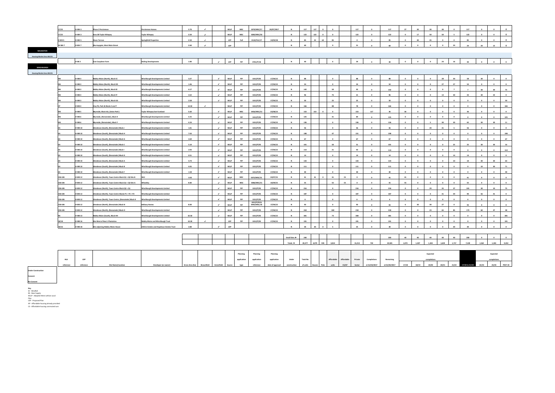| 17/22             | H-WH <sub>3</sub> | <b>Phase 2 Persimmon</b>      | 3.70<br><b>Persimmon Homes</b>        |  | WLLP       | <b>MSC</b> | 0370/MSC/17 | 20/07/2017 | 117        | 117 |    |    | 117 | 117 | 27 |  |
|-------------------|-------------------|-------------------------------|---------------------------------------|--|------------|------------|-------------|------------|------------|-----|----|----|-----|-----|----|--|
| 17/22             | H-WH <sub>3</sub> | Area 3B Taylor Wimpey         | 3.50<br><b>Taylor Wimpey</b>          |  | WLLP       | <b>MSC</b> | 0283/MSC/18 |            | 122        | 122 |    |    | 122 | 122 |    |  |
| H-WH <sub>5</sub> | H-WH <sub>5</sub> | <b>Dixon Terrace</b>          | <b>Springfield Properties</b><br>2.50 |  | 100        | Full       | 0110/FUL/17 | 14/03/18   | or         | 23  | 62 | 85 |     |     |    |  |
| W-WH7             | H-WH 7            | Murraysgate, West Main Street | 2.60                                  |  | <b>IDD</b> |            |             |            | $\epsilon$ |     |    |    | 51  |     |    |  |
|                   |                   |                               |                                       |  |            |            |             |            |            |     |    |    |     |     |    |  |

| 17/22                            | H-WH 3            | <b>Phase 2 Persimmon</b>                            | <b>Persimmon Homes</b>                     | 3.70  | $\mathcal{L}$               |                             | <b>WLLP</b> | MSC        | 0370/MSC/17              | 20/07/2017 |                              | 117             | 117<br>$\circ$              |                         |                        | 117             | $\mathbf{0}$   | 117             | 27                      | 30                      | 30              | 30                      |                          | 117             |                         |                | $\mathbf{0}$            |
|----------------------------------|-------------------|-----------------------------------------------------|--------------------------------------------|-------|-----------------------------|-----------------------------|-------------|------------|--------------------------|------------|------------------------------|-----------------|-----------------------------|-------------------------|------------------------|-----------------|----------------|-----------------|-------------------------|-------------------------|-----------------|-------------------------|--------------------------|-----------------|-------------------------|----------------|-------------------------|
| 17/22                            | H-WH 3            | Area 3B Taylor Wimpey                               | <b>Taylor Wimpey</b>                       | 3.50  | $\mathcal{L}$               |                             | <b>WLLP</b> | MSC        | 0283/MSC/18              |            |                              | 122             | 122<br>$\circ$              |                         |                        | 122             | $\mathbf{0}$   | 122             | $\circ$                 | 17                      | 50              | 50                      |                          | 122             | $\mathbf{0}$            | $\bullet$      | $\bullet$               |
| H-WH <sub>5</sub>                | H-WH <sub>5</sub> | <b>Dixon Terrace</b>                                | <b>Springfield Properties</b>              | 2.50  | $\epsilon$                  |                             | <b>LDP</b>  | Full       | 0110/FUL/17              | 14/03/18   | N                            | 85              | 62<br>23                    | 85                      |                        | $\bullet$       | $\Omega$       | 85              | $\Omega$                | 40                      | 45              | $\mathbf{0}$            | $\Omega$                 | 85              | $\Omega$                | $\Omega$       | $\overline{0}$          |
| W-WH7                            | H-WH 7            | Murraysgate, West Main Street                       |                                            | 2.60  | $\mathcal{L}_{\mathcal{A}}$ |                             | LDP         |            |                          |            | $\mathbb N$                  | 60              |                             | و                       |                        | 51              | $\mathbf{0}$   | 60              | $\bullet$               | $\bullet$               | $\bullet$       | $\bullet$               | 24                       | 24              | 24                      | 12             | $\overline{\mathbf{0}}$ |
|                                  |                   |                                                     |                                            |       |                             |                             |             |            |                          |            |                              |                 |                             |                         |                        |                 |                |                 |                         |                         |                 |                         |                          |                 |                         |                |                         |
| <b>Housing Market Area WLC01</b> |                   |                                                     |                                            |       |                             |                             |             |            |                          |            |                              |                 |                             |                         |                        |                 |                |                 |                         |                         |                 |                         |                          |                 |                         |                |                         |
|                                  | $H-WI2$           | East Coxydene Farm                                  | <b>Stirling Developments</b>               | 1.80  |                             | $\mathbf{v}$                | LDP         | PiP        | 0761/P/18                |            | N                            | 40              |                             | $\epsilon$              |                        | 34              | $\sim$         | 40              | $\bullet$               | $\bullet$               | $\bullet$       | 24                      | 16                       | 40              | $\Omega$                | $\circ$        | $\bullet$               |
|                                  |                   |                                                     |                                            |       |                             |                             |             |            |                          |            |                              |                 |                             |                         |                        |                 |                |                 |                         |                         |                 |                         |                          |                 |                         |                |                         |
|                                  |                   |                                                     |                                            |       |                             |                             |             |            |                          |            |                              |                 |                             |                         |                        |                 |                |                 |                         |                         |                 |                         |                          |                 |                         |                |                         |
| <b>Housing Market Area WLC01</b> |                   |                                                     |                                            |       |                             | $\mathcal{L}$               |             |            |                          |            | N                            |                 |                             | $\sim$                  |                        |                 |                |                 | $\sim$                  | $\Omega$                | $\Omega$        |                         |                          | 58              | 30 <sup>2</sup>         | $\sim$         | $\bullet$               |
|                                  | $H-WB3$           | Niddry Mains (North), Block CC                      | Winchburgh Developments Limited            | 3.27  |                             |                             | <b>WLLP</b> | PiP        | 1012/P/05                | 17/04/12   |                              | 88              |                             |                         |                        | 88              | $\Omega$       | 88              |                         |                         |                 | 28                      | 30                       |                 |                         |                |                         |
|                                  | H-WB <sub>3</sub> | Niddry Mains (North), Block DD                      | <b>Winchburgh Developments Limited</b>     | 1.46  |                             | $\mathcal{L}$               | <b>WLLP</b> | PiP        | 1012/P/05                | 17/04/12   | $\mathbb N$                  | 54              |                             | $\overline{\mathbf{0}}$ |                        | 54              | $\overline{0}$ | 54              | $\overline{\mathbf{0}}$ | $\mathbf{0}$            | $\bullet$       | 27                      | 27                       | 54              | $\mathbf{0}$            | $\bullet$      | $\overline{\mathbf{0}}$ |
|                                  | H-WB <sub>3</sub> | Niddry Mains (North), Block EE                      | <b>Winchburgh Developments Limited</b>     | 6.17  |                             | $\mathcal{L}$               | <b>WLLP</b> | PiP        | 1012/P/05                | 17/04/12   | $\mathbf N$                  | 142             |                             | 50                      |                        | 92              | $\bullet$      | 142             | $\overline{\mathbf{0}}$ | $\circ$                 | $\mathbf{0}$    | $\Omega$                |                          |                 | 30 <sub>o</sub>         | 30             | 75                      |
|                                  | H-WB <sub>3</sub> | Niddry Mains (North), Block FF                      | Vinchburgh Developments Limited            | 3.52  |                             | $\sim$                      | <b>WLLP</b> | PiP        | 1012/P/05                | 17/04/12   | N                            | 96              |                             | 75                      |                        | 21              | $\Omega$       | 96              | $\Omega$                | $\Omega$                | $\Omega$        | 13                      | 30 <sub>2</sub>          | 43              | 30                      | 23             | $\overline{\mathbf{0}}$ |
|                                  | $H-WB3$           | Niddry Mains (North), Block GG                      | Winchburgh Developments Limited            | 2.58  |                             | $\mathcal{L}$               | <b>WLLP</b> | PiP        | 1012/P/05                | 17/04/12   | N                            | 50              |                             | 25                      |                        | 25              | $\Omega$       | 50              | $\Omega$                | $\Omega$                | $\bullet$       | $\Omega$                | $\Omega$                 | $\Omega$        | $\Omega$                | $\Omega$       | 50                      |
|                                  | H-WB 4            | Clay Pit, Park & Blocks S and T                     | Vinchburgh Developments Limited            | 14.50 | $\mathcal{L}$               |                             | <b>WLLP</b> | PiP        | 1012/P/05                | 17/04/12   |                              | 166             |                             | 88                      |                        | 78              |                | 166             | $\circ$                 |                         |                 |                         | $\mathbf 0$              |                 |                         |                | 166                     |
|                                  | H-WB <sub>5</sub> | Myreside, Block AA, (Seton Park)                    | <b>Taylor Wimpey East Scotland</b>         | 5.60  |                             | $\checkmark$                | <b>WLLP</b> | MSC        | 0426/MSC/13              | 23/08/13   | Y                            | 153             | 153<br>$\bullet$            | $\bullet$               |                        | 153             | 117            | 36              | 36                      | $\mathbf{0}$            | $\bullet$       | $\bullet$               | $\mathbf{0}$             | 36              | $\bullet$               | $\bullet$      | $\bullet$               |
|                                  | H-WB 6            | Myreside, (Remainder), Block X                      | <b>Ninchburgh Developments Limited</b>     | 3.25  |                             | $\mathcal{L}$               | <b>WLLP</b> | PiP        | 1012/P/05                | 17/04/12   | $\mathbf N$                  | 125             |                             | 31                      |                        | 84              | $\circ$        | 125             | $\mathbf{0}$            | $\mathbf{0}$            | $\bullet$       | $\mathbf{0}$            | $\circ$                  | $\bullet$       | $\overline{0}$          | $\Omega$       | 125                     |
|                                  | $H-WB6$           | Myreside, (Remainder), Block Y                      | <b>Ninchburgh Developments Limited</b>     | 4.24  |                             | $\mathcal{L}$               | <b>WLLP</b> | PiP        | 1012/P/05                | 17/04/12   | N                            | 136             |                             | $\Omega$                |                        | 136             | $\sim$         | 136             | $\Omega$                | $\Omega$                | $-5$            | 30 <sub>2</sub>         | 30 <sub>2</sub>          | 65              | 30                      | 30             | 11                      |
|                                  | <b>H-WB 10</b>    | Glendevon (South), (Remainder) Block J              | Winchburgh Developments Limited            | 1.01  |                             | $\mathcal{L}$               | <b>WLLP</b> | PiP        | 1012/P/05                | 17/04/12   | N                            | 56              |                             | $\bullet$               |                        | 56              | $\Omega$       | 56              | $\overline{\mathbf{0}}$ | $\bullet$               | 20              | 31                      | $\overline{\phantom{0}}$ | 56              | $\overline{0}$          | $\overline{0}$ | $\mathbf{0}$            |
|                                  | H-WB 10           | ilendevon (South), (Remainder) Block H              | <b>Ninchburgh Developments Limited</b>     | 7.43  |                             | $\mathcal{L}$               | WLLP        | PiP        | 1012/P/05                | 17/04/12   |                              | 198             |                             | 47                      |                        | 151             |                | 198             | $\circ$                 |                         |                 |                         |                          |                 |                         |                | 198                     |
|                                  | <b>H-WB 10</b>    | Slendevon (South), (Remainder) Block G              | <b>Ninchburgh Developments Limited</b>     | 2.69  |                             | $\epsilon$                  | <b>WLLP</b> | PiP        | 1012/P/05                | 17/04/12   | $\mathbf N$                  | 67              |                             | $\bullet$               |                        | 67              | $\circ$        | 67              | $\bullet$               | $\mathbf{0}$            | $\bullet$       | $\mathbf{0}$            | $\circ$                  | $\mathbf{0}$    | $\mathbf{0}$            | $\bullet$      | 67                      |
|                                  | <b>H-WB 10</b>    | ilendevon (South), (Remainder) Block C              | <b>Ninchburgh Developments Limited</b>     | 5.10  |                             | $\checkmark$                | WILP        | PiP        | 1012/P/05                | 17/04/12   | N                            | 101             |                             | 50                      |                        | 51              | $\Omega$       | 101             | $\bullet$               | $\mathbf{0}$            | $\bullet$       | $\Omega$                | 25                       | 25              | 30                      | 30             | 16                      |
|                                  | <b>H-WB 10</b>    | Glendevon (South), (Remainder) Block I              | <b>Vinchburgh Developments Limited</b>     | 2.93  |                             | $\mathcal{L}$               | WLLP        | PiP        | 1012/P/05                | 17/04/12   |                              | 114             |                             | 21                      |                        | 93              |                | 114             | $\Omega$                | $\bf{0}$                | $\bullet$       | $\Omega$                | $\mathbf{0}$             |                 | $\Omega$                |                | 114                     |
|                                  | <b>H-WB10</b>     | Glendevon (South), (Remainder) Block D              | <b>Ninchburgh Developments Limited</b>     | 0.51  |                             | $\mathcal{L}$               | <b>WLLP</b> | PiP        | 1012/P/05                | 17/04/12   | N                            | 14              |                             | $\Omega$                |                        | 14              | $\Omega$       | 14              | $\Omega$                | $\Omega$                | $\bullet$       | $\Omega$                | 14                       | 14              | $\Omega$                | $\Omega$       | $\overline{\mathbf{0}}$ |
|                                  | H-WB 10           | Glendevon (South), (Remainder) Block A              | inchburgh Developments Limited             | 4.74  |                             | $\checkmark$                | <b>WLLP</b> | PiP        | 1012/P/05                | 17/04/12   | $\mathsf{N}$                 | 133             |                             | $\bullet$               |                        | 133             | $\bullet$      | 133             | $\bullet$               | $\overline{\mathbf{0}}$ | $\bullet$       | $\circ$                 | 10                       | 10              | 30 <sub>o</sub>         | 30             | 63                      |
|                                  | <b>H-WB 10</b>    | Glendevon (South), (Remainder) Block B              | <b>Winchburgh Developments Limited</b>     | 4.45  |                             | $\mathbf{r}$                | <b>WLLP</b> | PiP        | 1012/P/05                | 17/04/12   | $\mathbf N$                  | 111             |                             | $\bullet$               |                        | 111             | $\bullet$      | 111             | $\circ$                 | $\bullet$               | $\bullet$       | $\Omega$                | $\mathbf{o}$             |                 | 10 <sub>10</sub>        | 30             | 71                      |
|                                  | <b>H-WB 10</b>    | Glendevon (South), (Remainder) Block F              | <b>Ninchburgh Developments Limited</b>     | 1.58  |                             | $\mathcal{L}$               | <b>WLLP</b> | PiP        | 1012/P/05                | 17/04/12   | $\mathbf N$                  | 40              |                             | $\bullet$               |                        | 40              | $\bullet$      | 40              | $\bullet$               | $\mathbf{0}$            | $\bullet$       | $\overline{\mathbf{0}}$ | $\mathbf{0}$             | $\overline{0}$  | $\overline{\mathbf{0}}$ | $\bullet$      | 40                      |
| CDA-GN                           | <b>H-WB 12</b>    | Glendevon (North), Town Centre Block Q1 + Q3 Site B |                                            | 0.92  |                             | $\epsilon$                  | <b>WLLP</b> | MSC        | 0372/MSC/15              | 24/07/15   | $\mathbf{N}$                 | 41              | $\mathbf{0}$<br>41          | 41                      | $\mathsf{c}\mathsf{s}$ | $\sqrt{2}$      | $\sim$         | 41              | 41                      | $\bullet$               | $\bullet$       | $\sim$                  | $\Omega$                 | 41              | $\Omega$                | $\Omega$       | $\bullet$               |
| CDA-GN                           | <b>H-WB 12</b>    | Glendevon (North), Town Centre Block Q1 + Q3 Site A | Wheatley                                   | 8.80  |                             | $\mathcal{L}$               | <b>WLLP</b> | <b>MSC</b> | 0386/MSC/15              | 10/09/15   | $\mathbf N$                  | 55              |                             | 55                      | $\mathsf{cs}$          | $\Omega$        | $\overline{0}$ | 55              | 55                      | $\mathbf{0}$            | $\bullet$       | $\bullet$               | $\overline{0}$           | 55              | $\bullet$               | $\bullet$      | $\bullet$               |
|                                  | <b>H-WB 12</b>    |                                                     |                                            |       |                             | $\mathcal{L}$               |             | PiP        |                          |            | $\mathbf N$                  | 216             |                             | $\Omega$                |                        | 216             | $\Omega$       |                 | $\bullet$               | $\bullet$               | 29              | 35                      | 37                       |                 | 30 <sup>2</sup>         |                |                         |
| CDA-GN                           |                   | Glendevon (North), Town Centre Block Q2 + Q1        | <b>Ninchburgh Developments Limited</b>     |       |                             | $\mathbf{r}$                | WLLP        |            | 1012/P/05                | 17/04/12   |                              |                 |                             |                         |                        |                 |                | 216             |                         |                         |                 |                         |                          | 101             |                         | 10             | 75                      |
| CDA-GN                           | <b>H-WB 12</b>    | Glendevon (North), Town Centre Blocks P1 + P2 + P3  | <b>Ninchburgh Developments Limited</b>     |       |                             |                             | <b>WLLP</b> | PiP        | 1012/P/05                | 17/04/12   | N                            | 187             |                             | $\bullet$               |                        | 187             | $\bullet$      | 187             | $\bullet$               | $\bullet$               | $\circ$         | 31                      | 59                       | 90              | 56                      | 41             | $\bullet$               |
| CDA-GN                           | <b>H-WB 12</b>    | Glendevon (North), Town Centre, (Remainder) Block K | <b>Winchburgh Developments Limited</b>     |       |                             | $\mathcal{L}_{\mathcal{A}}$ | WILP        | PiP        | 1012/P/05<br>1012/P/05 & | 17/04/12   | N                            | $6^{\circ}$     |                             | $\bullet$               |                        | $6\overline{6}$ | $\Omega$       | 6               | $-6$                    | $\mathbf{0}$            | $\bullet$       | $\overline{\mathbf{0}}$ | $\mathbf{0}$             | 6               | $\bullet$               | $\Omega$       | $\overline{\mathbf{0}}$ |
| CDA-GN                           | <b>H-WB 12</b>    | Glendevon (North), (Remainder) Block N              | Bellway Homes                              | 8.00  |                             | $\checkmark$                | <b>WLLP</b> | PiP        | 0945/MSC/18              | 17/04/12   | N                            | 93              |                             | $\overline{\mathbf{0}}$ |                        | 93              | $\sim$         | 93              | $-6$                    | 30 <sub>o</sub>         | 30 <sup>2</sup> | 27                      | $\Omega$                 | 93              | $\Omega$                | $\mathbf{0}$   | $\bullet$               |
| CDA-GN                           | <b>H-WB 12</b>    | Glendevon (North), (Remainder) Block O              | <b>Vinchburgh Developments Limited</b>     |       |                             | $\mathcal{L}$               | <b>WLLP</b> | PiP        | 1012/P/05                | 17/04/12   | $\mathbf N$                  | 318             |                             | 100                     |                        | 218             |                | 318             | $\overline{\mathbf{0}}$ | $\circ$                 | 23              | 65                      | 85                       | 173             | 60                      | 47             | 38                      |
|                                  | $-WB13$           | Niddry Mains (South), Block HH                      | <b>Ninchburgh Developments Limited</b>     | 32.50 |                             | $\mathbf{v}$                | <b>WLLP</b> | PiP        | 1012/P/05                | 17/04/12   | $\mathbf N$                  | 381             |                             | 73                      |                        | 308             | $\bullet$      | 381             | $\bullet$               | $\bullet$               | $\circ$         | $\mathbf{0}$            | $\circ$                  | $\bullet$       | $\mathbf{0}$            | $\circ$        | 381                     |
| 18/18                            | H-WB 16           | <b>Site West of Ross's Plantation</b>               | Niddry Mains and Winchburgh Trust          | 10.30 | $\mathcal{L}_{\mathcal{A}}$ |                             | LDP         | PiP        | 1012/P/05                | 17/04/12   | $\mathbf N$                  | 191             |                             | $\overline{\mathbf{0}}$ |                        | 191             | $\bullet$      | 191             | $\mathbf{0}$            | $\mathbf{0}$            | $\bullet$       | $\mathbf{0}$            | $\mathbf{0}$             | $\bullet$       | $\mathbf{0}$            | $\bullet$      | 191                     |
| 18/16                            | <b>H-WB 18</b>    | <b>Site adjoining Niddry Mains House</b>            | Aithrie Estates and Hopetoun Estates Trust | 2.80  |                             | $\mathcal{L}$               | LDP         |            |                          |            | $\mathbf{N}$                 | 30 <sup>2</sup> | 30 <sub>2</sub><br>$\Omega$ |                         |                        | 25              | $\Omega$       | 30 <sub>o</sub> | $\mathbf{0}$            | $\Omega$                | $\Omega$        | $\Omega$                | 30 <sup>2</sup>          | 30 <sup>2</sup> | $\Omega$                | $\overline{0}$ | $\overline{\mathbf{0}}$ |
|                                  |                   |                                                     |                                            |       |                             |                             |             |            |                          |            |                              |                 |                             |                         |                        |                 |                |                 |                         |                         |                 |                         |                          |                 |                         |                |                         |
|                                  |                   |                                                     |                                            |       |                             |                             |             |            |                          |            | Small Sites                  | 240             |                             |                         |                        |                 |                | 200             |                         | 40                      | 40              | 40                      | 40                       | 200             |                         |                | $\mathbf{0}$            |
|                                  |                   |                                                     |                                            |       |                             |                             |             |            |                          |            | Totals $\blacktriangleright$ | 20,277          | 4,079<br>945                | 4,814                   |                        | 15,213          | 732            | 19,505          | 1,073                   | 1,307                   | 1,344           | 1,659                   | 1,717                    | 7,100           | 1,562                   | 1,343          | 9,452                   |
|                                  |                   |                                                     |                                            |       |                             |                             |             |            |                          |            |                              |                 |                             |                         |                        |                 |                |                 |                         |                         |                 |                         |                          |                 |                         |                |                         |
|                                  |                   |                                                     |                                            |       |                             |                             |             |            |                          |            |                              |                 |                             |                         |                        |                 |                |                 |                         |                         |                 |                         |                          |                 |                         |                |                         |

|            | <b>Site Name/Location</b> | Gross Area (ha) | Brownfield Greenfield Source |  | type        | reference   | date of approval construction of units Houses Flats units CS/AP Sector at 31/03/2017 |              |                 |  |                       |         |             | at 01/04/2017 | 17/18 | 18/19 | 19/20          | 0.0124 |  | 22/23 |         | 23/24 POST 24 |
|------------|---------------------------|-----------------|------------------------------|--|-------------|-------------|--------------------------------------------------------------------------------------|--------------|-----------------|--|-----------------------|---------|-------------|---------------|-------|-------|----------------|--------|--|-------|---------|---------------|
| <b>HLA</b> |                           |                 |                              |  | application | application | applicatio.                                                                          | <b>Under</b> | <b>Total No</b> |  | Affordable Affordable | Private | Completions | Remainin      |       |       |                |        |  |       |         |               |
|            |                           |                 |                              |  | Planning    | Plann.      |                                                                                      |              |                 |  |                       |         |             |               |       |       | <b>Expecte</b> |        |  |       | Expecte |               |

**Under Construction Consent No Consent**

**Key**<br>BS - Base Supply<br>WLLP - Adopted West Lothian Local<br>Plan<br>LDP - Proposed Plan<br>AP - Affordable housing commuted sum<br>CS - Affordable housing commuted sum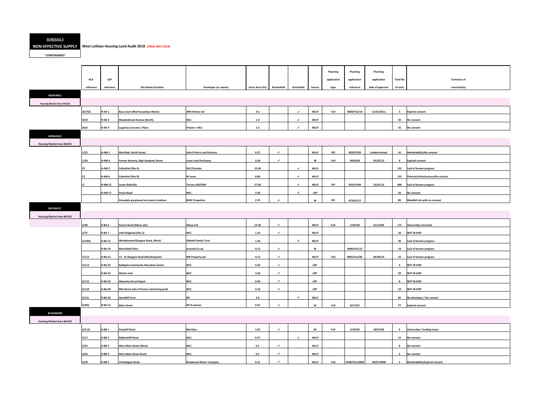### **SCHEDULE 3**

#### **NON-EFFECTIVE SUPPLY West Lothian Housing Land Audit 2018 (FINAL MAY 2019)**

**"CONSTRAINED"**

| o | Summary of                         |
|---|------------------------------------|
| S | constraint(s)                      |
|   |                                    |
|   |                                    |
|   | <b>Expired consent</b>             |
|   | No consent                         |
|   | No consent                         |
|   |                                    |
|   |                                    |
|   | Marketability/No consent           |
|   | <b>Expired consent</b>             |
|   | Lack of known progress             |
|   | Physical/Infrastructure/No consent |
|   | Lack of known progress             |
|   | No consent                         |
|   | Windfall site with no consent      |
|   |                                    |

| constraint       |
|------------------|
|                  |
| ΙP               |
|                  |
| own progress     |
|                  |
| own progress     |
|                  |
| own progress     |
|                  |
| IP               |
|                  |
| IP               |
|                  |
| IP               |
|                  |
| ΙP               |
|                  |
| oer / No consent |
|                  |
| nsent            |
|                  |

| / funding issues     |  |  |
|----------------------|--|--|
|                      |  |  |
| <u>t</u>             |  |  |
|                      |  |  |
| t                    |  |  |
|                      |  |  |
| t                    |  |  |
|                      |  |  |
| lity/Expired consent |  |  |

|                                  |                    |                   |                                            |                                |                 |              |              |             | Planning    | Planning      | Planning         |                 |                                      |
|----------------------------------|--------------------|-------------------|--------------------------------------------|--------------------------------|-----------------|--------------|--------------|-------------|-------------|---------------|------------------|-----------------|--------------------------------------|
|                                  | <b>HLA</b>         | <b>LDP</b>        |                                            |                                |                 |              |              |             | application | application   | application      | <b>Total No</b> | Summary of                           |
|                                  | reference          | reference         | <b>Site Name/Location</b>                  | Developer (or owner)           | Gross Area (ha) | Brownfield   | Greenfield   | Source      | type        | reference     | date of approval | of units        | constraint(s)                        |
| <b>ADDIEWELL</b>                 |                    |                   |                                            |                                |                 |              |              |             |             |               |                  |                 |                                      |
|                                  |                    |                   |                                            |                                |                 |              |              |             |             |               |                  |                 |                                      |
| <b>Housing Market Area WLC02</b> |                    |                   |                                            |                                |                 |              |              |             |             |               |                  |                 |                                      |
|                                  | 26/7(2)            | H-AD <sub>1</sub> | <b>Ross Court (Muirhousedyes Mains)</b>    | <b>ARH Homes Ltd</b>           | 0.2             |              | $\checkmark$ | <b>WLLP</b> | Full        | 0829/FUL/10   | 11/01/2011       | $5^{\circ}$     | <b>Expired consent</b>               |
|                                  | 26/8               | H-AD <sub>2</sub> | <b>Meadowhead Avenue (North)</b>           | <b>WLC</b>                     | 1.0             |              | $\checkmark$ | <b>WLLP</b> |             |               |                  | 20              | No consent                           |
|                                  | 26/6               | H-AD4             | Loganlea Crescent / Place                  | Private + WLC                  | 2.3             |              | $\checkmark$ | <b>WLLP</b> |             |               |                  | 35              | No consent                           |
| <b>ARMADALE</b>                  |                    |                   |                                            |                                |                 |              |              |             |             |               |                  |                 |                                      |
| <b>Housing Market Area WLC02</b> |                    |                   |                                            |                                |                 |              |              |             |             |               |                  |                 |                                      |
|                                  | 1/25               | H-AM1             | Muirfield, North Street,                   | John R Harris and Partners     | 0.27            | $\checkmark$ |              | <b>WLLP</b> | PiP         | 0032/P/09     | Undetermined     | 10              | Marketability/No consent             |
|                                  | 1/39               | H-AM4             | Former Nursery, High Academy Street        | <b>Lucas Land Purchases</b>    | 0.20            | $\checkmark$ |              | W           | Full        | 0403/08       | 01/07/13         | 6               | <b>Expired consent</b>               |
|                                  | СS                 | H-AM <sub>5</sub> | <b>Colinshiel (Site A)</b>                 | <b>WLC/Dundas</b>              | 10.30           |              | $\checkmark$ | <b>WLLP</b> |             |               |                  | 135             | Lack of known progress               |
|                                  | <b>CS</b>          | H-AM 6            | <b>Colinshiel (Site B)</b>                 | <b>W</b> Jones                 | 8.80            |              | $\checkmark$ | <b>WLLP</b> |             |               |                  | 135             | Physical/Infrastructure/No consent   |
|                                  |                    | <b>H-AM 15</b>    | <b>Lower Bathville</b>                     | <b>Terrace Hill/EWP</b>        | 27.60           |              | $\checkmark$ | <b>WLLP</b> | PiP         | 0191/P/09     | 15/01/13         | 400             | Lack of known progress               |
|                                  |                    | <b>H-AM 17</b>    | <b>Drove Road</b>                          | <b>WLC</b>                     | 3.30            |              | $\checkmark$ | <b>LDP</b>  |             |               |                  | 26              | No consent                           |
|                                  |                    |                   | Armadale greyhound and sports stadium      | <b>BCBC Properties</b>         | 2.70            | $\checkmark$ |              | W           | PiP         | 0735/P/17     |                  | 80              | Windfall site with no consent        |
| <b>BATHGATE</b>                  |                    |                   |                                            |                                |                 |              |              |             |             |               |                  |                 |                                      |
|                                  |                    |                   |                                            |                                |                 |              |              |             |             |               |                  |                 |                                      |
| <b>Housing Market Area WLC02</b> |                    |                   |                                            |                                |                 |              |              |             |             |               |                  |                 |                                      |
|                                  | 2/98               | H-BA6             | <b>Easton Road (Sibcas site)</b>           | <b>Sibcas Ltd</b>              | 12.50           | $\checkmark$ |              | <b>WLLP</b> | Full        | 1335/04       | 21/12/05         | 298             | <b>Ownership constraint</b>          |
|                                  | 2/7E               | H-BA <sub>7</sub> | Little Boghead (Site 2)                    | <b>WLC</b>                     | 1.10            | $\checkmark$ |              | <b>WLLP</b> |             |               |                  | 20              | <b>NOT IN SHIP</b>                   |
|                                  | 2/105 <sub>b</sub> | <b>H-BA15</b>     | Windyknowe/Glasgow Road, (West)            | <b>Sibbald Family Trust</b>    | 1.26            |              | $\checkmark$ | <b>WLLP</b> |             |               |                  | 46              | Lack of known progress               |
|                                  |                    | <b>H-BA19</b>     | <b>Bloomfield Place</b>                    | <b>Scotmid Co-op</b>           | 0.12            | $\checkmark$ |              | W           |             | 0940/FUL/15   |                  | 18              | Lack of known progress               |
|                                  | 2/112              | <b>H-BA 21</b>    | 13 - 15 Glasgow Road (Meadowpark)          | <b>WB Property Ltd</b>         | 0.12            | $\checkmark$ |              | <b>WLLP</b> | Full        | 0093/FUL/08   | 09/09/14         | 22              | Lack of known progress               |
|                                  | 2/113              | <b>H-BA22</b>     | <b>Bathgate Community Education Centre</b> | <b>WLC</b>                     | 0.20            | $\checkmark$ |              | <b>LDP</b>  |             |               |                  | 6               | <b>NOT IN SHIP</b>                   |
|                                  |                    | <b>H-BA23</b>     | <b>Wester Inch</b>                         | <b>WLC</b>                     | 3.50            | $\checkmark$ |              | <b>LDP</b>  |             |               |                  | 50              | <b>NOT IN SHIP</b>                   |
|                                  | 2/115              | <b>H-BA 25</b>    | <b>Waverley Street Depot</b>               | <b>WLC</b>                     | 0.30            | $\checkmark$ |              | LDP         |             |               |                  | 8               | <b>NOT IN SHIP</b>                   |
|                                  | 2/118              | <b>H-BA 28</b>    | Mid Street (site of former swimming pool)  | <b>WLC</b>                     | 0.10            | $\checkmark$ |              | <b>LDP</b>  |             |               |                  | 10              | <b>NOT IN SHIP</b>                   |
|                                  | 2/121              | <b>H-BA30</b>     | <b>Standhill Farm</b>                      | Nil                            | 3.8             |              | $\checkmark$ | <b>WLLP</b> |             |               |                  | 85              | No developer / No consent            |
|                                  | 2/85 <sub>b</sub>  | <b>H-BA12</b>     | <b>Main Street</b>                         | Mr R Lawson                    | 0.23            | $\checkmark$ |              | W           | Full        | 0217/02       |                  | 15              | <b>Expired consent</b>               |
| <b>BLACKBURN</b>                 |                    |                   |                                            |                                |                 |              |              |             |             |               |                  |                 |                                      |
| <b>Housing Market Area WLC02</b> |                    |                   |                                            |                                |                 |              |              |             |             |               |                  |                 |                                      |
|                                  | 3/2(2)             | $H-BB1$           |                                            | Meridian                       | 3.54            | $\checkmark$ |              | <b>BS</b>   | Full        | 1270/05       | 18/07/06         |                 |                                      |
|                                  |                    |                   | Daisyhill Road                             |                                |                 |              |              |             |             |               |                  | 9               | Ownership / funding issues           |
|                                  | 3/17               | H-BB <sub>2</sub> | <b>Riddochhill Road</b>                    | <b>WLC</b>                     | 0.57            |              | $\checkmark$ | <b>WLLP</b> |             |               |                  | 15              | No consent                           |
|                                  | 3/32               | $H-BB3$           | <b>West Main Street (West)</b>             | <b>WLC</b>                     | 0.2             | ✓            |              | <b>WLLP</b> |             |               |                  | 6               | No consent                           |
|                                  | 3/36               | $H-BB4$           | <b>West Main Street (East)</b>             | <b>WLC</b>                     | 0.2             | $\checkmark$ |              | <b>WLLP</b> |             |               |                  | 6               | No consent                           |
|                                  | 3/36               | $H-BB5$           | 16 Bathgate Road                           | <b>Braidwood Motor Company</b> | 0.15            | $\checkmark$ |              | <b>WLLP</b> | Full        | 0528/FUL/2008 | 30/07/2008       | 5               | <b>Marketability/Expired consent</b> |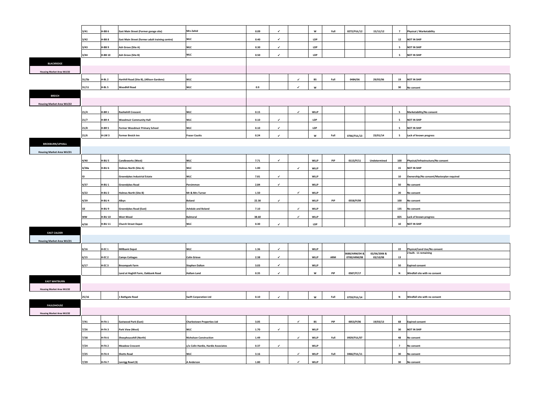| ysical / Marketability |  |  |
|------------------------|--|--|
|                        |  |  |
| OT IN SHIP             |  |  |
|                        |  |  |
| OT IN SHIP             |  |  |
|                        |  |  |
| OT IN SHIP             |  |  |
|                        |  |  |
|                        |  |  |

| iHIP |  |  |
|------|--|--|
|      |  |  |
| ent  |  |  |
|      |  |  |

| bility/No consent |  |  |
|-------------------|--|--|
|                   |  |  |
| SHIP              |  |  |
|                   |  |  |
| SHIP              |  |  |
|                   |  |  |
| mown progress     |  |  |
|                   |  |  |

| l/Infrastructure/No consent         |
|-------------------------------------|
|                                     |
| SHIP                                |
|                                     |
| ship/No consent/Masterplan required |
|                                     |
| sent                                |
|                                     |
| sent                                |
|                                     |
| sent                                |
|                                     |
| sent                                |
|                                     |
| known progress                      |
|                                     |
| <b>SHIP</b>                         |
|                                     |

|                                  | 3/41              | $H-BB6$           | East Main Street (Former garage site)           | <b>Mrs Zahid</b>                    | 0.09     | $\checkmark$ |              | W           | Full | 0272/FUL/12   | 15/11/12     | $\overline{7}$           | <b>Physical / Marketability</b>                       |
|----------------------------------|-------------------|-------------------|-------------------------------------------------|-------------------------------------|----------|--------------|--------------|-------------|------|---------------|--------------|--------------------------|-------------------------------------------------------|
|                                  | 3/42              | $H-BB8$           | East Main Street (former adult training centre) | <b>WLC</b>                          | 0.40     | $\checkmark$ |              | <b>LDP</b>  |      |               |              | 12                       | <b>NOT IN SHIP</b>                                    |
|                                  | 3/43              | $H-BB9$           | Ash Grove (Site A)                              | <b>WLC</b>                          | 0.30     | $\checkmark$ |              | <b>LDP</b>  |      |               |              | $5\overline{5}$          | <b>NOT IN SHIP</b>                                    |
|                                  | 3/44              | H-BB 10           | Ash Grove (Site B)                              | <b>WLC</b>                          | $0.50\,$ | $\checkmark$ |              | LDP         |      |               |              | 5                        | <b>NOT IN SHIP</b>                                    |
| <b>BLACKRIDGE</b>                |                   |                   |                                                 |                                     |          |              |              |             |      |               |              |                          |                                                       |
| <b>Housing Market Area WLC02</b> |                   |                   |                                                 |                                     |          |              |              |             |      |               |              |                          |                                                       |
|                                  | 31/5 <sub>b</sub> | $H-BL2$           | Harthill Road (Site B), (Allison Gardens)       | <b>WLC</b>                          |          |              | $\checkmark$ | <b>BS</b>   | Full | 0484/06       | 29/05/06     | 19                       | <b>NOT IN SHIP</b>                                    |
|                                  | 31/11             | $H-BL5$           | <b>Woodhill Road</b>                            | <b>WLC</b>                          | 0.9      |              | ✓            | W           |      |               |              | 30                       | No consent                                            |
| <b>BREICH</b>                    |                   |                   |                                                 |                                     |          |              |              |             |      |               |              |                          |                                                       |
| <b>Housing Market Area WLC02</b> |                   |                   |                                                 |                                     |          |              |              |             |      |               |              |                          |                                                       |
|                                  | 21/4              | $H-BR1$           | <b>Rashiehill Crescent</b>                      | <b>WLC</b>                          | 0.15     |              | $\checkmark$ | <b>WLLP</b> |      |               |              | $5^{\circ}$              | Marketability/No consent                              |
|                                  | 21/7              | H-BR4             | <b>Woodmuir Community Hall</b>                  | <b>WLC</b>                          | 0.10     | $\checkmark$ |              | <b>LDP</b>  |      |               |              | $\overline{\phantom{0}}$ | <b>NOT IN SHIP</b>                                    |
|                                  |                   |                   |                                                 |                                     |          |              |              |             |      |               |              |                          |                                                       |
|                                  | 21/8              | $H-BR5$           | Former Woodmuir Primary School                  | <b>WLC</b>                          | 0.10     | $\checkmark$ |              | LDP         |      |               |              | 5                        | <b>NOT IN SHIP</b>                                    |
|                                  | 21/6              | H-LW <sub>3</sub> | <b>Former Breich Inn</b>                        | <b>Fraser Coutts</b>                | 0.24     | $\checkmark$ |              | W           | Full | 0766/FUL/13   | 23/01/14     | $\overline{\phantom{0}}$ | Lack of known progress                                |
| <b>BROXBURN/UPHALL</b>           |                   |                   |                                                 |                                     |          |              |              |             |      |               |              |                          |                                                       |
| <b>Housing Market Area WLC01</b> |                   |                   |                                                 |                                     |          |              |              |             |      |               |              |                          |                                                       |
|                                  | 4/40              | H-BU <sub>5</sub> | <b>Candleworks (West)</b>                       | <b>WLC</b>                          | 7.71     | $\checkmark$ |              | <b>WLLP</b> | PiP  | 0115/P/11     | Undetermined | 100                      | Physical/Infrastructure/No consent                    |
|                                  | 4/38a             | H-BU6             | <b>Holmes North (Site A)</b>                    | <b>WLC</b>                          | 1.00     |              | $\checkmark$ | <b>WLLP</b> |      |               |              | 15                       | <b>NOT IN SHIP</b>                                    |
|                                  | GI                |                   | <b>Greendykes Industrial Estate</b>             | <b>WLC</b>                          | 7.81     | $\checkmark$ |              | <b>WLLP</b> |      |               |              | 10                       | Ownership/No consent/Masterplan required              |
|                                  | 4/37              | H-BU <sub>1</sub> | <b>Greendykes Road</b>                          | Persimmon                           | 2.84     | $\checkmark$ |              | <b>WLLP</b> |      |               |              | 50                       | No consent                                            |
|                                  | 4/22              | H-BU <sub>2</sub> | <b>Holmes North (Site B)</b>                    | Mr & Mrs Turner                     | 1.50     |              | ✓            | <b>WLLP</b> |      |               |              | 20                       | No consent                                            |
|                                  | 4/39              | H-BU4             | Albyn                                           | <b>Boland</b>                       | 22.30    | $\checkmark$ |              | <b>WLLP</b> | PiP  | 0558/P/09     |              | 100                      | No consent                                            |
|                                  | GE                | H-BU <sub>9</sub> | <b>Greendykes Road (East)</b>                   | <b>Ashdale and Boland</b>           | 7.10     |              | ✓            | <b>WLLP</b> |      |               |              | 135                      | No consent                                            |
|                                  | ww                | <b>H-BU 10</b>    | <b>West Wood</b>                                | <b>Balmoral</b>                     | 38.60    |              | $\checkmark$ | <b>WLLP</b> |      |               |              | 825                      | Lack of known progress                                |
|                                  | 4/58              | H-BU 11           | <b>Church Street Depot</b>                      | <b>WLC</b>                          | 0.30     | $\checkmark$ |              | LDP         |      |               |              | 10                       | <b>NOT IN SHIP</b>                                    |
| <b>EAST CALDER</b>               |                   |                   |                                                 |                                     |          |              |              |             |      |               |              |                          |                                                       |
| <b>Housing Market Area WLC01</b> |                   |                   |                                                 |                                     |          |              |              |             |      |               |              |                          |                                                       |
|                                  |                   |                   |                                                 |                                     |          | $\checkmark$ |              |             |      |               |              |                          |                                                       |
|                                  | 6/16              | <b>H-EC 1</b>     | <b>Millbank Depot</b>                           | <b>WLC</b>                          | 1.36     |              |              | <b>WLLP</b> |      | 0680/ARM/04 & | 02/06/2006 & | 22                       | Physical/Land Use/No consent<br>2 built. 11 remaining |
|                                  | 6/15              | $H-EC2$           | <b>Camps Cottages</b>                           | <b>Colin Grieve</b>                 | 2.38     | $\checkmark$ |              | <b>WLLP</b> | ARM  | 0700/ARM/08   | 03/10/08     | 13                       |                                                       |
|                                  | 6/17              | H-EC <sub>3</sub> | <b>Broompark Farm</b>                           | <b>Stephen Dalton</b>               | 3.03     | $\checkmark$ |              | <b>WLLP</b> |      |               |              | 50                       | <b>Expired consent</b>                                |
|                                  |                   |                   | Land at Hoghill Farm, Oakbank Road              | <b>Hallam Land</b>                  | 0.35     | $\checkmark$ |              | W           | PiP  | 0587/P/17     |              | N                        | Windfall site with no consent                         |
| <b>EAST WHITBURN</b>             |                   |                   |                                                 |                                     |          |              |              |             |      |               |              |                          |                                                       |
| <b>Housing Market Area WLC02</b> |                   |                   |                                                 |                                     |          |              |              |             |      |               |              |                          |                                                       |
|                                  | 25/16             |                   | 1 Bathgate Road                                 | <b>Swift Corporation Ltd</b>        | 0.10     | $\checkmark$ |              | W           | Full | 0759/FUL/14   |              | $\mathbf N$              | Windfall site with no consent                         |
| <b>FAULDHOUSE</b>                |                   |                   |                                                 |                                     |          |              |              |             |      |               |              |                          |                                                       |
| <b>Housing Market Area WLC02</b> |                   |                   |                                                 |                                     |          |              |              |             |      |               |              |                          |                                                       |
|                                  | 7/41              | H-FA <sub>1</sub> | <b>Eastwood Park (East)</b>                     | <b>Charlestown Properties Ltd</b>   | 3.05     |              | ✓            | <b>BS</b>   | PiP  | 0053/P/06     | 19/03/13     | 68                       | <b>Expired consent</b>                                |
|                                  | 7/26              | H-FA3             | <b>Park View (West)</b>                         | <b>WLC</b>                          | 1.70     | $\checkmark$ |              | <b>WLLP</b> |      |               |              | 30                       | <b>NOT IN SHIP</b>                                    |
|                                  | 7/38              | H-FA <sub>6</sub> | Sheephousehill (North)                          | <b>Nicholson Construction</b>       | 1.49     |              | $\checkmark$ | <b>WLLP</b> | Full | 0929/FUL/07   |              | 48                       | No consent                                            |
|                                  | 7/24              | $H-FA2$           | <b>Meadow Crescent</b>                          | c/o Colin Hardie, Hardie Associates | 0.37     | $\checkmark$ |              | <b>WLLP</b> |      |               |              | $\overline{7}$           | No consent                                            |
|                                  | 7/25              | H-FA4             | <b>Shotts Road</b>                              | <b>WLC</b>                          | 3.16     |              | ✓            | <b>WLLP</b> | Full | 0466/FUL/11   |              | 30                       | No consent                                            |
|                                  | 7/39              | H-FA <sub>7</sub> | Lanrigg Road (3)                                | <b>A Anderson</b>                   | 1.80     |              | $\checkmark$ | <b>WLLP</b> |      |               |              | 30                       | No consent                                            |
|                                  |                   |                   |                                                 |                                     |          |              |              |             |      |               |              |                          |                                                       |

| Physical/Land Use/No consent  |
|-------------------------------|
| 2 built. 11 remaining         |
|                               |
|                               |
| <b>Expired consent</b>        |
|                               |
| Windfall site with no consent |
|                               |
|                               |

| site with no consent |  |  |
|----------------------|--|--|
|                      |  |  |

| consent    |  |
|------------|--|
|            |  |
| iHIP       |  |
|            |  |
| <u>ent</u> |  |
|            |  |
| ent        |  |
|            |  |
| ent        |  |
|            |  |
| ent        |  |
|            |  |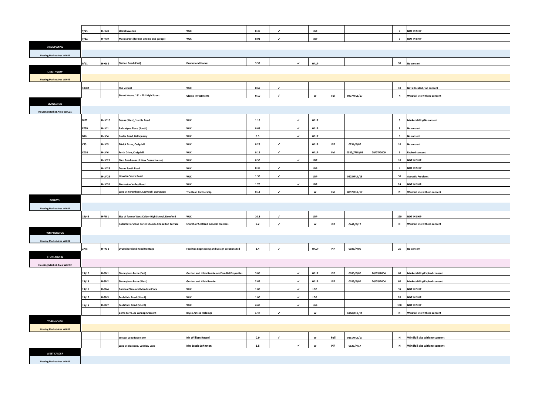|                                  | 7/43        | H-FA8             | <b>Eldrick Avenue</b>                             | <b>WLC</b>                                             | 0.30         | $\checkmark$ |              | <b>LDP</b>  |      |              |            | 8                        | <b>NOT IN SHIP</b>                           |
|----------------------------------|-------------|-------------------|---------------------------------------------------|--------------------------------------------------------|--------------|--------------|--------------|-------------|------|--------------|------------|--------------------------|----------------------------------------------|
|                                  | 7/44        | H-FA <sub>9</sub> | Main Street (former cinema and garage)            | <b>WLC</b>                                             | 0.01         | $\checkmark$ |              | <b>LDP</b>  |      |              |            | $\overline{\phantom{0}}$ | <b>NOT IN SHIP</b>                           |
| <b>KIRKNEWTON</b>                |             |                   |                                                   |                                                        |              |              |              |             |      |              |            |                          |                                              |
| <b>Housing Market Area WLC01</b> |             |                   |                                                   |                                                        |              |              |              |             |      |              |            |                          |                                              |
|                                  | 9/11        | <b>H-KN 2</b>     | <b>Station Road (East)</b>                        | <b>Drummond Homes</b>                                  | 3.53         |              | $\checkmark$ | <b>WLLP</b> |      |              |            | 90                       | No consent                                   |
| <b>LINLITHGOW</b>                |             |                   |                                                   |                                                        |              |              |              |             |      |              |            |                          |                                              |
| <b>Housing Market Area WLC03</b> |             |                   |                                                   |                                                        |              |              |              |             |      |              |            |                          |                                              |
|                                  | 10/82       |                   | <b>The Vennel</b>                                 | <b>WLC</b>                                             | 0.67         | $\checkmark$ |              |             |      |              |            | 10                       | Not allocated / no consent                   |
|                                  |             |                   | Stuart House, 181 - 201 High Street               | <b>Glamis Investments</b>                              | 0.10         | $\checkmark$ |              | W           | Full | 0437/FUL/17  |            | N                        | Windfall site with no consent                |
| <b>LIVINGSTON</b>                |             |                   |                                                   |                                                        |              |              |              |             |      |              |            |                          |                                              |
| <b>Housing Market Area WLC01</b> |             |                   |                                                   |                                                        |              |              |              |             |      |              |            |                          |                                              |
|                                  | <b>DI27</b> | <b>H-LV 10</b>    | Deans (West)/Hardie Road                          | <b>WLC</b>                                             | 1.18         |              | $\checkmark$ | <b>WLLP</b> |      |              |            | 5                        | Marketability/No consent                     |
|                                  | EE5B        | H-LV 1            | <b>Ballantyne Place (South)</b>                   | <b>WLC</b>                                             | 0.68         |              | $\checkmark$ | <b>WLLP</b> |      |              |            | 8                        | No consent                                   |
|                                  | <b>B16</b>  | H-LV 4            | <b>Calder Road, Bellsquarry</b>                   | <b>WLC</b>                                             | 0.5          |              | $\checkmark$ | <b>WLLP</b> |      |              |            | 5                        | No consent                                   |
|                                  | C35         | H-LV 5            | <b>Ettrick Drive, Craigshill</b>                  | <b>WLC</b>                                             | 0.23         | $\checkmark$ |              | <b>WLLP</b> | PiP  | 0234/P/07    |            | 10                       |                                              |
|                                  | C003        |                   |                                                   |                                                        |              | $\checkmark$ |              | <b>WLLP</b> |      | 0532//FUL/08 |            |                          | No consent                                   |
|                                  |             | H-LV 6            | Forth Drive, Craigshill                           | <b>WLC</b>                                             | 0.15<br>0.30 |              | $\checkmark$ | <b>LDP</b>  | Full |              | 29/07/2009 | - 6<br>10                | <b>Expired consent</b><br><b>NOT IN SHIP</b> |
|                                  |             | <b>H-LV 21</b>    | Glen Road (rear of New Deans House)               | <b>WLC</b>                                             |              | $\checkmark$ |              |             |      |              |            |                          |                                              |
|                                  |             | <b>H-LV 28</b>    | <b>Deans South Road</b>                           | <b>WLC</b>                                             | 0.30         |              |              | <b>LDP</b>  |      |              |            | 5                        | <b>NOT IN SHIP</b>                           |
|                                  |             | <b>H-LV 29</b>    | <b>Howden South Road</b>                          | <b>WLC</b>                                             | 1.30         | $\checkmark$ |              | <b>LDP</b>  |      | 0523/FUL/15  |            | 36                       | <b>Acoustic Problems</b>                     |
|                                  |             | <b>H-LV 31</b>    | <b>Murieston Valley Road</b>                      | <b>WLC</b>                                             | 1.70         |              | $\checkmark$ | <b>LDP</b>  |      |              |            | 24                       | <b>NOT IN SHIP</b>                           |
|                                  |             |                   | Land at Forestbank, Ladywell, Livingston          | The Dean Partnership                                   | 0.11         | $\checkmark$ |              | W           | Full | 0857/FUL/17  |            | N                        | Windfall site with no consent                |
| POLBETH                          |             |                   |                                                   |                                                        |              |              |              |             |      |              |            |                          |                                              |
| <b>Housing Market Area WLC01</b> |             |                   |                                                   |                                                        |              |              |              |             |      |              |            |                          |                                              |
|                                  | 15/46       | $H-PB1$           | Site of former West Calder High School, Limefield | <b>WLC</b>                                             | 10.3         | $\checkmark$ |              | <b>LDP</b>  |      |              |            | 120                      | <b>NOT IN SHIP</b>                           |
|                                  |             |                   | Polbeth Harwood Parish Church, Chapelton Terrace  | <b>Church of Scotland General Trustees</b>             | 0.2          | $\checkmark$ |              | W           | PiP  | 0442/P/17    |            | N                        | Windfall site with no consent                |
| <b>PUMPHERSTON</b>               |             |                   |                                                   |                                                        |              |              |              |             |      |              |            |                          |                                              |
| <b>Housing Market Area WLC01</b> |             |                   |                                                   |                                                        |              |              |              |             |      |              |            |                          |                                              |
|                                  | 27/5        | H-PU3             | <b>Drumshoreland Road frontage</b>                | <b>Facilities Engineering and Design Solutions Ltd</b> | 1.4          | $\checkmark$ |              | <b>WLLP</b> | PiP  | 0038/P/05    |            | 25                       | No consent                                   |
| <b>STONEYBURN</b>                |             |                   |                                                   |                                                        |              |              |              |             |      |              |            |                          |                                              |
| <b>Housing Market Area WLC02</b> |             |                   |                                                   |                                                        |              |              |              |             |      |              |            |                          |                                              |
|                                  | 13/12       | $H-SB1$           | <b>Stoneyburn Farm (East)</b>                     | Gordon and Hilda Rennie and Sundial Properties         | 3.06         |              | $\checkmark$ | <b>WLLP</b> | PiP  | 0183/P/02    | 26/05/2004 | 60                       | <b>Marketability/Expired consent</b>         |
|                                  | 13/13       | $H-SB2$           | <b>Stoneyburn Farm (West)</b>                     | Gordon and Hilda Rennie                                | 2.65         |              | $\checkmark$ | <b>WLLP</b> | PiP  | 0183/P/02    | 26/05/2004 | 60                       | Marketability/Expired consent                |
|                                  | 13/16       | H-SB4             | <b>Burnlea Place and Meadow Place</b>             | <b>WLC</b>                                             | 1.00         |              | $\checkmark$ | LDP         |      |              |            | 35                       | <b>NOT IN SHIP</b>                           |
|                                  | 13/17       | $H-SB5$           | <b>Foulshiels Road (Site A)</b>                   | <b>WLC</b>                                             | 1.00         |              | $\checkmark$ | <b>LDP</b>  |      |              |            | 20                       | <b>NOT IN SHIP</b>                           |
|                                  | 13/19       | H-SB <sub>7</sub> | <b>Foulshiels Road (Site B)</b>                   | <b>WLC</b>                                             | 4.40         |              | $\checkmark$ | LDP         |      |              |            | 150                      | <b>NOT IN SHIP</b>                           |
|                                  |             |                   | Bents Farm, 20 Cannop Crescent                    | <b>Bryce Ainslie Holdings</b>                          | 1.47         | $\checkmark$ |              | W           |      | 0186/FUL/17  |            | N                        | Windfall site with no consent                |
| <b>TORPHICHEN</b>                |             |                   |                                                   |                                                        |              |              |              |             |      |              |            |                          |                                              |
| <b>Housing Market Area WLC03</b> |             |                   |                                                   |                                                        |              |              |              |             |      |              |            |                          |                                              |
|                                  |             |                   | Wester Woodside Farm                              | <b>Mr William Russell</b>                              | 0.9          | $\checkmark$ |              | W           | Full | 0151/FUL/17  |            | N                        | Windfall site with no consent                |
|                                  |             |                   | Land at Slackend, Cathlaw Lane                    | <b>Mrs Jessie Johnston</b>                             | 1.5          |              | $\checkmark$ | W           | PiP  | 0626/P/17    |            | N                        | Windfall site with no consent                |
| <b>WEST CALDER</b>               |             |                   |                                                   |                                                        |              |              |              |             |      |              |            |                          |                                              |
| <b>Housing Market Area WLC01</b> |             |                   |                                                   |                                                        |              |              |              |             |      |              |            |                          |                                              |
|                                  |             |                   |                                                   |                                                        |              |              |              |             |      |              |            |                          |                                              |

| IP                   |
|----------------------|
| IP                   |
|                      |
|                      |
| t                    |
|                      |
|                      |
| ted / no consent     |
| ite with no consent  |
|                      |
|                      |
| lity/No consent      |
| t                    |
| t                    |
| t                    |
| nsent                |
| IP                   |
| IP                   |
| roblems              |
| IP                   |
| ite with no consent  |
|                      |
|                      |
| IP                   |
| ite with no consent  |
|                      |
|                      |
| t                    |
|                      |
|                      |
| lity/Expired consent |
| lity/Expired consent |
| IP                   |
| IP                   |
| IP                   |
| ite with no consent  |
|                      |
|                      |
| site with no consent |

**PiP 0626/P/17 <sup>N</sup> Windfall site with no consent**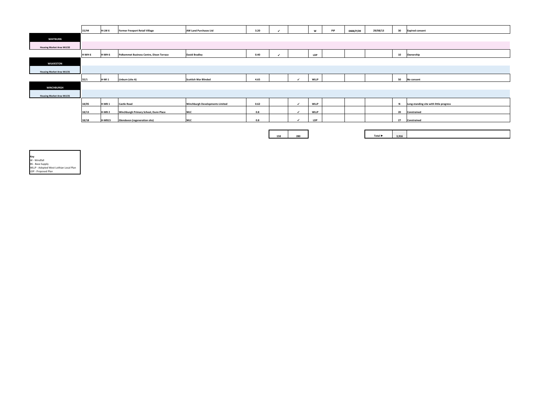|                                  | 15/44 | H-LW 6            | <b>Former Freeport Retail Village</b>    | <b>AW Land Purchases Ltd</b>           | 3.20 |     |                          | W           | PiP | 0488/P/09 | 29/08/13 | 30    | <b>Expired consent</b>                  |
|----------------------------------|-------|-------------------|------------------------------------------|----------------------------------------|------|-----|--------------------------|-------------|-----|-----------|----------|-------|-----------------------------------------|
| <b>WHITBURN</b>                  |       |                   |                                          |                                        |      |     |                          |             |     |           |          |       |                                         |
| <b>Housing Market Area WLC02</b> |       |                   |                                          |                                        |      |     |                          |             |     |           |          |       |                                         |
|                                  | H-WH6 | H-WH <sub>6</sub> | Polkemmet Business Centre, Dixon Terrace | <b>David Bradley</b>                   | 0.40 | ✔   |                          | <b>LDP</b>  |     |           |          | 10    | Ownership                               |
| <b>WILKIESTON</b>                |       |                   |                                          |                                        |      |     |                          |             |     |           |          |       |                                         |
| <b>Housing Market Area WLC01</b> |       |                   |                                          |                                        |      |     |                          |             |     |           |          |       |                                         |
|                                  | 32/1  | H-WI <sub>1</sub> | Linburn (site A)                         | <b>Scottish War Blinded</b>            | 4.65 |     |                          | <b>WLLP</b> |     |           |          | 50    | No consent                              |
| <b>WINCHBURGH</b>                |       |                   |                                          |                                        |      |     |                          |             |     |           |          |       |                                         |
| <b>Housing Market Area WLC01</b> |       |                   |                                          |                                        |      |     |                          |             |     |           |          |       |                                         |
|                                  | 18/05 | H-WB <sub>1</sub> | <b>Castle Road</b>                       | <b>Winchburgh Developments Limited</b> | 0.62 |     | $\overline{\mathcal{L}}$ | <b>WLLP</b> |     |           |          | N     | Long-standing site with little progress |
|                                  | 18/13 | H-WB <sub>2</sub> | Winchburgh Primary School, Dunn Place    | <b>WLC</b>                             | 0.8  |     |                          | <b>WLLP</b> |     |           |          | 20    | Constrained                             |
|                                  | 18/18 | <b>H-WB15</b>     | <b>Glendevon (regeneration site)</b>     | <b>WLC</b>                             | 0.8  |     |                          | <b>LDP</b>  |     |           |          | 27    | Constrained                             |
|                                  |       |                   |                                          |                                        |      |     |                          |             |     |           |          |       |                                         |
|                                  |       |                   |                                          |                                        |      | 158 | 280                      |             |     |           | Total ▶  | 3,916 |                                         |
|                                  |       |                   |                                          |                                        |      |     |                          |             |     |           |          |       |                                         |

**Key**<br>W - Windfall<br>BS - Base Supply<br>WLLP - Adopted West Lothian Local Plan<br>LDP - Proposed Plan

| nsent                          |  |
|--------------------------------|--|
|                                |  |
|                                |  |
| o                              |  |
|                                |  |
|                                |  |
| ıt                             |  |
|                                |  |
|                                |  |
| ding site with little progress |  |
| <u>ed</u>                      |  |
| ed                             |  |
|                                |  |
|                                |  |
|                                |  |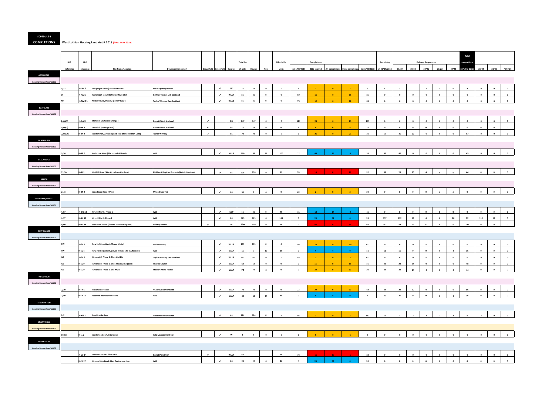#### **SCHEDULE 4**

**COMPLETIONS West Lothian Housing Land Audit 2018 (FINAL MAY 2019)**

|                                                     |           |                   |                                                       |                                                    |                              |                             |             |                 |                         |                         |                         |                         |                 |                                  |                 |                          |                         |                         |                         |                           |                         |                         | <b>Total</b>            |                         |                          |                                                    |
|-----------------------------------------------------|-----------|-------------------|-------------------------------------------------------|----------------------------------------------------|------------------------------|-----------------------------|-------------|-----------------|-------------------------|-------------------------|-------------------------|-------------------------|-----------------|----------------------------------|-----------------|--------------------------|-------------------------|-------------------------|-------------------------|---------------------------|-------------------------|-------------------------|-------------------------|-------------------------|--------------------------|----------------------------------------------------|
|                                                     | HLA       | <b>LDP</b>        |                                                       |                                                    |                              |                             |             | <b>Total No</b> |                         |                         | Affordable              |                         | Completions     |                                  |                 |                          | Remaining               |                         |                         | <b>Delivery Programme</b> |                         |                         | completion              |                         |                          |                                                    |
|                                                     | reference | reference         | <b>Site Name/Location</b>                             | Developer (or owner)                               | <b>Brownfield Greenfield</b> |                             | Source      | of units        | <b>Houses</b>           | Flats                   | units                   | to 31/03/2017           | 2017 to 2018    | AH completions rivate completion |                 | to 31/03/2018            | at 01/04/2018           | 18/19                   | 19/20                   | 20/21                     | 21/22                   | 22/23                   | 18/19 to 22/23 23/24    |                         | 24/25                    | <b>POST 25</b>                                     |
| <b>ARMADALE</b>                                     |           |                   |                                                       |                                                    |                              |                             |             |                 |                         |                         |                         |                         |                 |                                  |                 |                          |                         |                         |                         |                           |                         |                         |                         |                         |                          |                                                    |
| <b>Housing Market Area WLC02</b>                    |           |                   |                                                       |                                                    |                              |                             |             |                 |                         |                         |                         |                         |                 |                                  |                 |                          |                         |                         |                         |                           |                         |                         |                         |                         |                          |                                                    |
|                                                     | 1/37      | H-LW <sub>2</sub> | Craigengall Farm (Lowland Crofts)                     | <b>M&amp;M Quality Homes</b>                       |                              | $\checkmark$                | W           | 11              | 11                      | $\overline{\mathbf{0}}$ | $\mathbf 0$             | 6                       | $\mathbf{1}$    | $\bullet$                        | $\blacksquare$  | $\overline{7}$           | $\overline{a}$          | $\mathbf{1}$            | <b>1</b>                |                           | $\overline{1}$          | $\overline{\mathbf{0}}$ | $\overline{a}$          | $\overline{\mathbf{0}}$ | $\mathbf 0$              | $\overline{\mathbf{0}}$                            |
|                                                     |           | H-AM 7            | Tarrareoch (Southdale Meadows) H2                     | Bellway Homes Ltd, Scotland                        |                              | $\checkmark$                | <b>WLLP</b> | 85              | 85                      | $\overline{\mathbf{0}}$ | $\mathbf{0}$            | 69                      | 16              | $\bullet$                        | 16              | 85                       | $\overline{\mathbf{0}}$ | $\bullet$               | $\overline{\mathbf{0}}$ | $\mathbf{0}$              | $\mathbf{0}$            | $\overline{\mathbf{0}}$ | $\overline{\mathbf{0}}$ | $\mathbf{0}$            | $\overline{\mathbf{0}}$  | $\bullet$                                          |
|                                                     | <b>NH</b> | <b>H-AM 11</b>    | <b>Vetherhouse, Phase 2 (Ferrier Way)</b>             | <b>Taylor Wimpey East Scotland</b>                 |                              | $\checkmark$                | <b>WLLP</b> | 85              | 85                      | $\overline{\mathbf{0}}$ | $\bullet$               | 73                      | 12              | $\overline{0}$                   | 12              | 85                       | $\mathbf 0$             | $\mathbf{0}$            | $\mathbf{0}$            | $\mathbf{0}$              | $\mathbf{0}$            | $\bullet$               | $\mathbf 0$             | $\mathbf{0}$            | $\mathbf{0}$             | $\overline{\mathbf{0}}$                            |
| <b>BATHGATE</b><br><b>Housing Market Area WLC02</b> |           |                   |                                                       |                                                    |                              |                             |             |                 |                         |                         |                         |                         |                 |                                  |                 |                          |                         |                         |                         |                           |                         |                         |                         |                         |                          |                                                    |
|                                                     | 2/66(7)   | H-BA3             | <b>Standhill (Inchcross Grange)</b>                   | <b>Barratt West Scotland</b>                       | $\mathcal{A}$                |                             | <b>BS</b>   | 147             | 147                     | $\overline{\mathbf{0}}$ | $\mathbf{0}$            | 124                     | 23              | $\bullet$                        | 23              | 147                      | $\overline{\mathbf{0}}$ | $\overline{\mathbf{0}}$ | $\overline{\mathbf{0}}$ | $\mathbf{0}$              | $\mathbf 0$             | $\mathbf{0}$            | $\overline{\mathbf{0}}$ | $\overline{\mathbf{0}}$ | $\mathbf{0}$             | $\overline{\mathbf{0}}$                            |
|                                                     | 2/66(7)   | I-BA 3            | Standhill (frontage site)                             | <b>Barratt West Scotland</b>                       | $\overline{\phantom{a}}$     |                             | <b>BS</b>   | 17              | $17\,$                  | $\overline{\mathbf{0}}$ | $\overline{\mathbf{0}}$ |                         | 8 <sub>1</sub>  | $\bullet$                        | 8 <sub>1</sub>  | 17                       | $\mathbf 0$             | $\mathbf{0}$            | $\mathbf 0$             | $\Omega$                  | $\mathbf 0$             | $\mathbf 0$             | $\mathbf{0}$            | $\overline{\mathbf{0}}$ | $\bullet$                | $\overline{\mathbf{0}}$                            |
|                                                     | 2/66(20)  | H-BA <sub>2</sub> | Wester Inch, Area BB (land east of Meikle Inch Lane)  | <b>Taylor Wimpey</b>                               | $\checkmark$                 |                             | <b>BS</b>   | 78              | 78                      | $\mathbf 0$             | $\mathbf{0}$            | $\mathbf{o}$            | 21              |                                  | 21              | 21                       | 57                      | 30                      | 27                      | $\mathbf{0}$              | $\mathbf 0$             | $\mathbf{0}$            | 57                      | $\mathbf{0}$            | $\mathbf{0}$             | $\bullet$                                          |
| <b>BLACKBURN</b>                                    |           |                   |                                                       |                                                    |                              |                             |             |                 |                         |                         |                         |                         |                 |                                  |                 |                          |                         |                         |                         |                           |                         |                         |                         |                         |                          |                                                    |
| <b>Housing Market Area WLC02</b>                    |           |                   |                                                       |                                                    |                              |                             |             |                 |                         |                         |                         |                         |                 |                                  |                 |                          |                         |                         |                         |                           |                         |                         |                         |                         |                          |                                                    |
|                                                     | 3/26      | H-BB <sub>7</sub> | Redhouse West (Blackburnhall Road)                    | <b>WLC</b>                                         |                              | $\checkmark$                | <b>WLLP</b> | 100             | 52                      | 48                      | 100                     | 12                      | 43              | 43                               |                 | 55                       | 45                      | 45                      | $\Omega$                |                           | $\Omega$                | $\overline{\mathbf{0}}$ | 45                      |                         |                          |                                                    |
| <b>BLACKRIDGE</b>                                   |           |                   |                                                       |                                                    |                              |                             |             |                 |                         |                         |                         |                         |                 |                                  |                 |                          |                         |                         |                         |                           |                         |                         |                         |                         |                          |                                                    |
| <b>Housing Market Area WLC02</b>                    |           |                   |                                                       |                                                    |                              |                             |             |                 |                         |                         |                         |                         |                 |                                  |                 |                          |                         |                         |                         |                           |                         |                         |                         |                         |                          |                                                    |
|                                                     | 31/5a     | I-BL 1            | Harthill Road (Site A), (Allison Gardens)             | <b>RBS West Register Property (Administrators)</b> |                              | $\mathcal{L}_{\mathcal{A}}$ | BS          | 136             | 136                     | $\mathbf 0$             | 19                      | 76                      |                 |                                  |                 | 92                       | 44                      | 20                      | 20                      | $\overline{4}$            | $\mathbf{0}$            | $\mathbf 0$             | 44                      | $\overline{\mathbf{0}}$ | $\mathbf{0}$             | $\overline{\mathbf{0}}$                            |
| <b>BREICH</b>                                       |           |                   |                                                       |                                                    |                              |                             |             |                 |                         |                         |                         |                         |                 |                                  |                 |                          |                         |                         |                         |                           |                         |                         |                         |                         |                          |                                                    |
| <b>Housing Market Area WLC02</b>                    |           |                   |                                                       |                                                    |                              |                             |             |                 |                         |                         |                         |                         |                 |                                  |                 |                          |                         |                         |                         |                           |                         |                         |                         |                         |                          |                                                    |
|                                                     | 21/3      | <b>H-BR 2</b>     | <b>Woodmuir Road (West)</b>                           | Mr and Mrs Tod                                     |                              | $\checkmark$                | BS          | 30              | $\bullet$               | $\Omega$                | $\mathbf{0}$            | 28                      |                 |                                  |                 | 30                       | $\mathbf{0}$            | $\mathbf{0}$            | $\mathbf{0}$            |                           |                         | $\Omega$                |                         |                         |                          | $\mathbf{0}$                                       |
| <b>BROXBURN/UPHALL</b>                              |           |                   |                                                       |                                                    |                              |                             |             |                 |                         |                         |                         |                         |                 |                                  |                 |                          |                         |                         |                         |                           |                         |                         |                         |                         |                          |                                                    |
| <b>Housing Market Area WLC01</b>                    |           |                   |                                                       |                                                    |                              |                             |             |                 |                         |                         |                         |                         |                 |                                  |                 |                          |                         |                         |                         |                           |                         |                         |                         |                         |                          |                                                    |
|                                                     | 4/57      | H-BU 13           | Kirkhill North, Phase 1                               | <b>WLC</b>                                         |                              | $\checkmark$                | LDP         | 45              | 45                      | $\overline{\mathbf{0}}$ | 45                      | 31                      | 14              | $-14$                            | $\overline{0}$  | 45                       | $\mathbf{0}$            | $\mathbf{0}$            | $\overline{\mathbf{0}}$ | $\Omega$                  | $\overline{\mathbf{0}}$ | $\overline{\mathbf{0}}$ | $\overline{\mathbf{0}}$ | $\bullet$               | $\mathbf{0}$             | $\overline{\mathbf{0}}$                            |
|                                                     | 4/57      | I-BU 13           | Kirkhill North Phase 2                                | <b>WLC</b>                                         |                              | $\checkmark$                | BS          | 185             | 185                     | $\overline{\mathbf{0}}$ | 185                     | $\mathbf 0$             | 28              | 28                               | $\mathbf{0}$    | 28                       | 157                     | 112                     | 45                      | $\mathbf{0}$              | $\mathbf 0$             | 28                      | 32                      | 112                     | 41                       | $\overline{\mathbf{0}}$                            |
|                                                     | 4/60      | <b>H-BU 14</b>    | East Main Street (former Vion factory site)           | <b>Bellway Homes</b>                               | $\mathcal{L}_{\mathcal{L}}$  |                             | W           | 190             | 190                     | $\mathbf{0}$            | 14                      | $\mathbf 0$             | 48              |                                  | 48              | 48                       | 142                     | 59                      | 56                      | 27                        | $\mathbf{0}$            | $\overline{\mathbf{0}}$ | 142                     | $\overline{\mathbf{0}}$ | $\bullet$                | $\overline{\mathbf{0}}$                            |
| <b>EAST CALDER</b>                                  |           |                   |                                                       |                                                    |                              |                             |             |                 |                         |                         |                         |                         |                 |                                  |                 |                          |                         |                         |                         |                           |                         |                         |                         |                         |                          |                                                    |
| <b>Housing Market Area WLC01</b>                    |           |                   |                                                       |                                                    |                              |                             |             |                 |                         |                         |                         |                         |                 |                                  |                 |                          |                         |                         |                         |                           |                         |                         |                         |                         |                          |                                                    |
|                                                     |           | H-EC 4            | Raw Holdings West, (Seven Wells)                      | <b>Walker Group</b>                                |                              | $\checkmark$                | <b>WLLP</b> | 103             | 103                     | $\overline{\mathbf{0}}$ | $\bullet$               | 93                      | 10 <sup>°</sup> | $\sqrt{2}$                       | 10              | 103                      | $\mathbf 0$             | $\mathbf{0}$            | $\mathbf{0}$            | $\mathbf{0}$              | $\mathbf 0$             | $\bullet$               | $\overline{\mathbf{0}}$ | $\overline{\mathbf{0}}$ | $\mathbf{0}$             | $\bullet$                                          |
|                                                     |           | H-EC4             | Raw Holdings West, (Seven Wells) Site B Affordable    | <b>WLC</b>                                         |                              | $\checkmark$                | <b>WLLP</b> | 15              | $\overline{\mathbf{3}}$ | 12                      | 15                      | $\mathbf{0}$            |                 | $-4$                             | $\bullet$ 0     | 11                       | 11                      | 11                      | $\overline{\mathbf{0}}$ | $\mathbf 0$               | $\mathbf{0}$            | $\overline{a}$          | 15                      | $\overline{\mathbf{0}}$ | $\bullet$                | $\bullet$                                          |
|                                                     | AD        | <b>H-EC 7</b>     | Almondell, Phase 1, Sites LKa/LKc                     | <b>Taylor Wimpey East Scotland</b>                 |                              | $\checkmark$                | <b>WLLP</b> | 107             | 107                     | $\mathbf{0}$            | $\mathbf{0}$            | 105                     | $-2$            | $\bullet$                        | $\overline{2}$  | 107                      | $\mathbf 0$             | $\bullet$               | $\overline{\mathbf{0}}$ | $\bullet$                 | $\mathbf 0$             | $\mathbf{0}$            | $\overline{\mathbf{0}}$ | $\mathbf{0}$            | $\mathbf{0}$             | $\bullet$                                          |
|                                                     | AD        | <b>H-EC 9</b>     | <b>Almondell, Phase 1, Sites MWc &amp; LKe (part)</b> | <b>Charles Church</b>                              |                              | $\checkmark$                | <b>WLLP</b> | 64              | 64                      | $\mathbf{0}$            | $\overline{\mathbf{0}}$ | $\overline{\mathbf{0}}$ | 16              | $\bullet$                        | <b>16</b>       | 16                       | 48                      | 24                      | 24                      | $\mathbf{0}$              | $\mathbf 0$             | $\mathbf{0}$            | 48                      | $\bullet$               | $\bullet$                | $\bullet$                                          |
|                                                     | <b>AD</b> | H-EC <sub>9</sub> | Almondell, Phase 1, Site Mwa                          | <b>Stewart Milne Homes</b>                         |                              | $\checkmark$                | <b>WLLP</b> | 74              | 74                      | $\mathbf{0}$            | $\mathbf{0}$            | $\overline{\mathbf{0}}$ | 30              | $\overline{0}$                   | 30              | 30                       | 44                      | 30                      | 14                      |                           | $\mathbf{0}$            | $\overline{\mathbf{0}}$ | 44                      | $\overline{\mathbf{0}}$ | $\mathbf{0}$             | $\mathbf{0}$                                       |
| <b>FAULDHOUSE</b>                                   |           |                   |                                                       |                                                    |                              |                             |             |                 |                         |                         |                         |                         |                 |                                  |                 |                          |                         |                         |                         |                           |                         |                         |                         |                         |                          |                                                    |
| <b>Housing Market Area WLC02</b>                    |           |                   |                                                       |                                                    |                              |                             |             |                 |                         |                         |                         |                         |                 |                                  |                 |                          |                         |                         |                         |                           |                         |                         |                         |                         |                          |                                                    |
|                                                     | 7/30      | H-FA 5            | Breichwater Place                                     | <b>RCK Developments Ltd</b>                        |                              | $\mathcal{A}$               | <b>WLLP</b> | 78              | 78                      | $\overline{\mathbf{0}}$ | $\mathbf{0}$            | 22                      | 20              | $\sqrt{2}$                       | 20 <sup>°</sup> | 42<br>$\overline{a}$     | 34                      | 20                      | 20                      | $\Omega$                  | $\mathbf 0$             | $\bullet$               | 56                      | $\Omega$<br>$\Omega$    | $\mathbf{0}$<br>$\Omega$ | $\overline{\mathbf{0}}$<br>$\overline{\mathbf{0}}$ |
|                                                     | 7/40      | <b>H-FA 10</b>    | <b>Eastfield Recreation Ground</b>                    | <b>WLC</b>                                         |                              | $\checkmark$                | <b>WLLP</b> | 40              | 16                      | 24                      | 40                      | $\mathbf 0$             |                 |                                  |                 |                          | 36                      | 36                      | $\overline{\mathbf{0}}$ |                           | $\mathbf{0}$            | $\bullet$               | 36                      |                         |                          |                                                    |
| <b>KIRKNEWTON</b>                                   |           |                   |                                                       |                                                    |                              |                             |             |                 |                         |                         |                         |                         |                 |                                  |                 |                          |                         |                         |                         |                           |                         |                         |                         |                         |                          |                                                    |
| <b>Housing Market Area WLC01</b>                    | 9/2       | <b>H-KN1</b>      | <b>Braekirk Gardens</b>                               |                                                    |                              | $\checkmark$                | BS          | 124             | 124                     | $\overline{\mathbf{0}}$ | $\bullet$               |                         |                 | $\overline{0}$                   |                 |                          |                         |                         |                         |                           |                         |                         |                         |                         |                          | $\mathbf{0}$                                       |
| <b>LINLITHGOW</b>                                   |           |                   |                                                       | <b>Drummond Homes Ltd</b>                          |                              |                             |             |                 |                         |                         |                         | 112                     |                 |                                  |                 | 113                      | 11                      | $\mathbf{1}$            | $\overline{\mathbf{2}}$ | $\overline{2}$            | $\overline{2}$          | $\overline{\mathbf{2}}$ | 9                       | $\overline{\mathbf{2}}$ | $\mathbf{0}$             |                                                    |
| <b>Housing Market Area WLC03</b>                    |           |                   |                                                       |                                                    |                              |                             |             |                 |                         |                         |                         |                         |                 |                                  |                 |                          |                         |                         |                         |                           |                         |                         |                         |                         |                          |                                                    |
|                                                     | 10/83     | H-LL 2            | Westerlea Court, Friarsbrae                           | <b>Cala Management Ltd</b>                         |                              | $\mathcal{L}$               | W           | 5 <sub>5</sub>  | - 5                     | $\mathbf{0}$            | $\mathbf{0}$            | $\Omega$                |                 |                                  |                 | $\overline{\phantom{0}}$ | $\Omega$                | $\mathbf{0}$            | $\Omega$                | $\Omega$                  | $\Omega$                | $\overline{\mathbf{0}}$ |                         |                         |                          |                                                    |
| <b>LIVINGSTON</b>                                   |           |                   |                                                       |                                                    |                              |                             |             |                 |                         |                         |                         |                         |                 |                                  |                 |                          |                         |                         |                         |                           |                         |                         |                         |                         |                          |                                                    |
| <b>Housing Market Area WLC02</b>                    |           |                   |                                                       |                                                    |                              |                             |             |                 |                         |                         |                         |                         |                 |                                  |                 |                          |                         |                         |                         |                           |                         |                         |                         |                         |                          |                                                    |
|                                                     |           | <b>H-LV 14</b>    | Land at Eliburn Office Park                           | Barratt/Gladman                                    | $\checkmark$                 |                             | <b>WLLP</b> | 84              |                         |                         | 10                      | 73                      |                 |                                  |                 | 84                       | $\Omega$                | $\Omega$                | $\Omega$                | $\Omega$                  | $\mathbf 0$             | $\bullet$               | $\mathbf{a}$            |                         |                          | $\overline{\mathbf{0}}$                            |
|                                                     |           | <b>H-LV 17</b>    | Almond Link Road, Civic Centre Junction               | WLC                                                |                              | $\mathcal{L}$               | <b>BS</b>   | 20              | 20                      |                         | 20                      |                         | $20-1$          | 20                               | $\bullet$ 0     | 20                       | $\mathbf 0$             | $\mathbf{0}$            | $\Omega$                |                           |                         |                         | $\Omega$                | $\overline{\mathbf{0}}$ | $\mathbf{0}$             | $\overline{\mathbf{0}}$                            |
|                                                     |           |                   |                                                       |                                                    |                              |                             |             |                 |                         |                         |                         |                         |                 |                                  |                 |                          |                         |                         |                         |                           |                         |                         |                         |                         |                          |                                                    |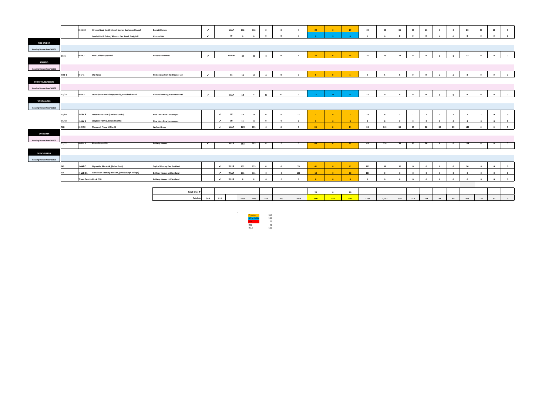|                                  |           | <b>H-LV 22</b>               | Kirkton Road North (site of former Buchanan House) | <b>Barratt Homes</b>                  | $\checkmark$  |              | <b>WLLP</b>  | 112          | 112          | $\overline{\mathbf{0}}$ | $\overline{\mathbf{0}}$ | $\overline{0}$ | 29                      |                         | 29                      | 29                       | 83                      | 36                      | 36                      | 11                      | $\mathbf{0}$            | $\overline{\mathbf{0}}$ | 83                       | 36                      | 11                      | $\overline{0}$           |
|----------------------------------|-----------|------------------------------|----------------------------------------------------|---------------------------------------|---------------|--------------|--------------|--------------|--------------|-------------------------|-------------------------|----------------|-------------------------|-------------------------|-------------------------|--------------------------|-------------------------|-------------------------|-------------------------|-------------------------|-------------------------|-------------------------|--------------------------|-------------------------|-------------------------|--------------------------|
|                                  |           |                              | Land at Forth Drive / Almond East Road, Craigshill | <b>Almond HA</b>                      | $\checkmark$  |              | W            | $\mathbf{q}$ | $\mathbf{0}$ | $\overline{9}$          |                         | $\Omega$       |                         |                         | $\overline{\mathbf{0}}$ |                          | $\Omega$                | $\mathbf{0}$            | $\mathbf{0}$            | $\mathbf{0}$            |                         | $\Omega$                | $\mathbf{a}$             | $\mathbf{0}$            | $\mathbf{0}$            |                          |
| <b>MID CALDER</b>                |           |                              |                                                    |                                       |               |              |              |              |              |                         |                         |                |                         |                         |                         |                          |                         |                         |                         |                         |                         |                         |                          |                         |                         |                          |
|                                  |           |                              |                                                    |                                       |               |              |              |              |              |                         |                         |                |                         |                         |                         |                          |                         |                         |                         |                         |                         |                         |                          |                         |                         |                          |
| <b>Housing Market Area WLC01</b> |           |                              |                                                    |                                       |               |              |              |              |              |                         |                         |                |                         |                         |                         |                          |                         |                         |                         |                         |                         |                         |                          |                         |                         |                          |
|                                  | 99/4      | H-MC1                        | <b>New Calder Paper Mill</b>                       | <b>Robertson Homes</b>                | $\mathcal{L}$ |              | <b>WLLDP</b> | 49           | 49           | $\Omega$                | $\overline{\mathbf{0}}$ | $\overline{2}$ | 24                      |                         | 24                      | 26                       | 23                      | 23                      | $\overline{\mathbf{0}}$ | $\overline{\mathbf{0}}$ | $\mathbf{a}$            | $\mathbf{0}$            | 23                       | $\mathbf{0}$            | $\mathbf{0}$            | $\overline{\phantom{a}}$ |
| <b>SEAFIELD</b>                  |           |                              |                                                    |                                       |               |              |              |              |              |                         |                         |                |                         |                         |                         |                          |                         |                         |                         |                         |                         |                         |                          |                         |                         |                          |
| <b>Housing Market Area WLC02</b> |           |                              |                                                    |                                       |               |              |              |              |              |                         |                         |                |                         |                         |                         |                          |                         |                         |                         |                         |                         |                         |                          |                         |                         |                          |
|                                  | $H-SF1$   | $H-SF1$                      | <b>Old Rows</b>                                    | <b>RB Construction (Redhouse) Ltd</b> | $\mathcal{L}$ |              | <b>BS</b>    | 10           | 10           | $\overline{\mathbf{0}}$ | $\overline{\mathbf{0}}$ | $\mathbf 0$    |                         |                         | -5                      | $\overline{\phantom{0}}$ | $5^{\circ}$             | $5^{\circ}$             | $\bullet$               | $\bullet$               | $\Omega$                | $\Omega$                | $\overline{\mathbf{8}}$  | $\overline{\mathbf{0}}$ | $\overline{\mathbf{0}}$ | $\overline{\phantom{0}}$ |
| <b>STONEYBURN/BENTS</b>          |           |                              |                                                    |                                       |               |              |              |              |              |                         |                         |                |                         |                         |                         |                          |                         |                         |                         |                         |                         |                         |                          |                         |                         |                          |
| <b>Housing Market Area WLC02</b> |           |                              |                                                    |                                       |               |              |              |              |              |                         |                         |                |                         |                         |                         |                          |                         |                         |                         |                         |                         |                         |                          |                         |                         |                          |
|                                  | 13/15     |                              |                                                    |                                       | $\checkmark$  |              |              |              | $\bullet$    |                         | 12                      | $\Omega$       | $-12$                   | $12$                    |                         | 12                       | $\overline{\mathbf{0}}$ | $\mathbf{0}$            | $\overline{\mathbf{0}}$ | $\mathbf{0}$            |                         |                         | $\Omega$                 | $\bullet$               | $\mathbf{0}$            | $\overline{a}$           |
|                                  |           | H-SB <sub>3</sub>            | Stoneyburn Workshops (North), Foulshiels Road      | <b>Almond Housing Association Ltd</b> |               |              | <b>WLLP</b>  | 12           |              | 12                      |                         |                |                         |                         |                         |                          |                         |                         |                         |                         | $\mathbf{a}$            | $\mathbf{a}$            |                          |                         |                         |                          |
| <b>WEST CALDER</b>               |           |                              |                                                    |                                       |               |              |              |              |              |                         |                         |                |                         |                         |                         |                          |                         |                         |                         |                         |                         |                         |                          |                         |                         |                          |
| <b>Housing Market Area WLC01</b> |           |                              |                                                    |                                       |               |              |              |              |              |                         |                         |                |                         |                         |                         |                          |                         |                         |                         |                         |                         |                         |                          |                         |                         |                          |
|                                  | 15/43     | H-LW4                        | <b>West Mains Farm (Lowland Crofts)</b>            | <b>New Lives New Landscapes</b>       |               | $\checkmark$ | W            | 19           | 19           | $\overline{\mathbf{0}}$ | $\overline{\mathbf{0}}$ | 12             | $\mathbf{1}$            | $\overline{\mathbf{0}}$ | $\mathbf{1}$            | 13                       | 6                       | $\mathbf{1}$            | $\mathbf{1}$            | $\mathbf{1}$            |                         | $\mathbf{1}$            | $\overline{\phantom{0}}$ | $\mathbf{1}$            | $\mathbf 0$             | $\mathbf{0}$             |
|                                  | 15/43     | H-LW <sub>5</sub>            | <b>Longford Farm (Lowland Crofts)</b>              | <b>New Lives New Landscapes</b>       |               | $\checkmark$ | W            | 15           | 15           | $\overline{\mathbf{0}}$ | $\mathbf{0}$            | $\overline{4}$ | $\overline{\mathbf{3}}$ | $\overline{\mathbf{0}}$ | $-3$                    | $\overline{7}$           | 8                       | $\overline{2}$          | $\overline{2}$          | $\overline{\mathbf{2}}$ | $\overline{2}$          | $\overline{\mathbf{0}}$ | $\overline{\mathbf{8}}$  | $\overline{\mathbf{0}}$ | $\bullet$               |                          |
|                                  | MO        | H-WC <sub>2</sub>            | Mossend, Phase 1 (Site A)                          | <b>Walker Group</b>                   |               | $\checkmark$ | <b>WLLP</b>  | 173          | 173          | $\Omega$                | $\Omega$                | $\mathbf{a}$   | 24                      |                         | 24                      | 24                       | 149                     | 30                      | 30                      | 30                      | 30                      | 29                      | 149                      | $\bullet$               | $\mathbf{0}$            | $\overline{a}$           |
| <b>WHITBURN</b>                  |           |                              |                                                    |                                       |               |              |              |              |              |                         |                         |                |                         |                         |                         |                          |                         |                         |                         |                         |                         |                         |                          |                         |                         |                          |
|                                  |           |                              |                                                    |                                       |               |              |              |              |              |                         |                         |                |                         |                         |                         |                          |                         |                         |                         |                         |                         |                         |                          |                         |                         |                          |
| <b>Housing Market Area WLC02</b> | 17/22     | H-WH <sub>3</sub>            | Phase 2A and 2B                                    | <b>Bellway Homes</b>                  |               |              | <b>WLLP</b>  | 163          | 163          | $\overline{\mathbf{0}}$ | $\mathbf{0}$            | $\mathbf{0}$   | 49                      | - 0                     | 49                      | 49                       | 114                     | 36                      | 36                      | 36                      |                         | $\mathbf 0$             | 114                      | $\mathbf{0}$            | $\mathbf 0$             | $\overline{\mathbf{0}}$  |
|                                  |           |                              |                                                    |                                       |               |              |              |              |              |                         |                         |                |                         |                         |                         |                          |                         |                         |                         |                         |                         |                         |                          |                         |                         |                          |
| <b>WINCHBURGH</b>                |           |                              |                                                    |                                       |               |              |              |              |              |                         |                         |                |                         |                         |                         |                          |                         |                         |                         |                         |                         |                         |                          |                         |                         |                          |
| <b>Housing Market Area WLC01</b> |           |                              |                                                    |                                       |               |              |              |              |              |                         |                         |                |                         |                         |                         |                          |                         |                         |                         |                         |                         |                         |                          |                         |                         |                          |
|                                  | <b>MS</b> | H-WB <sub>5</sub>            | Myreside, Block AA, (Seton Park)                   | <b>Taylor Wimpey East Scotland</b>    |               | $\checkmark$ | <b>WLLP</b>  | 153          | 153          | $\overline{\mathbf{0}}$ | $\overline{\mathbf{0}}$ | 76             | 41                      | $\overline{\mathbf{0}}$ | $-41$                   | 117                      | 36                      | 36                      | $\overline{\mathbf{0}}$ | $\bullet$               | $\overline{\mathbf{0}}$ | $\bullet$               | 36                       | $\mathbf{0}$            | $\mathbf 0$             |                          |
|                                  | GN        | <b>H-WB11</b>                | Glendevon (North), Block M, (Winchburgh Village)   | <b>Bellway Homes Ltd Scotland</b>     |               | $\checkmark$ | <b>WLLP</b>  | 111          | 111          | $\mathbf{0}$            | $\mathbf{0}$            | 101            | 10                      | $\overline{0}$          | 10                      | 111                      | $\bullet$               | $\overline{\mathbf{0}}$ | $\overline{\mathbf{0}}$ | $\overline{\mathbf{0}}$ | $\bullet$               | $\bullet$               | $\bullet$                | $\mathbf{0}$            | $\mathbf{0}$            | $\overline{0}$           |
|                                  |           | <b>Town Centre Block Q3B</b> |                                                    | <b>Bellway Homes Ltd Scotland</b>     |               | $\checkmark$ | <b>WLLP</b>  |              | -8           | $\Omega$                | $\Omega$                | $\mathbf{a}$   |                         |                         | $\mathbf{R}$            |                          | $\Omega$                |                         | $\Omega$                | $\Omega$                |                         | $\Omega$                | $\Omega$                 | $\mathbf{0}$            | $\mathbf 0$             | $\overline{a}$           |
|                                  |           |                              |                                                    |                                       |               |              |              |              |              |                         |                         |                |                         |                         |                         |                          |                         |                         |                         |                         |                         |                         |                          |                         |                         |                          |
|                                  |           |                              |                                                    |                                       |               |              |              |              |              |                         |                         |                |                         |                         |                         |                          |                         |                         |                         |                         |                         |                         |                          |                         |                         |                          |
|                                  |           |                              |                                                    | Small Sites ▶                         |               |              |              |              |              |                         |                         |                | 20                      | $\bullet$               | 20                      |                          |                         |                         |                         |                         |                         |                         |                          |                         |                         |                          |

**Totals ►**

| $\checkmark$ |              | <b>WLLP</b>  | 112              | 112          | $\mathbf 0$  | $\mathbf{0}$ | $\,0\,$        | 29             | $\bullet$      | 29              | 29                       | 83                       | 36                 | 36                      | 11                      | $\mathbf 0$    | $\pmb{0}$    | 83          | 36                 | 11          | $\pmb{0}$          |
|--------------|--------------|--------------|------------------|--------------|--------------|--------------|----------------|----------------|----------------|-----------------|--------------------------|--------------------------|--------------------|-------------------------|-------------------------|----------------|--------------|-------------|--------------------|-------------|--------------------|
| $\checkmark$ |              | $\mathbf{w}$ | $\overline{9}$   | $\mathbf 0$  | 9            | 9            | $\mathbf 0$    | -9             | 9 <sup>°</sup> | $\bullet$       | 9                        | $\mathbf 0$              | $\mathbf 0$        | $\mathbf 0$             | $\mathbf 0$             | $\mathbf 0$    | $\mathbf 0$  | $\mathbf 0$ | $\bullet$          | $\mathbf 0$ | $\mathbf{0}$       |
|              |              |              |                  |              |              |              |                |                |                |                 |                          |                          |                    |                         |                         |                |              |             |                    |             |                    |
| $\checkmark$ |              | <b>WLLDP</b> | 49               | 49           | $\mathbf{0}$ | $\pmb{0}$    | $\overline{2}$ | 24             | $\bullet$      | 24              | 26                       | 23                       | 23                 | $\mathbf 0$             | $\mathbf{0}$            | $\mathbf 0$    | $\mathbf 0$  | 23          | $\mathbf{0}$       | $\pmb{0}$   | $\pmb{\mathsf{o}}$ |
|              |              |              |                  |              |              |              |                |                |                |                 |                          |                          |                    |                         |                         |                |              |             |                    |             |                    |
| $\checkmark$ |              | BS           | 10               | 10           | $\mathbf 0$  | $\pmb{0}$    | $\pmb{0}$      | $\,$ 5 $\,$    | $\bullet$      | $\,$ 5 $\,$     | $\overline{\phantom{a}}$ | $\overline{\phantom{a}}$ | $5\overline{ }$    | $\mathbf 0$             | $\mathbf 0$             | $\mathbf 0$    | $\mathbf 0$  | 8           | $\pmb{0}$          | $\mathbf 0$ | $\bullet$          |
|              |              |              |                  |              |              |              |                |                |                |                 |                          |                          |                    |                         |                         |                |              |             |                    |             |                    |
| $\checkmark$ |              | <b>WLLP</b>  | 12               | $\mathbf{0}$ | 12           | ${\bf 12}$   | $\mathbf 0$    | $12^\circ$     | $12\,$         | $\mathbf{0}$    | 12                       | $\mathbf 0$              | $\pmb{0}$          | $\mathbf 0$             | $\mathbf 0$             | $\mathbf 0$    | $\mathbf 0$  | $\mathbf 0$ | $\pmb{\mathsf{o}}$ | $\bullet$   | $\bullet$          |
|              |              |              |                  |              |              |              |                |                |                |                 |                          |                          |                    |                         |                         |                |              |             |                    |             |                    |
|              | $\checkmark$ | W            | 19               | 19           | $\mathbf 0$  | $\mathbf 0$  | 12             | $\mathbf{1}$   | $\bullet$      | $\mathbf{1}$    | 13                       | 6                        | $\mathbf{1}$       | $\mathbf{1}$            | $\mathbf{1}$            | $\mathbf{1}$   | $\mathbf{1}$ | 5           | $\mathbf{1}$       | $\mathbf 0$ | $\mathbf{0}$       |
|              | $\checkmark$ | W            | 15               | 15           | $\mathbf{0}$ | $\pmb{0}$    | $\overline{a}$ | 3 <sub>1</sub> | $\bullet$      | 3 <sup>o</sup>  | $\overline{7}$           | 8                        | $\overline{2}$     | $\overline{\mathbf{2}}$ | $\overline{\mathbf{2}}$ | $\overline{2}$ | $\mathbf 0$  | 8           | $\mathbf{0}$       | $\mathbf 0$ | $\mathbf{0}$       |
|              | $\checkmark$ | <b>WLLP</b>  | 173              | 173          | $\mathbf 0$  | $\pmb{0}$    | $\mathbf{0}$   | 24             | $\bullet$      | 24              | 24                       | 149                      | 30                 | 30                      | 30                      | 30             | 29           | 149         | $\mathbf 0$        | $\pmb{0}$   | $\mathbf{0}$       |
|              |              |              |                  |              |              |              |                |                |                |                 |                          |                          |                    |                         |                         |                |              |             |                    |             |                    |
|              |              | <b>WLLP</b>  | 163              | 163          | $\bullet$    | $\mathbf 0$  | $\mathbf 0$    | 49             | $\bullet$      | 49              | 49                       | 114                      | 36                 | 36                      | 36                      | 6              | $\bullet$    | 114         | $\bullet$          | $\mathbf 0$ | $\pmb{0}$          |
|              |              |              |                  |              |              |              |                |                |                |                 |                          |                          |                    |                         |                         |                |              |             |                    |             |                    |
|              | $\checkmark$ | <b>WLLP</b>  | 153              | 153          | $\mathbf 0$  | $\pmb{0}$    | 76             | 41             | $\bullet$      | 41              | 117                      | 36                       | 36                 | $\mathbf 0$             | $\mathbf 0$             | $\mathbf{0}$   | $\mathbf 0$  | 36          | $\mathbf 0$        | $\mathbf 0$ | $\pmb{0}$          |
|              | $\checkmark$ | <b>WLLP</b>  | 111              | 111          | $\mathbf 0$  | $\mathbf 0$  | 101            | 10             | $\bullet$      | 10 <sub>1</sub> | 111                      | $\mathbf 0$              | $\mathbf{0}$       | $\pmb{0}$               | $\mathbf 0$             | $\mathbf 0$    | $\mathbf 0$  | $\mathbf 0$ | $\pmb{0}$          | $\mathbf 0$ | $\mathbf 0$        |
|              | $\checkmark$ | <b>WLLP</b>  | $\boldsymbol{8}$ | 8            | $\mathbf 0$  | $\pmb{0}$    | $\mathbf 0$    | $\mathbf{8}$   | $\bullet$      | $\mathbf{8}$    | $\bf{8}$                 | $\mathbf 0$              | $\pmb{\mathsf{o}}$ | $\pmb{0}$               | $\mathbf 0$             | $\mathbf 0$    | $\mathbf{0}$ | $\pmb{0}$   | $\mathbf 0$        | $\mathbf 0$ | $\mathbf 0$        |
|              |              |              |                  |              |              |              |                |                |                |                 |                          |                          |                    |                         |                         |                |              |             |                    |             |                    |
|              |              |              |                  |              |              |              |                | 20             | $\mathbf 0$    | 20              |                          |                          |                    |                         |                         |                |              |             |                    |             |                    |
| 340          | 515          |              | 2657             | 2229         | 149          | 460          | 1028           | 590            | 144            | 446             | 1332                     | 1,057                    | 558                | 314                     | 114                     | 42             | $\bf{64}$    | 958         | 151                | 52          | $\mathbf 0$        |

| Private    | 361 |
|------------|-----|
| Affordable | 134 |
| <b>Mix</b> | 75  |
| RSL        | 21  |
| <b>WLC</b> | 123 |
|            |     |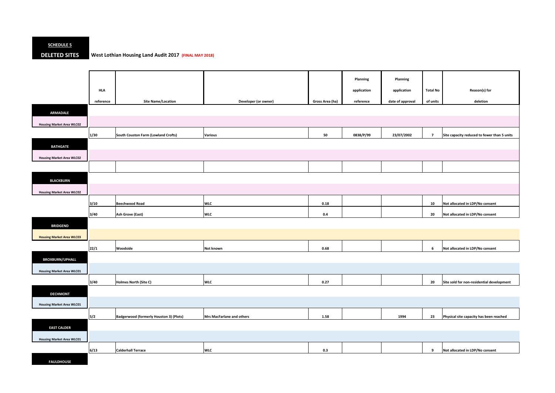#### **SCHEDULE 5**

#### **DELETED SITES West Lothian Housing Land Audit 2017 (FINAL MAY 2018)**

|                                  |            |                                         |                           |                 | Planning    | Planning         |                 |                                             |
|----------------------------------|------------|-----------------------------------------|---------------------------|-----------------|-------------|------------------|-----------------|---------------------------------------------|
|                                  | <b>HLA</b> |                                         |                           |                 | application | application      | <b>Total No</b> | Reason(s) for                               |
|                                  | reference  | <b>Site Name/Location</b>               | Developer (or owner)      | Gross Area (ha) | reference   | date of approval | of units        | deletion                                    |
|                                  |            |                                         |                           |                 |             |                  |                 |                                             |
| <b>ARMADALE</b>                  |            |                                         |                           |                 |             |                  |                 |                                             |
| <b>Housing Market Area WLC02</b> |            |                                         |                           |                 |             |                  |                 |                                             |
|                                  | $1/30$     | South Couston Farm (Lowland Crofts)     | <b>Various</b>            | 50              | 0838/P/99   | 23/07/2002       | $\overline{7}$  | Site capacity reduced to fewer than 5 units |
| <b>BATHGATE</b>                  |            |                                         |                           |                 |             |                  |                 |                                             |
| <b>Housing Market Area WLC02</b> |            |                                         |                           |                 |             |                  |                 |                                             |
|                                  |            |                                         |                           |                 |             |                  |                 |                                             |
|                                  |            |                                         |                           |                 |             |                  |                 |                                             |
| <b>BLACKBURN</b>                 |            |                                         |                           |                 |             |                  |                 |                                             |
| <b>Housing Market Area WLC02</b> |            |                                         |                           |                 |             |                  |                 |                                             |
|                                  | 3/10       | <b>Beechwood Road</b>                   | <b>WLC</b>                | 0.18            |             |                  | 10              | Not allocated in LDP/No consent             |
|                                  | 3/40       | Ash Grove (East)                        | <b>WLC</b>                | $0.4\,$         |             |                  | 20              | Not allocated in LDP/No consent             |
| <b>BRIDGEND</b>                  |            |                                         |                           |                 |             |                  |                 |                                             |
| <b>Housing Market Area WLC03</b> |            |                                         |                           |                 |             |                  |                 |                                             |
|                                  |            | Woodside                                | Not known                 | 0.68            |             |                  | 6               |                                             |
|                                  | 22/1       |                                         |                           |                 |             |                  |                 | Not allocated in LDP/No consent             |
| <b>BROXBURN/UPHALL</b>           |            |                                         |                           |                 |             |                  |                 |                                             |
| <b>Housing Market Area WLC01</b> |            |                                         |                           |                 |             |                  |                 |                                             |
|                                  | $3/40$     | Holmes North (Site C)                   | <b>WLC</b>                | 0.27            |             |                  | 20              | Site sold for non-residential development   |
| <b>DECHMONT</b>                  |            |                                         |                           |                 |             |                  |                 |                                             |
| <b>Housing Market Area WLC01</b> |            |                                         |                           |                 |             |                  |                 |                                             |
|                                  |            |                                         |                           |                 |             |                  |                 |                                             |
|                                  | 5/2        | Badgerwood (formerly Houston 3) (Plots) | Mrs MacFarlane and others | 1.58            |             | 1994             | 23              | Physical site capacity has been reached     |
| <b>EAST CALDER</b>               |            |                                         |                           |                 |             |                  |                 |                                             |
| <b>Housing Market Area WLC01</b> |            |                                         |                           |                 |             |                  |                 |                                             |
|                                  | 6/13       | <b>Calderhall Terrace</b>               | <b>WLC</b>                | 0.3             |             |                  | 9               | Not allocated in LDP/No consent             |
| <b>FAULDHOUSE</b>                |            |                                         |                           |                 |             |                  |                 |                                             |

| <b>Total No</b> | Reason(s) for                               |
|-----------------|---------------------------------------------|
| of units        | deletion                                    |
|                 |                                             |
|                 |                                             |
| 7               | Site capacity reduced to fewer than 5 units |
|                 |                                             |
|                 |                                             |
|                 |                                             |
|                 |                                             |
|                 |                                             |
| 10              | Not allocated in LDP/No consent             |
| 20              | Not allocated in LDP/No consent             |

|  | Not allocated in LDP/No consent |
|--|---------------------------------|

| 20 | Site sold for non-residential development |
|----|-------------------------------------------|
|    |                                           |
|    |                                           |

| 23 | Physical site capacity has been reached |
|----|-----------------------------------------|
|    |                                         |

|  | Not allocated in LDP/No consent |
|--|---------------------------------|